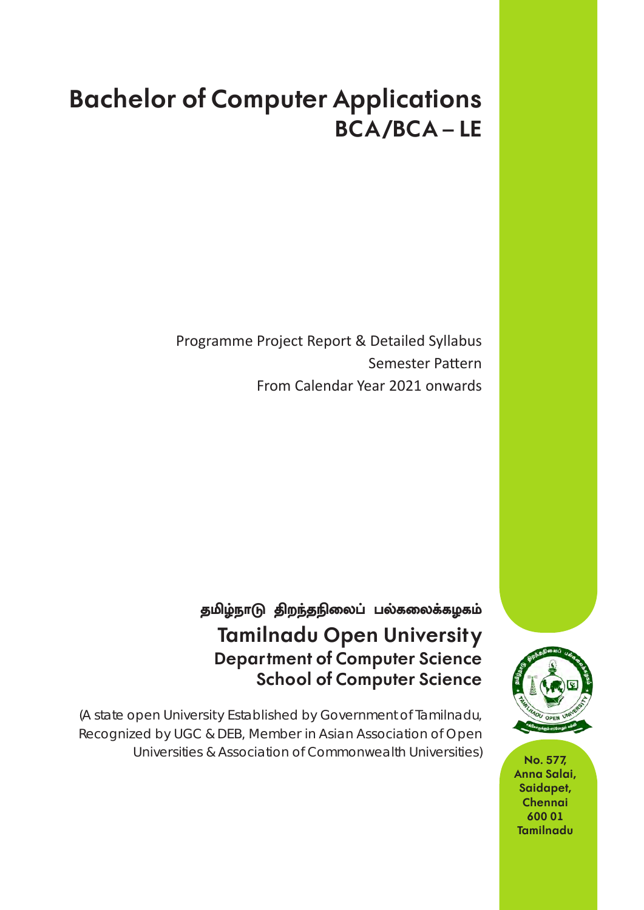# **Bachelor of Computer Applications BCA /BCA – LE**

Programme Project Report & Detailed Syllabus Semester Pattern From Calendar Year 2021 onwards

# தமிழ்நாடு திறந்தநிலைப் பல்கலைக்கழகம் **Tamilnadu Open Universit y Department of Computer Science School of Computer Science**

(A state open Universit y Established by Government of Tamilnadu, Recognized by UGC & DEB, Member in Asian Association of Open Universities & Association of Commonwealth Universities) **No. 577,** 



**Anna Salai, Saidapet, Chennai 600 01 Tamilnadu**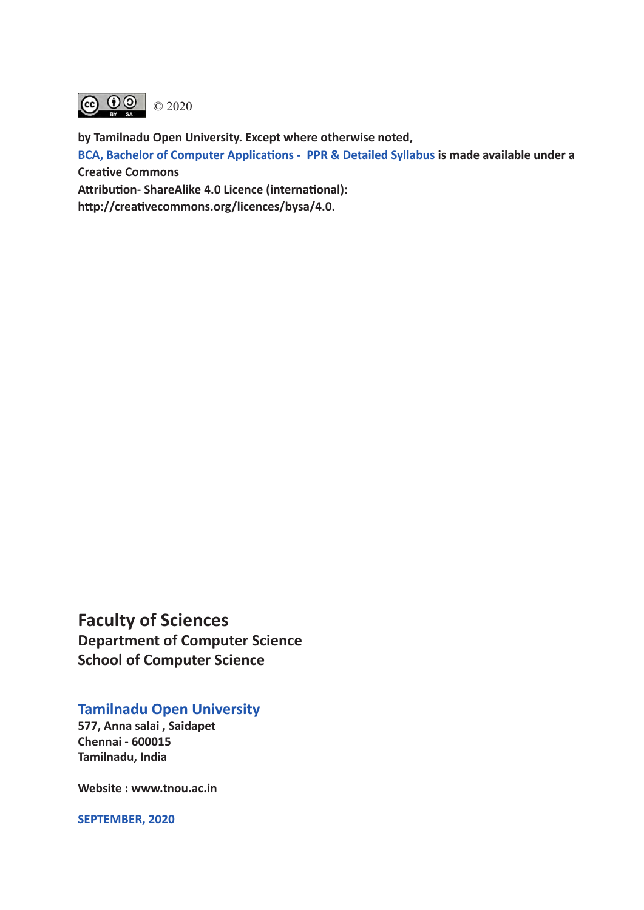

**by Tamilnadu Open University. Except where otherwise noted,** 

**BCA, Bachelor of Computer Applications - PPR & Detailed Syllabus is made available under a Creative Commons** 

**Attribution- ShareAlike 4.0 Licence (international):** 

**http://creativecommons.org/licences/bysa/4.0.**

**Faculty of Sciences Department of Computer Science School of Computer Science**

# **Tamilnadu Open University**

**577, Anna salai , Saidapet Chennai - 600015 Tamilnadu, India**

**Website : www.tnou.ac.in**

**SEPTEMBER, 2020**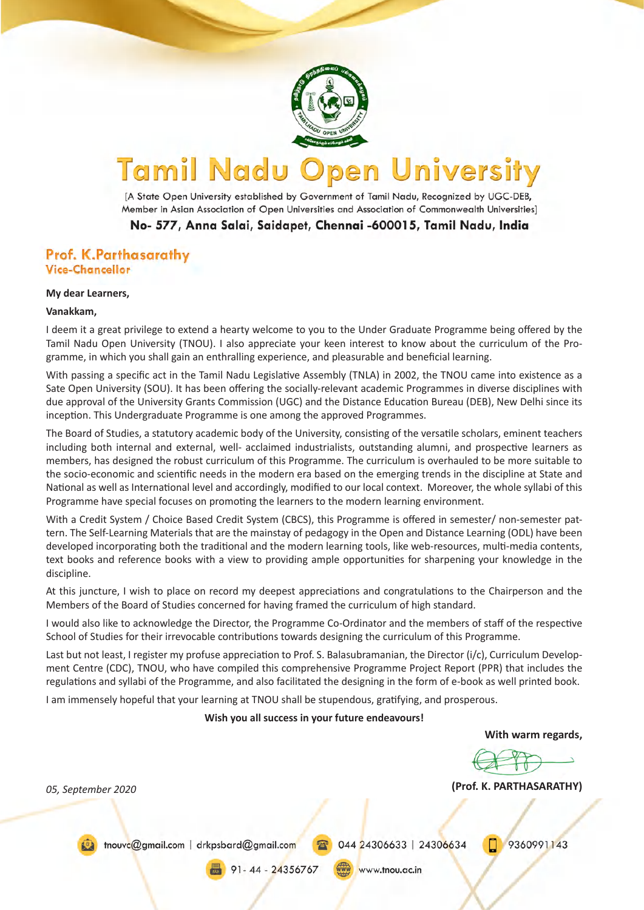

#### Tamil Nadu **University** pen

[A State Open University established by Government of Tamil Nadu, Recognized by UGC-DEB, Member in Asian Association of Open Universities and Association of Commonwealth Universities]

No- 577, Anna Salai, Saidapet, Chennai -600015, Tamil Nadu, India

### Prof. K.Parthasarathy **Vice-Chancellor**

#### **My dear Learners,**

#### **Vanakkam,**

I deem it a great privilege to extend a hearty welcome to you to the Under Graduate Programme being offered by the Tamil Nadu Open University (TNOU). I also appreciate your keen interest to know about the curriculum of the Programme, in which you shall gain an enthralling experience, and pleasurable and beneficial learning.

With passing a specific act in the Tamil Nadu Legislative Assembly (TNLA) in 2002, the TNOU came into existence as a Sate Open University (SOU). It has been offering the socially-relevant academic Programmes in diverse disciplines with due approval of the University Grants Commission (UGC) and the Distance Education Bureau (DEB), New Delhi since its inception. This Undergraduate Programme is one among the approved Programmes.

The Board of Studies, a statutory academic body of the University, consisting of the versatile scholars, eminent teachers including both internal and external, well- acclaimed industrialists, outstanding alumni, and prospective learners as members, has designed the robust curriculum of this Programme. The curriculum is overhauled to be more suitable to the socio-economic and scientific needs in the modern era based on the emerging trends in the discipline at State and National as well as International level and accordingly, modified to our local context. Moreover, the whole syllabi of this Programme have special focuses on promoting the learners to the modern learning environment.

With a Credit System / Choice Based Credit System (CBCS), this Programme is offered in semester/ non-semester pattern. The Self-Learning Materials that are the mainstay of pedagogy in the Open and Distance Learning (ODL) have been developed incorporating both the traditional and the modern learning tools, like web-resources, multi-media contents, text books and reference books with a view to providing ample opportunities for sharpening your knowledge in the discipline.

At this juncture, I wish to place on record my deepest appreciations and congratulations to the Chairperson and the Members of the Board of Studies concerned for having framed the curriculum of high standard.

I would also like to acknowledge the Director, the Programme Co-Ordinator and the members of staff of the respective School of Studies for their irrevocable contributions towards designing the curriculum of this Programme.

Last but not least, I register my profuse appreciation to Prof. S. Balasubramanian, the Director (i/c), Curriculum Development Centre (CDC), TNOU, who have compiled this comprehensive Programme Project Report (PPR) that includes the regulations and syllabi of the Programme, and also facilitated the designing in the form of e-book as well printed book.

I am immensely hopeful that your learning at TNOU shall be stupendous, gratifying, and prosperous.

**Wish you all success in your future endeavours!**

**With warm regards,**

**(Prof. K. PARTHASARATHY)** *05, September 2020*

thouve@gmail.com | drkpsbard@gmail.com

044 24306633 | 24306634

9360991143

91-44-24356767

www.tnou.ac.in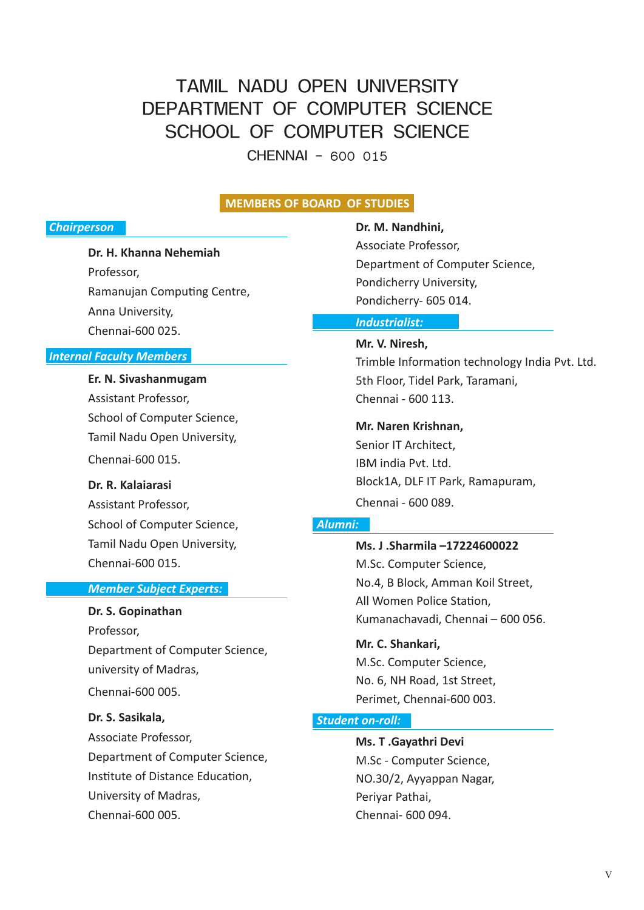# TAMIL NADU OPEN UNIVERSITY DEPARTMENT OF COMPUTER SCIENCE SCHOOL OF COMPUTER SCIENCE

CHENNAI – 600 015

#### **MEMBERS OF BOARD OF STUDIES**

#### *Chairperson*

**Dr. H. Khanna Nehemiah**

Professor, Ramanujan Computing Centre, Anna University, Chennai-600 025.

#### *Internal Faculty Members*

**Er. N. Sivashanmugam** Assistant Professor, School of Computer Science, Tamil Nadu Open University, Chennai-600 015.

**Dr. R. Kalaiarasi**

Assistant Professor, School of Computer Science, Tamil Nadu Open University, Chennai-600 015.

#### *Member Subject Experts:*

#### **Dr. S. Gopinathan**

Professor, Department of Computer Science, university of Madras, Chennai-600 005.

**Dr. S. Sasikala,**

Associate Professor, Department of Computer Science, Institute of Distance Education, University of Madras, Chennai-600 005.

**Dr. M. Nandhini,** Associate Professor,

Department of Computer Science, Pondicherry University, Pondicherry- 605 014.

#### *Industrialist:*

**Mr. V. Niresh,** Trimble Information technology India Pvt. Ltd. 5th Floor, Tidel Park, Taramani, Chennai - 600 113.

**Mr. Naren Krishnan,**

Senior IT Architect, IBM india Pvt. Ltd. Block1A, DLF IT Park, Ramapuram, Chennai - 600 089.

#### *Alumni:*

**Ms. J .Sharmila –17224600022** M.Sc. Computer Science, No.4, B Block, Amman Koil Street, All Women Police Station, Kumanachavadi, Chennai – 600 056.

**Mr. C. Shankari,** M.Sc. Computer Science, No. 6, NH Road, 1st Street, Perimet, Chennai-600 003.

#### *Student on-roll:*

**Ms. T .Gayathri Devi** M.Sc - Computer Science, NO.30/2, Ayyappan Nagar, Periyar Pathai, Chennai- 600 094.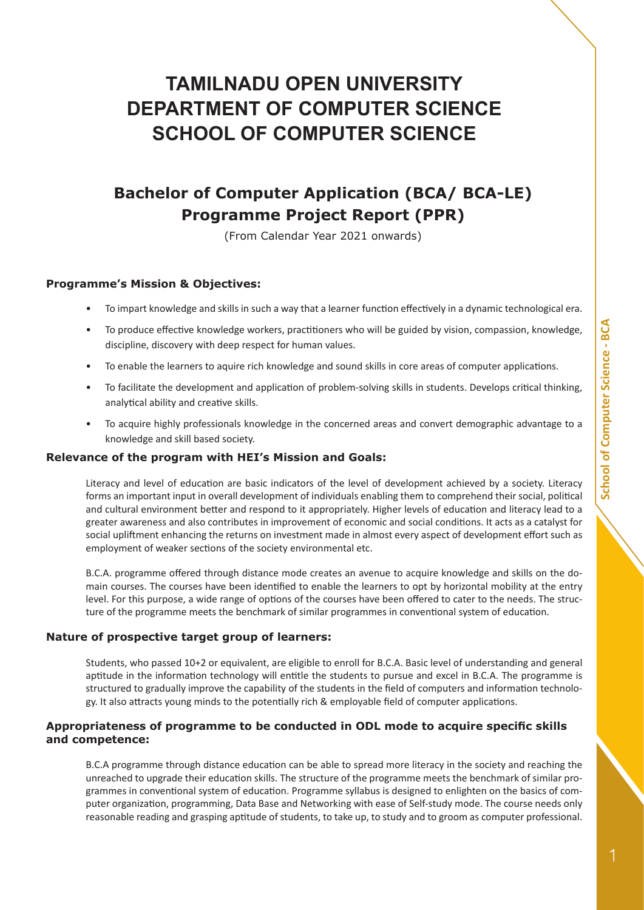# **TAMILNADU OPEN UNIVERSITY DEPARTMENT OF COMPUTER SCIENCE SCHOOL OF COMPUTER SCIENCE**

# **Bachelor of Computer Application (BCA/ BCA-LE) Programme Project Report (PPR)**

(From Calendar Year 2021 onwards)

#### **Programme's Mission & Objectives:**

- To impart knowledge and skills in such a way that a learner function effectively in a dynamic technological era.
- To produce effective knowledge workers, practitioners who will be guided by vision, compassion, knowledge, discipline, discovery with deep respect for human values.
- To enable the learners to aquire rich knowledge and sound skills in core areas of computer applications.
- To facilitate the development and application of problem-solving skills in students. Develops critical thinking, analytical ability and creative skills.
- To acquire highly professionals knowledge in the concerned areas and convert demographic advantage to a knowledge and skill based society.

#### **Relevance of the program with HEI's Mission and Goals:**

Literacy and level of education are basic indicators of the level of development achieved by a society. Literacy forms an important input in overall development of individuals enabling them to comprehend their social, political and cultural environment better and respond to it appropriately. Higher levels of education and literacy lead to a greater awareness and also contributes in improvement of economic and social conditions. It acts as a catalyst for social upliftment enhancing the returns on investment made in almost every aspect of development effort such as employment of weaker sections of the society environmental etc.

B.C.A. programme offered through distance mode creates an avenue to acquire knowledge and skills on the domain courses. The courses have been identified to enable the learners to opt by horizontal mobility at the entry level. For this purpose, a wide range of options of the courses have been offered to cater to the needs. The structure of the programme meets the benchmark of similar programmes in conventional system of education.

#### **Nature of prospective target group of learners:**

Students, who passed 10+2 or equivalent, are eligible to enroll for B.C.A. Basic level of understanding and general aptitude in the information technology will entitle the students to pursue and excel in B.C.A. The programme is structured to gradually improve the capability of the students in the field of computers and information technology. It also attracts young minds to the potentially rich & employable field of computer applications.

#### **Appropriateness of programme to be conducted in ODL mode to acquire specific skills and competence:**

B.C.A programme through distance education can be able to spread more literacy in the society and reaching the unreached to upgrade their education skills. The structure of the programme meets the benchmark of similar programmes in conventional system of education. Programme syllabus is designed to enlighten on the basics of computer organization, programming, Data Base and Networking with ease of Self-study mode. The course needs only reasonable reading and grasping aptitude of students, to take up, to study and to groom as computer professional.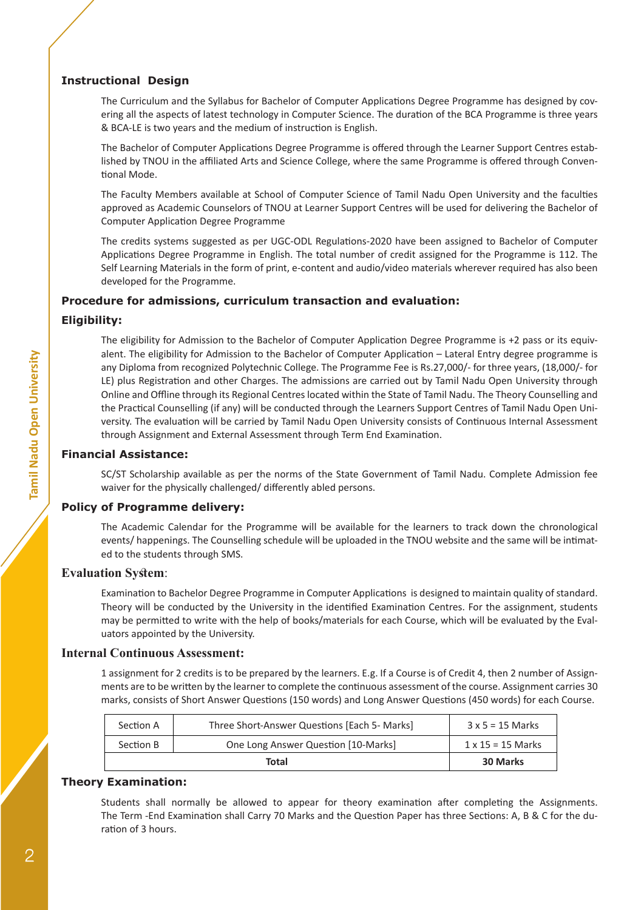#### **Instructional Design**

The Curriculum and the Syllabus for Bachelor of Computer Applications Degree Programme has designed by covering all the aspects of latest technology in Computer Science. The duration of the BCA Programme is three years & BCA-LE is two years and the medium of instruction is English.

The Bachelor of Computer Applications Degree Programme is offered through the Learner Support Centres established by TNOU in the affiliated Arts and Science College, where the same Programme is offered through Conventional Mode.

The Faculty Members available at School of Computer Science of Tamil Nadu Open University and the faculties approved as Academic Counselors of TNOU at Learner Support Centres will be used for delivering the Bachelor of Computer Application Degree Programme

The credits systems suggested as per UGC-ODL Regulations-2020 have been assigned to Bachelor of Computer Applications Degree Programme in English. The total number of credit assigned for the Programme is 112. The Self Learning Materials in the form of print, e-content and audio/video materials wherever required has also been developed for the Programme.

#### **Procedure for admissions, curriculum transaction and evaluation:**

#### **Eligibility:**

The eligibility for Admission to the Bachelor of Computer Application Degree Programme is +2 pass or its equivalent. The eligibility for Admission to the Bachelor of Computer Application – Lateral Entry degree programme is any Diploma from recognized Polytechnic College. The Programme Fee is Rs.27,000/- for three years, (18,000/- for LE) plus Registration and other Charges. The admissions are carried out by Tamil Nadu Open University through Online and Offline through its Regional Centres located within the State of Tamil Nadu. The Theory Counselling and the Practical Counselling (if any) will be conducted through the Learners Support Centres of Tamil Nadu Open University. The evaluation will be carried by Tamil Nadu Open University consists of Continuous Internal Assessment through Assignment and External Assessment through Term End Examination.

#### **Financial Assistance:**

SC/ST Scholarship available as per the norms of the State Government of Tamil Nadu. Complete Admission fee waiver for the physically challenged/ differently abled persons.

#### **Policy of Programme delivery:**

The Academic Calendar for the Programme will be available for the learners to track down the chronological events/ happenings. The Counselling schedule will be uploaded in the TNOU website and the same will be intimated to the students through SMS.

#### **Evaluation System**:

Examination to Bachelor Degree Programme in Computer Applications is designed to maintain quality of standard. Theory will be conducted by the University in the identified Examination Centres. For the assignment, students may be permitted to write with the help of books/materials for each Course, which will be evaluated by the Evaluators appointed by the University.

#### **Internal Continuous Assessment:**

1 assignment for 2 credits is to be prepared by the learners. E.g. If a Course is of Credit 4, then 2 number of Assignments are to be written by the learner to complete the continuous assessment of the course. Assignment carries 30 marks, consists of Short Answer Questions (150 words) and Long Answer Questions (450 words) for each Course.

| Section A | Three Short-Answer Questions [Each 5- Marks] | $3 \times 5 = 15$ Marks  |
|-----------|----------------------------------------------|--------------------------|
| Section B | One Long Answer Question [10-Marks]          | $1 \times 15 = 15$ Marks |
|           | Total                                        | <b>30 Marks</b>          |

#### **Theory Examination:**

Students shall normally be allowed to appear for theory examination after completing the Assignments. The Term -End Examination shall Carry 70 Marks and the Question Paper has three Sections: A, B & C for the duration of 3 hours.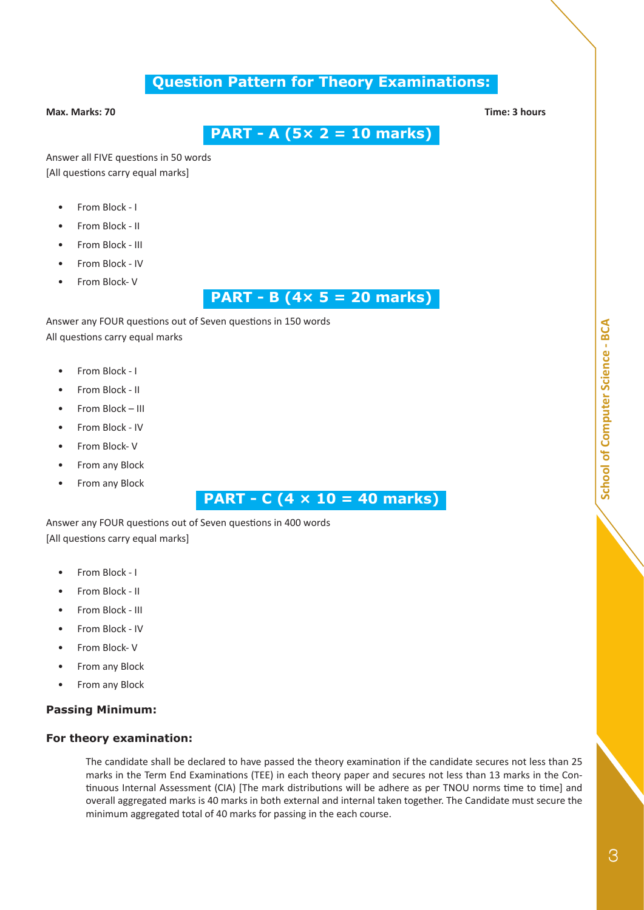# **Question Pattern for Theory Examinations:**

#### **Max. Marks: 70 Time: 3 hours**

 **PART - A (5× 2 = 10 marks)**

Answer all FIVE questions in 50 words [All questions carry equal marks]

- From Block I
- From Block II
- From Block III
- From Block IV
- From Block- V

# **PART - B (4× 5 = 20 marks)**

Answer any FOUR questions out of Seven questions in 150 words All questions carry equal marks

- From Block I
- From Block II
- From Block III
- From Block IV
- From Block- V
- From any Block
- From any Block

# **PART - C (4 × 10 = 40 marks)**

Answer any FOUR questions out of Seven questions in 400 words [All questions carry equal marks]

- From Block I
- From Block II
- From Block III
- From Block IV
- From Block- V
- From any Block
- From any Block

#### **Passing Minimum:**

#### **For theory examination:**

The candidate shall be declared to have passed the theory examination if the candidate secures not less than 25 marks in the Term End Examinations (TEE) in each theory paper and secures not less than 13 marks in the Continuous Internal Assessment (CIA) [The mark distributions will be adhere as per TNOU norms time to time] and overall aggregated marks is 40 marks in both external and internal taken together. The Candidate must secure the minimum aggregated total of 40 marks for passing in the each course.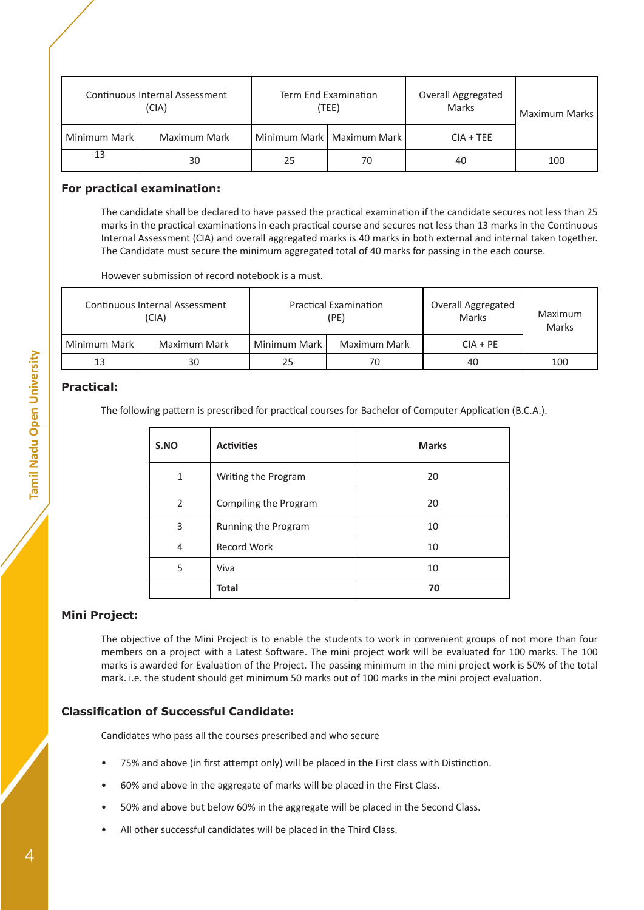| Continuous Internal Assessment<br>(CIA) |              | Term End Examination<br>(TEE) |                             | Overall Aggregated<br>Marks | Maximum Marks |
|-----------------------------------------|--------------|-------------------------------|-----------------------------|-----------------------------|---------------|
| Minimum Mark I                          | Maximum Mark |                               | Minimum Mark   Maximum Mark | $CIA + TEE$                 |               |
| 13                                      | 30           | 25                            | 70                          | 40                          | 100           |

#### **For practical examination:**

The candidate shall be declared to have passed the practical examination if the candidate secures not less than 25 marks in the practical examinations in each practical course and secures not less than 13 marks in the Continuous Internal Assessment (CIA) and overall aggregated marks is 40 marks in both external and internal taken together. The Candidate must secure the minimum aggregated total of 40 marks for passing in the each course.

However submission of record notebook is a must.

| Continuous Internal Assessment<br>(CIA) |              | <b>Practical Examination</b><br>(PE) |              | <b>Overall Aggregated</b><br>Marks | Maximum<br>Marks |
|-----------------------------------------|--------------|--------------------------------------|--------------|------------------------------------|------------------|
| Minimum Mark I                          | Maximum Mark | Minimum Mark I                       | Maximum Mark | $CIA + PE$                         |                  |
| 13                                      | 30           | 25                                   | 70           | 40                                 | 100              |

#### **Practical:**

The following pattern is prescribed for practical courses for Bachelor of Computer Application (B.C.A.).

| S.NO | <b>Activities</b>     | <b>Marks</b> |
|------|-----------------------|--------------|
| 1    | Writing the Program   | 20           |
| 2    | Compiling the Program | 20           |
| 3    | Running the Program   | 10           |
| 4    | <b>Record Work</b>    | 10           |
| 5    | Viva                  | 10           |
|      | <b>Total</b>          | 70           |

#### **Mini Project:**

The objective of the Mini Project is to enable the students to work in convenient groups of not more than four members on a project with a Latest Software. The mini project work will be evaluated for 100 marks. The 100 marks is awarded for Evaluation of the Project. The passing minimum in the mini project work is 50% of the total mark. i.e. the student should get minimum 50 marks out of 100 marks in the mini project evaluation.

#### **Classification of Successful Candidate:**

Candidates who pass all the courses prescribed and who secure

- 75% and above (in first attempt only) will be placed in the First class with Distinction.
- 60% and above in the aggregate of marks will be placed in the First Class.
- 50% and above but below 60% in the aggregate will be placed in the Second Class.
- All other successful candidates will be placed in the Third Class.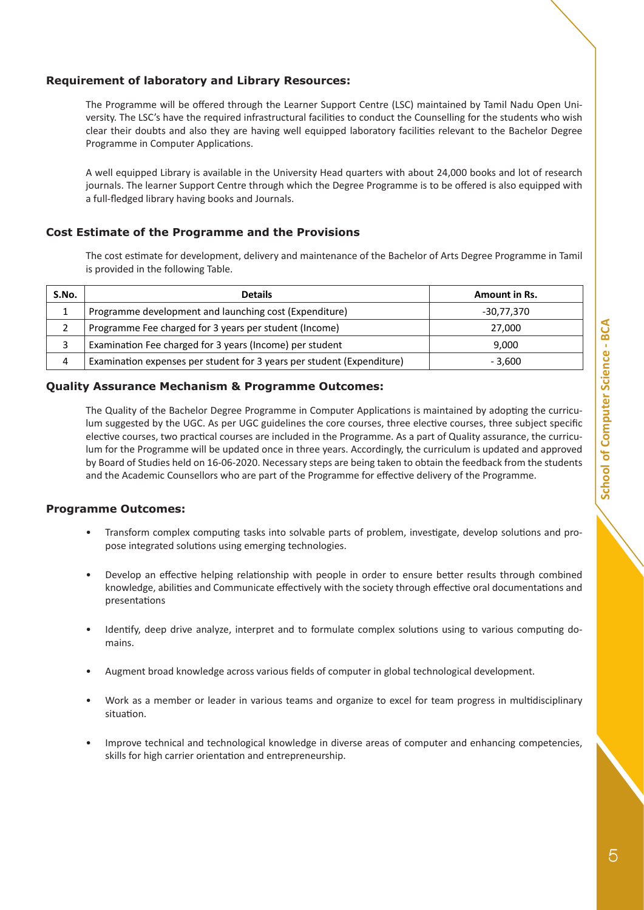#### **Requirement of laboratory and Library Resources:**

The Programme will be offered through the Learner Support Centre (LSC) maintained by Tamil Nadu Open University. The LSC's have the required infrastructural facilities to conduct the Counselling for the students who wish clear their doubts and also they are having well equipped laboratory facilities relevant to the Bachelor Degree Programme in Computer Applications.

A well equipped Library is available in the University Head quarters with about 24,000 books and lot of research journals. The learner Support Centre through which the Degree Programme is to be offered is also equipped with a full-fledged library having books and Journals.

#### **Cost Estimate of the Programme and the Provisions**

The cost estimate for development, delivery and maintenance of the Bachelor of Arts Degree Programme in Tamil is provided in the following Table.

| S.No. | <b>Details</b>                                                         | <b>Amount in Rs.</b> |
|-------|------------------------------------------------------------------------|----------------------|
|       | Programme development and launching cost (Expenditure)                 | -30,77,370           |
|       | Programme Fee charged for 3 years per student (Income)                 | 27,000               |
|       | Examination Fee charged for 3 years (Income) per student               | 9,000                |
| 4     | Examination expenses per student for 3 years per student (Expenditure) | - 3.600              |

#### **Quality Assurance Mechanism & Programme Outcomes:**

The Quality of the Bachelor Degree Programme in Computer Applications is maintained by adopting the curriculum suggested by the UGC. As per UGC guidelines the core courses, three elective courses, three subject specific elective courses, two practical courses are included in the Programme. As a part of Quality assurance, the curriculum for the Programme will be updated once in three years. Accordingly, the curriculum is updated and approved by Board of Studies held on 16-06-2020. Necessary steps are being taken to obtain the feedback from the students and the Academic Counsellors who are part of the Programme for effective delivery of the Programme.

#### **Programme Outcomes:**

- Transform complex computing tasks into solvable parts of problem, investigate, develop solutions and propose integrated solutions using emerging technologies.
- Develop an effective helping relationship with people in order to ensure better results through combined knowledge, abilities and Communicate effectively with the society through effective oral documentations and presentations
- Identify, deep drive analyze, interpret and to formulate complex solutions using to various computing domains.
- Augment broad knowledge across various fields of computer in global technological development.
- Work as a member or leader in various teams and organize to excel for team progress in multidisciplinary situation.
- Improve technical and technological knowledge in diverse areas of computer and enhancing competencies, skills for high carrier orientation and entrepreneurship.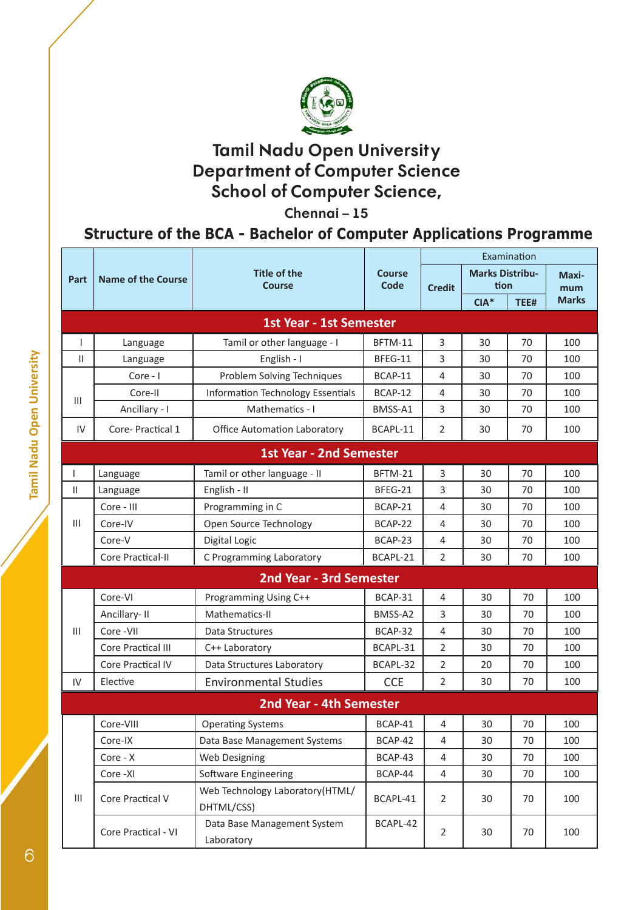

**Chennai – 15**

# **Structure of the BCA - Bachelor of Computer Applications Programme**

|                                    |                                |                                               |               | Examination    |                        |      |                     |
|------------------------------------|--------------------------------|-----------------------------------------------|---------------|----------------|------------------------|------|---------------------|
| Part                               | <b>Name of the Course</b>      | <b>Title of the</b>                           | <b>Course</b> |                | <b>Marks Distribu-</b> |      | Maxi-               |
|                                    |                                | <b>Course</b>                                 | Code          | <b>Credit</b>  | tion<br>$CIA*$         |      | mum<br><b>Marks</b> |
|                                    |                                |                                               |               |                |                        | TEE# |                     |
|                                    |                                | <b>1st Year - 1st Semester</b>                |               |                |                        |      |                     |
| $\mathbf{I}$                       | Language                       | Tamil or other language - I                   | BFTM-11       | 3              | 30                     | 70   | 100                 |
| $\mathbf{H}$                       | Language                       | English - I                                   | BFEG-11       | 3              | 30                     | 70   | 100                 |
|                                    | Core - I                       | Problem Solving Techniques                    | BCAP-11       | $\overline{4}$ | 30                     | 70   | 100                 |
| Ш                                  | Core-II                        | <b>Information Technology Essentials</b>      | BCAP-12       | 4              | 30                     | 70   | 100                 |
|                                    | Ancillary - I                  | Mathematics - I                               | BMSS-A1       | 3              | 30                     | 70   | 100                 |
| IV                                 | Core-Practical 1               | <b>Office Automation Laboratory</b>           | BCAPL-11      | $\overline{2}$ | 30                     | 70   | 100                 |
|                                    |                                | <b>1st Year - 2nd Semester</b>                |               |                |                        |      |                     |
| T                                  | Language                       | Tamil or other language - II                  | BFTM-21       | 3              | 30                     | 70   | 100                 |
| $\mathbf{H}$                       | Language                       | English - II                                  | BFEG-21       | 3              | 30                     | 70   | 100                 |
|                                    | Core - III                     | Programming in C                              | BCAP-21       | $\overline{4}$ | 30                     | 70   | 100                 |
| $\mathbf{III}$                     | Core-IV                        | Open Source Technology                        | BCAP-22       | 4              | 30                     | 70   | 100                 |
|                                    | Core-V                         | Digital Logic                                 | BCAP-23       | $\overline{4}$ | 30                     | 70   | 100                 |
|                                    | Core Practical-II              | C Programming Laboratory                      | BCAPL-21      | $\overline{2}$ | 30                     | 70   | 100                 |
|                                    | <b>2nd Year - 3rd Semester</b> |                                               |               |                |                        |      |                     |
|                                    | Core-VI                        | Programming Using C++                         | BCAP-31       | $\overline{4}$ | 30                     | 70   | 100                 |
|                                    | Ancillary-II                   | Mathematics-II                                | BMSS-A2       | 3              | 30                     | 70   | 100                 |
| III                                | Core - VII                     | Data Structures                               | BCAP-32       | $\overline{4}$ | 30                     | 70   | 100                 |
|                                    | <b>Core Practical III</b>      | C++ Laboratory                                | BCAPL-31      | $\overline{2}$ | 30                     | 70   | 100                 |
|                                    | <b>Core Practical IV</b>       | Data Structures Laboratory                    | BCAPL-32      | $\overline{2}$ | 20                     | 70   | 100                 |
| IV                                 | Elective                       | <b>Environmental Studies</b>                  | <b>CCE</b>    | $\overline{2}$ | 30                     | 70   | 100                 |
|                                    |                                | <b>2nd Year - 4th Semester</b>                |               |                |                        |      |                     |
|                                    | Core-VIII                      | <b>Operating Systems</b>                      | BCAP-41       | 4              | 30                     | 70   | 100                 |
|                                    | Core-IX                        | Data Base Management Systems                  | BCAP-42       | 4              | 30                     | 70   | 100                 |
|                                    | Core - X                       | Web Designing                                 | BCAP-43       | 4              | 30                     | 70   | 100                 |
|                                    | Core -XI                       | <b>Software Engineering</b>                   | BCAP-44       | $\overline{4}$ | 30                     | 70   | 100                 |
| $\ensuremath{\mathsf{III}}\xspace$ | Core Practical V               | Web Technology Laboratory(HTML/<br>DHTML/CSS) | BCAPL-41      | $\overline{2}$ | 30                     | 70   | 100                 |
|                                    | Core Practical - VI            | Data Base Management System<br>Laboratory     | BCAPL-42      | $\overline{2}$ | 30                     | 70   | 100                 |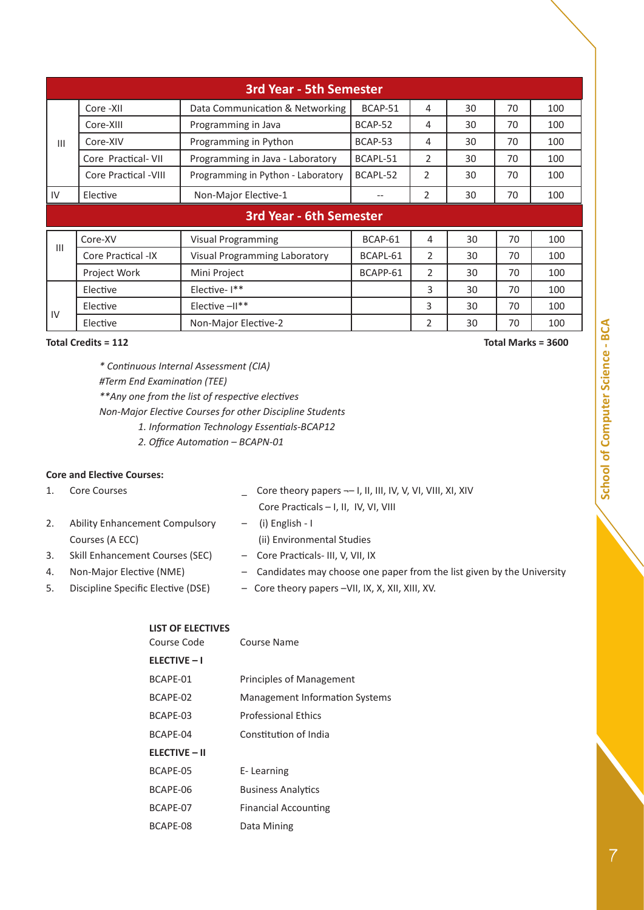|     | <b>3rd Year - 5th Semester</b>      |                                      |          |                |    |    |     |
|-----|-------------------------------------|--------------------------------------|----------|----------------|----|----|-----|
|     | Core -XII                           | Data Communication & Networking      | BCAP-51  | 4              | 30 | 70 | 100 |
|     | Core-XIII                           | Programming in Java                  | BCAP-52  | 4              | 30 | 70 | 100 |
| Ш   | Core-XIV                            | Programming in Python                | BCAP-53  | 4              | 30 | 70 | 100 |
|     | Core Practical-VII                  | Programming in Java - Laboratory     | BCAPL-51 | 2              | 30 | 70 | 100 |
|     | <b>Core Practical -VIII</b>         | Programming in Python - Laboratory   | BCAPL-52 | $\overline{2}$ | 30 | 70 | 100 |
| IV  | Non-Major Elective-1<br>Elective    |                                      | --       | $\overline{2}$ | 30 | 70 | 100 |
|     | <b>3rd Year - 6th Semester</b>      |                                      |          |                |    |    |     |
|     | Core-XV                             | Visual Programming                   | BCAP-61  | 4              | 30 | 70 | 100 |
| III | Core Practical -IX                  | <b>Visual Programming Laboratory</b> | BCAPL-61 | 2              | 30 | 70 | 100 |
|     | <b>Project Work</b><br>Mini Project |                                      | BCAPP-61 | $\overline{2}$ | 30 | 70 | 100 |
|     | Elective                            | Elective-I**                         |          | 3              | 30 | 70 | 100 |
| IV  | Elective                            | Elective $-11**$                     |          | 3              | 30 | 70 | 100 |
|     | Elective                            | Non-Major Elective-2                 |          | 2              | 30 | 70 | 100 |

**Total Credits = 112 Total Marks = 3600**

*\* Continuous Internal Assessment (CIA) #Term End Examination (TEE) \*\*Any one from the list of respective electives Non-Major Elective Courses for other Discipline Students 1. Information Technology Essentials-BCAP12*

*2. Office Automation – BCAPN-01*

#### **Core and Elective Courses:**

| 1. | <b>Core Courses</b>                   | Core theory papers -- I, II, III, IV, V, VI, VIII, XI, XIV              |
|----|---------------------------------------|-------------------------------------------------------------------------|
|    |                                       | Core Practicals - I, II, IV, VI, VIII                                   |
| 2. | <b>Ability Enhancement Compulsory</b> | (i) English - I<br>$-$                                                  |
|    | Courses (A ECC)                       | (ii) Environmental Studies                                              |
| 3. | Skill Enhancement Courses (SEC)       | - Core Practicals-III, V, VII, IX                                       |
| 4. | Non-Major Elective (NME)              | - Candidates may choose one paper from the list given by the University |
| 5. | Discipline Specific Elective (DSE)    | - Core theory papers -VII, IX, X, XII, XIII, XV.                        |

#### **LIST OF ELECTIVES**

| Course Code          | Course Name                           |
|----------------------|---------------------------------------|
| <b>ELECTIVE - I</b>  |                                       |
| BCAPE-01             | <b>Principles of Management</b>       |
| BCAPE-02             | <b>Management Information Systems</b> |
| BCAPE-03             | <b>Professional Ethics</b>            |
| BCAPF-04             | Constitution of India                 |
| <b>ELECTIVE - II</b> |                                       |
| BCAPE-05             | E-Learning                            |
| BCAPE-06             | <b>Business Analytics</b>             |
| BCAPF-07             | <b>Financial Accounting</b>           |
| BCAPE-08             | Data Mining                           |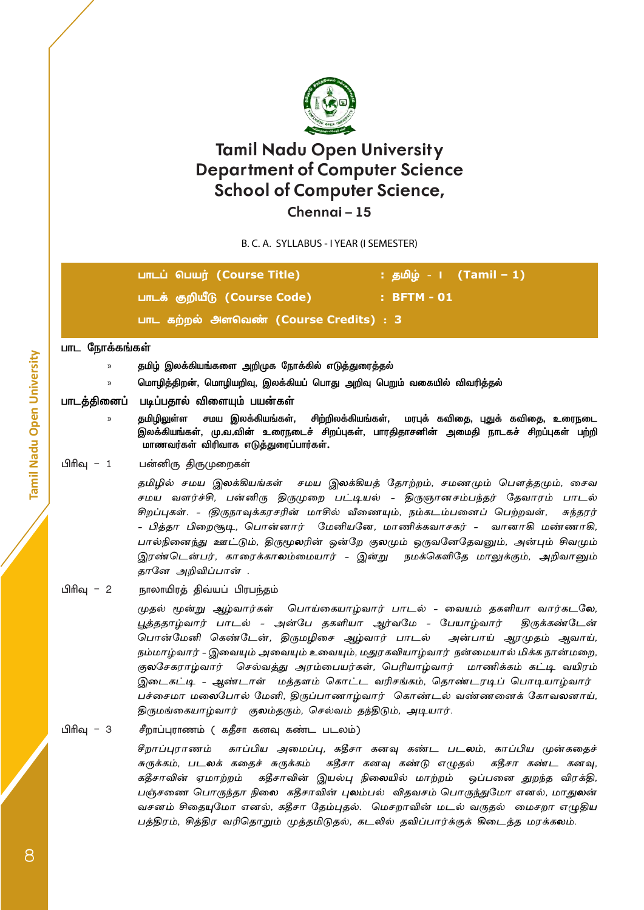

### **Chennai – 15**

B. C. A. SYLLABUS - I YEAR (I SEMESTER)

பாடப் பெயர் **(Course Title) :** தமிழ் - I **(Tamil – 1)** பாடக் குறியீடு **(Course Code) : BFTM - 01** பாட கற்றல் அளவெண் **(Course Credits)** : **3**

#### **பாட ந�ோக்கங்கள்**

- » **தமிழ் இலக்கியங்களை அறிமுக ந�ோக்கில் எடுத்துரைத்தல்**
- » **ம�ொழித்திறன், ம�ொழியறிவு, இலக்கியப் பொது அறிவு பெறும் வகையில் விவரித்தல்**

**பாடத்தினைப் படிப்பதால் விளையும் பயன்கள்**

» **தமிழிலுள்ள சமய இலக்கியங்கள், சிற்றிலக்கியங்கள், மரபுக் கவிதை, புதுக் கவிதை, உரைநடை இலக்கியங்கள், மு.வ.வின் உரைநடைச் சிறப்புகள், பாரதிதாசனின் அமைதி நாடகச் சிறப்புகள் பற்றி மாணவர்கள் விரிவாக எடுத்துரைப்பார்கள்.**

#### பிரிவு – 1 பன்னிரு திருமுறைகள்

தமிழில் சமய இலக்கியங்கள் சமய இலக்கியத் தோற்றம், சமணமும் பௌத்தமும், சைவ சமய வளர்ச்சி, பன்னிரு திருமுறை பட்டியல் - திருஞானசம்பந்தர் தேவாரம் பாடல் சிறப்புகள். - (திருநாவுக்கரசரின் மாசில் வீணையும், நம்கடம்பனைப் பெற்றவள், சுந்தரர் - பித்தா பிறைசூடி, ப�ொன்னார் மேனியனே, மாணிக்கவாசகர் - வானாகி மண்ணாகி, பால்நினைந்து ஊட்டும், திருமூலரின் ஒன்றே குலமும் ஒருவனேதேவனும், அன்பும் சிவமும் இரண்டென்பர், காரைக்காலம்மையார் - இன்று நமக்கெளிதே மாலுக்கும், அறிவானும் தானே அறிவிப்பான் .

#### பிரிவு – 2 நாலாயிரத் திவ்யப் பிரபந்தம்

முதல் மூன்று ஆழ்வார்கள் – பொய்கையாழ்வார் பாடல் - வையம் தகளியா வார்கடலே, பூத்ததாழ்வார் பாடல் - அன்பே தகளியா ஆர்வமே - பேயாழ்வார் – திருக்கண்டேன் ப�ொன்மேனி கெண்டேன், திருமழிசை ஆழ்வார் பாடல் – அன்பாய் ஆரமுதம் ஆவாய், நம்மாழ்வார் - இவையும் அவையும் உவையும், மதுரகவியாழ்வார் – நன்மையால் மிக்க நான்மறை, குலசேகராழ்வார் – செல்வத்து அரம்பையர்கள், பெரியாழ்வார் – மாணிக்கம் கட்டி வயிரம் இடைகட்டி - ஆண்டாள் – மத்தளம் கொட்ட வரிசங்கம், தொண்டரடிப் பொடியாழ்வார் பச்சைமா மலைபோல் மேனி, திருப்பாணாழ்வார் – கொண்டல் வண்ணனைக் கோவலனாய், திருமங்கையாழ்வார் – குலம்தரும், செல்வம் தந்திடும், அடியார்.

#### பிரிவு – 3 சீறாப்புராணம் ( கதீசா கனவு கண்ட படலம்)

சீறாப்புராணம் – காப்பிய அமைப்பு, கதீசா கனவு கண்ட படலம், காப்பிய முன்கதைச் சுருக்கம், படலக் கதைச் சுருக்கம் – கதீசா கனவு கண்டு எழுதல் – கதீசா கண்ட கனவு, கதீசாவின் ஏமாற்றம் – கதீசாவின் இயல்பு நிலையில் மாற்றம் – ஒப்பனை துறந்த விரக்தி, பஞ்சணை பொருந்தா நிலை கதீசாவின் புலம்பல் விதவசம் பொருந்துமோ எனல், மாதுலன் வசனம் சிதையுமோ எனல், கதீசா தேம்புதல். – மெசறாவின் மடல் வருதல் – மைசறா எழுதிய பத்திரம், சித்திர வரிதொறும் முத்தமிடுதல், கடலில் தவிப்பார்க்குக் கிடைத்த மரக்கலம்.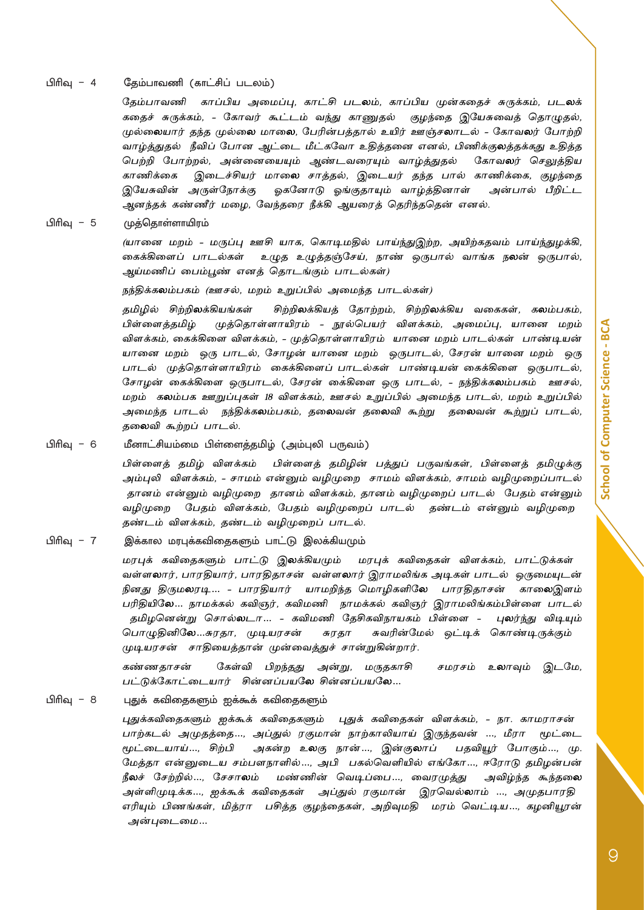#### பிரிவு – 4 தேம்பாவணி (காட்சிப் படலம்)

தேம்பாவணி – காப்பிய அமைப்பு, காட்சி படலம், காப்பிய முன்கதைச் சுருக்கம், படலக் கதைச் சுருக்கம், - கோவர் கூட்டம் வந்து காணுதல் – குழந்தை இயேசுவைத் தொழுதல், முல்லையார் தந்த முல்லை மாலை, பேரின்பத்தால் உயிர் ஊஞ்சலாடல் - கோவலர் போற்றி வாழ்த்துதல் – நீவிப் ப�ோன ஆட்டை மீட்கவோ உதித்தனை எனல், பிணிக்குலத்தக்கது உதித்த பெற்றி ப�ோற்றல், அன்னையையும் ஆண்டவரையும் வாழ்த்துதல் – கோவலர் செலுத்திய காணிக்கை – இடைச்சியர் மாலை சாத்தல், இடையர் தந்த பால் காணிக்கை, குழந்தை இயேசுவின் அருள்நோக்கு – ஓகனோடு ஓங்குதாயும் வாழ்த்தினாள் – அன்பால் பீறிட்ட ஆனந்தக் கண்ணீர் மழை, வேந்தரை நீக்கி ஆயரைத் தெரிந்ததென் எனல்.

பிரிவு – 5 முத்தொள்ளாயிரம்

(யானை மறம் - மருப்பு ஊசி யாக, கொடிமதில் பாய்ந்துஇற்ற, அயிற்கதவம் பாய்ந்துழக்கி, கைக்கிளைப் பாடல்கள் – உழுத உழுத்தஞ்சேய், நாண் ஒருபால் வாங்க நலன் ஒருபால், ஆய்மணிப் பைம்பூண் எனத் தொடங்கும் பாடல்கள்)

நந்திக்கலம்பகம் (ஊசல், மறம் உறுப்பில் அமைந்த பாடல்கள்)

தமிழில் சிற்றிலக்கியங்கள் – சிற்றிலக்கியத் தோற்றம், சிற்றிலக்கிய வகைகள், கலம்பகம், பிள்ளைத்தமிழ் – முத்தொள்ளாயிரம் - நூல்பெயர் விளக்கம், அமைப்பு, யானை மறம் விளக்கம், கைக்கிளை விளக்கம், - முத்தொள்ளாயிரம் – யானை மறம் பாடல்கள் – பாண்டியன் யானை மறம் ஒரு பாடல், சோழன் யானை மறம் ஒருபாடல், சேரன் யானை மறம் ஒரு பாடல் – முத்தொள்ளாயிரம் – கைக்கிளைப் பாடல்கள் – பாண்டியன் கைக்கிளை – ஒருபாடல், சோழன் கைக்கிளை ஒருபாடல், சேரன் கை்கிளை ஒரு பாடல், - நந்திக்கலம்பகம் – ஊசல், மறம் – கலம்பக ஊறுப்புகள் 18 விளக்கம், ஊசல் உறுப்பில் அமைந்த பாடல், மறம் உறுப்பில் அமைந்த பாடல் – நந்திக்கலம்பகம், தலைவன் தலைவி கூற்று – தலைவன் கூற்றுப் பாடல், தலைவி கூற்றப் பாடல்.

பிரிவு – 6 மீனாட்சியம்மை பிள்ளைத்தமிழ் (அம்புலி பருவம்)

பிள்ளைத் தமிழ் விளக்கம் – பிள்ளைத் தமிழின் பத்துப் பருவங்கள், பிள்ளைத் தமிழுக்கு அம்புலி – விளக்கம், - சாமம் என்னும் வழிமுறை – சாமம் விளக்கம், சாமம் வழிமுறைப்பாடல் – தானம் என்னும் வழிமுறை – தானம் விளக்கம், தானம் வழிமுறைப் பாடல் – பேதம் என்னும் வழிமுறை – பேதம் விளக்கம், பேதம் வழிமுறைப் பாடல் – தண்டம் என்னும் வழிமுறை – தண்டம் விளக்கம், தண்டம் வழிமுறைப் பாடல்.

#### பிரிவு – 7 இக்கால மரபுக்கவிதைகளும் பாட்டு இலக்கியமும்

மரபுக் கவிதைகளும் பாட்டு இலக்கியமும் – மரபுக் கவிதைகள் விளக்கம், பாட்டுக்கள் – வள்ளலார், பாரதியார், பாரதிதாசன் – வள்ளலார் இராமலிங்க அடிகள் பாடல் – ஒருமையுடன் நினது திருமலரடி… - பாரதியார் – யாமறிந்த மொழிகளிலே – பாரதிதாசன் – காலைஇளம் பரிதியிலே… நாமக்கல் கவிஞர், கவிமணி – நாமக்கல் கவிஞர் இராமலிங்கம்பிள்ளை பாடல் – தமிழனென்று சொல்லடா… - கவிமணி தேசிகவிநாயகம் பிள்ளை - புலர்ந்து விடியும் பொழுதினிலே…சுரதா, முடியரசன் – சுரதா – சுவரின்மேல் ஒட்டிக் கொண்டிருக்கும் முடியரசன் – சாதியைத்தான் முன்வைத்துச் சான்றுகின்றார்.

கண்ணதாசன் – கேள்வி பிறந்தது அன்று, மருதகாசி – சமரசம் உலாவும் இடமே, பட்டுக்கோட்டையார் – சின்னப்பயலே சின்னப்பயலே…

பிரிவு – 8 புதுக் கவிதைகளும் ஐக்கூக் கவிதைகளும்

புதுக்கவிதைகளும் ஐக்கூக் கவிதைகளும் – புதுக் கவிதைகள் விளக்கம், - நா. காமராசன் – பாற்கடல் அமுதத்தை..., அப்துல் ரகுமான் நாற்காலியாய் இருந்தவன் ..., மீரா – மூட்டை மூட்டையாய்…, சிற்பி அகன்ற உலகு நான்…, இன்குலாப் பதவியூர் போகும்…, மு. மேத்தா –என்னுடைய சம்பளநாளில்…, அபி – பகல்வெளியில் எங்கோ…, ஈரோடு தமிழன்பன் –நீலச் சேற்றில்…, சேசாலம் – மண்ணின் வெடிப்பை…, வைரமுத்து – அவிழ்ந்த கூந்தலை அள்ளிமுடிக்க…, ஐக்கூக் கவிதைகள் அப்துல் ரகுமான் இரவெல்லாம் …, அமுதபாரதி எரியும் பிணங்கள், மித்ரா – பசித்த குழந்தைகள், அறிவுமதி – மரம் வெட்டிய…, கழனியூரன் – அன்புடைமை…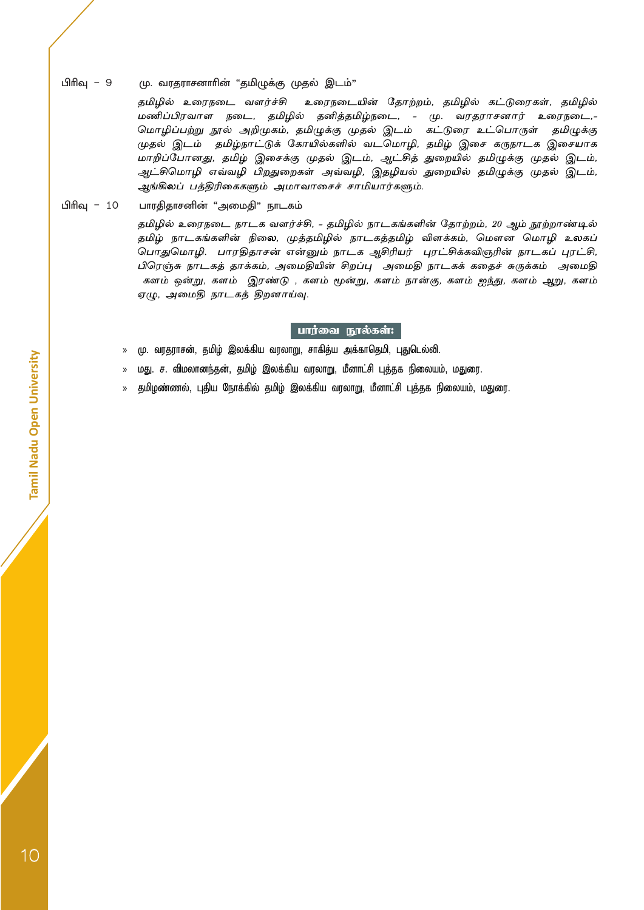#### பிரிவு – 9 மு. வரதராசனாரின் "தமிழுக்கு முதல் இடம்"

தமிழில் உரைநடை வளர்ச்சி உரைநடையின் தோற்றம், தமிழில் கட்டுரைகள், தமிழில் மணிப்பிரவாள நடை, தமிழில் தனித்தமிழ்நடை, - மு. வரதராசனார் உரைநடை,- மொழிப்பற்று நூல் அறிமுகம், தமிழுக்கு முதல் இடம் – கட்டுரை உட்பொருள் – தமிழுக்கு முதல் இடம் – தமிழ்நாட்டுக் கோயில்களில் வடமொழி, தமிழ் இசை கருநாடக இசையாக மாறிப்போனது, தமிழ் இசைக்கு முதல் இடம், ஆட்சித் துறையில் தமிழுக்கு முதல் இடம், ஆட்சிமொழி எவ்வழி பிறதுறைகள் அவ்வழி, இதழியல் துறையில் தமிழுக்கு முதல் இடம், ஆங்கிலப் பத்திரிகைகளும் அமாவாசைச் சாமியார்களும்.

#### பிரிவு – 10 பாரதிதாசனின் "அமைதி" நாடகம்

தமிழில் உரைநடை நாடக வளர்ச்சி, - தமிழில் நாடகங்களின் தோற்றம், 20 ஆம் நூற்றாண்டில் தமிழ் நாடகங்களின் நிலை, முத்தமிழில் நாடகத்தமிழ் விளக்கம், மௌன மொழி உலகப் ப�ொதுமொழி. – பாரதிதாசன் என்னும் நாடக ஆசிரியர் – புரட்சிக்கவிஞரின் நாடகப் புரட்சி, பிரெஞ்சு நாடகத் தாக்கம், அமைதியின் சிறப்பு – அமைதி நாடகக் கதைச் சுருக்கம் – அமைதி களம் ஒன்று, களம் – இரண்டு , களம் மூன்று, களம் நான்கு, களம் ஐந்து, களம் ஆறு, களம் ஏழு, அமைதி நாடகத் திறனாய்வு.

#### பார்வை நூல்கள்:

- » மு. வரதராசன், தமிழ் இலக்கிய வரலாறு, சாகித்ய அக்காதெமி, புதுடெல்லி.
- » மது. ச. விமலானந்தன், தமிழ் இலக்கிய வரலாறு, மீனாட்சி புத்தக நிலையம், மதுரை.
- தமிழண்ணல், புதிய நோக்கில் தமிழ் இலக்கிய வரலாறு, மீனாட்சி புத்தக நிலையம், மதுரை.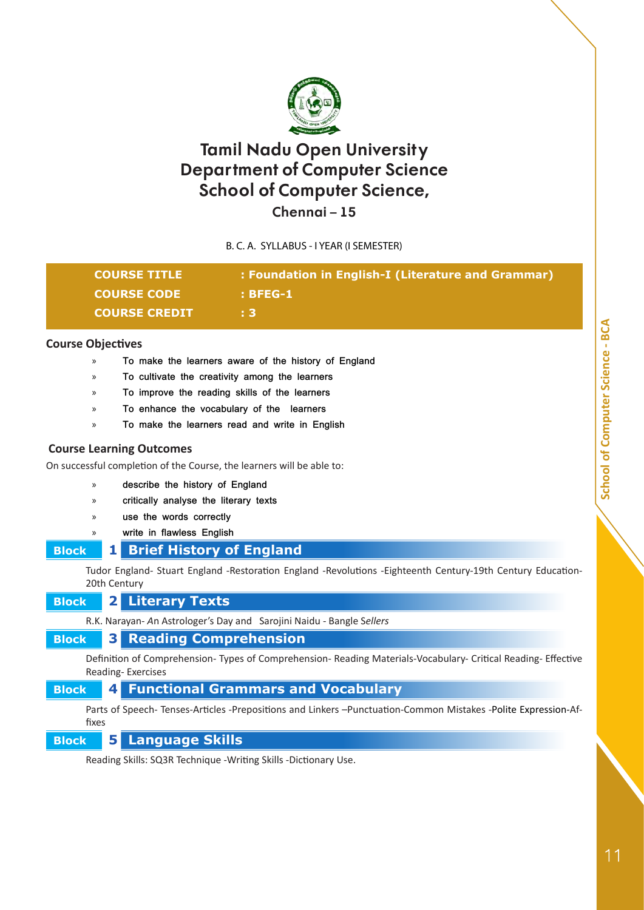

**Chennai – 15**

B. C. A. SYLLABUS - I YEAR (I SEMESTER)

|                          | <b>COURSE TITLE</b><br><b>COURSE CODE</b>                             | : Foundation in English-I (Literature and Grammar)<br>: BFEG-1                                                 |
|--------------------------|-----------------------------------------------------------------------|----------------------------------------------------------------------------------------------------------------|
|                          | <b>COURSE CREDIT</b>                                                  | : 3                                                                                                            |
| <b>Course Objectives</b> |                                                                       |                                                                                                                |
| $\mathcal{P}$            |                                                                       | To make the learners aware of the history of England                                                           |
| »                        | To cultivate the creativity among the learners                        |                                                                                                                |
| $\rangle$                | To improve the reading skills of the learners                         |                                                                                                                |
| $\mathcal{P}$            | To enhance the vocabulary of the learners                             |                                                                                                                |
| $\rangle$                | To make the learners read and write in English                        |                                                                                                                |
|                          | <b>Course Learning Outcomes</b>                                       |                                                                                                                |
|                          | On successful completion of the Course, the learners will be able to: |                                                                                                                |
| $\mathcal{P}$            | describe the history of England                                       |                                                                                                                |
| $\mathcal{P}$            | critically analyse the literary texts                                 |                                                                                                                |
| »                        | use the words correctly                                               |                                                                                                                |
| $\rangle$                | write in flawless English                                             |                                                                                                                |
| <b>Block</b>             | <b>Brief History of England</b><br>1                                  |                                                                                                                |
|                          | 20th Century                                                          | Tudor England- Stuart England -Restoration England -Revolutions -Eighteenth Century-19th Century Education-    |
| <b>Block</b>             | 2 <br><b>Literary Texts</b>                                           |                                                                                                                |
|                          |                                                                       | R.K. Narayan- An Astrologer's Day and Sarojini Naidu - Bangle Sellers                                          |
| <b>Block</b>             | <b>Reading Comprehension</b><br>3                                     |                                                                                                                |
|                          | Reading-Exercises                                                     | Definition of Comprehension- Types of Comprehension- Reading Materials-Vocabulary- Critical Reading- Effective |
| <b>Block</b>             | 4                                                                     | <b>Functional Grammars and Vocabulary</b>                                                                      |
| fixes                    |                                                                       | Parts of Speech- Tenses-Articles -Prepositions and Linkers -Punctuation-Common Mistakes -Polite Expression-Af- |
| <b>Block</b>             | <b>Language Skills</b><br>5 <sub>l</sub>                              |                                                                                                                |

Reading Skills: SQ3R Technique -Writing Skills -Dictionary Use.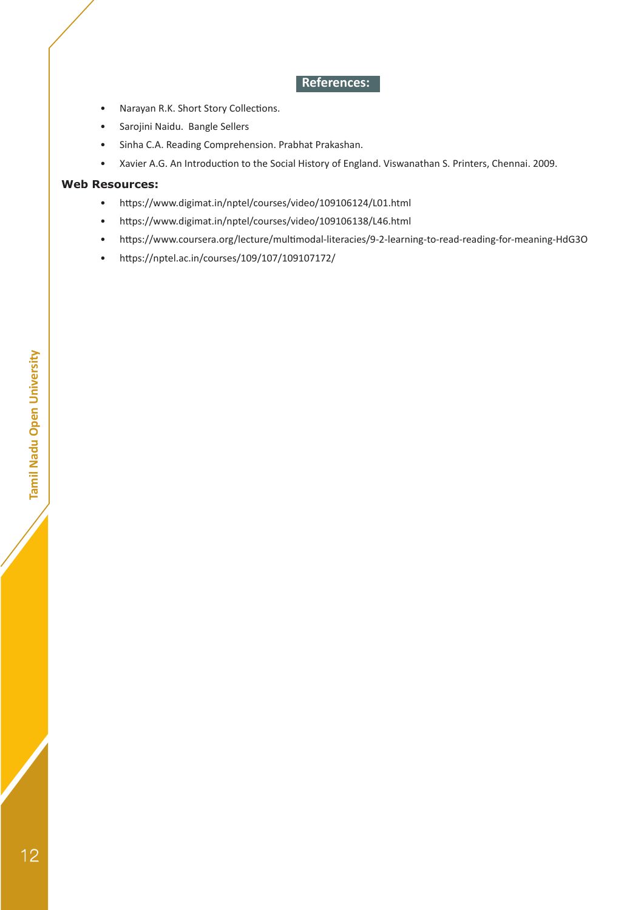### **References:**

- Narayan R.K. Short Story Collections.
- Sarojini Naidu. Bangle Sellers
- Sinha C.A. Reading Comprehension. Prabhat Prakashan.
- Xavier A.G. An Introduction to the Social History of England. Viswanathan S. Printers, Chennai. 2009.

#### **Web Resources:**

- https://www.digimat.in/nptel/courses/video/109106124/L01.html
- https://www.digimat.in/nptel/courses/video/109106138/L46.html
- https://www.coursera.org/lecture/multimodal-literacies/9-2-learning-to-read-reading-for-meaning-HdG3O
- https://nptel.ac.in/courses/109/107/109107172/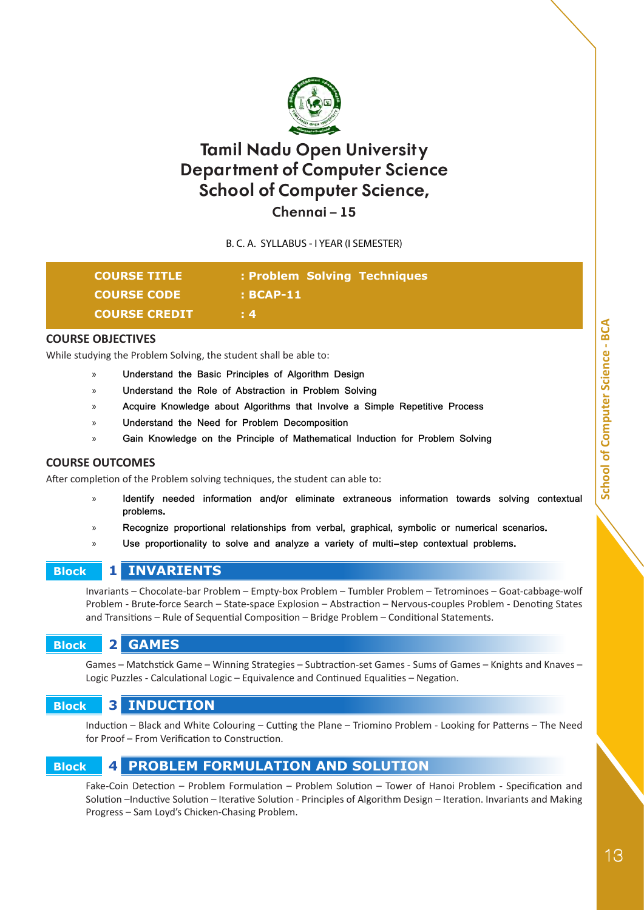

**Chennai – 15**

B. C. A. SYLLABUS - I YEAR (I SEMESTER)

| <b>COURSE TITLE</b>  | : Problem Solving Techniques |
|----------------------|------------------------------|
| <b>COURSE CODE</b>   | $\pm$ BCAP-11                |
| <b>COURSE CREDIT</b> | $\pm 4$                      |

#### **COURSE OBJECTIVES**

While studying the Problem Solving, the student shall be able to:

- » **Understand the Basic Principles of Algorithm Design**
- » **Understand the Role of Abstraction in Problem Solving**
- » **Acquire Knowledge about Algorithms that Involve a Simple Repetitive Process**
- » **Understand the Need for Problem Decomposition**
- » **Gain Knowledge on the Principle of Mathematical Induction for Problem Solving**

#### **COURSE OUTCOMES**

After completion of the Problem solving techniques, the student can able to:

- » **Identify needed information and/or eliminate extraneous information towards solving contextual problems.**
- » **Recognize proportional relationships from verbal, graphical, symbolic or numerical scenarios.**
- » **Use proportionality to solve and analyze a variety of multi-step contextual problems.**

#### **Block 1 INVARIENTS**

Invariants – Chocolate-bar Problem – Empty-box Problem – Tumbler Problem – Tetrominoes – Goat-cabbage-wolf Problem - Brute-force Search – State-space Explosion – Abstraction – Nervous-couples Problem - Denoting States and Transitions – Rule of Sequential Composition – Bridge Problem – Conditional Statements.

 **Block 2 GAMES**

Games – Matchstick Game – Winning Strategies – Subtraction-set Games - Sums of Games – Knights and Knaves – Logic Puzzles - Calculational Logic – Equivalence and Continued Equalities – Negation.

#### **Block 3 INDUCTION**

Induction – Black and White Colouring – Cutting the Plane – Triomino Problem - Looking for Patterns – The Need for Proof – From Verification to Construction.

### **Block 4 PROBLEM FORMULATION AND SOLUTION**

Fake-Coin Detection – Problem Formulation – Problem Solution – Tower of Hanoi Problem - Specification and Solution –Inductive Solution – Iterative Solution - Principles of Algorithm Design – Iteration. Invariants and Making Progress – Sam Loyd's Chicken-Chasing Problem.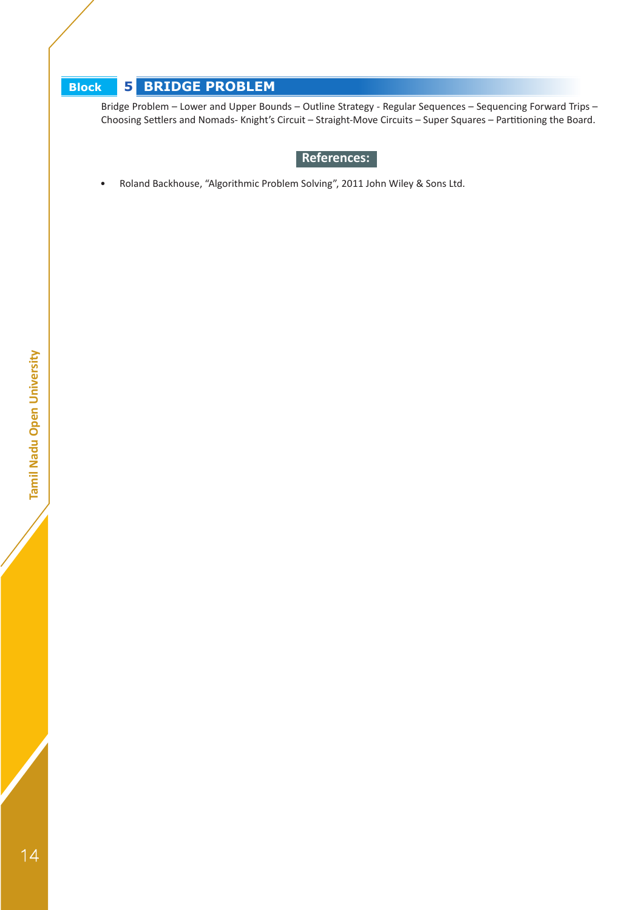# **Block 5 BRIDGE PROBLEM**

Bridge Problem – Lower and Upper Bounds – Outline Strategy - Regular Sequences – Sequencing Forward Trips – Choosing Settlers and Nomads- Knight's Circuit – Straight-Move Circuits – Super Squares – Partitioning the Board.

### **References:**

• Roland Backhouse, "Algorithmic Problem Solving", 2011 John Wiley & Sons Ltd.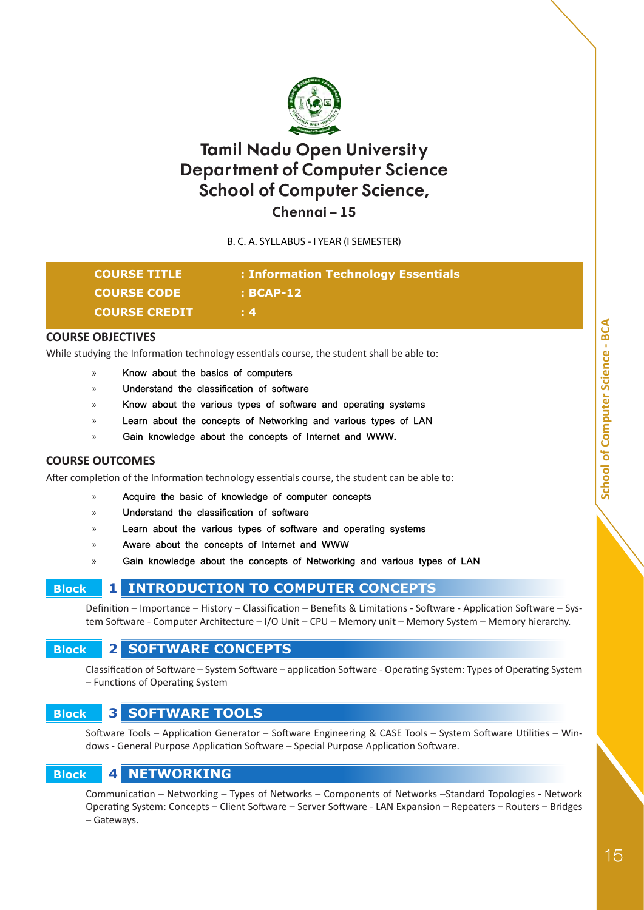

**Chennai – 15**

B. C. A. SYLLABUS - I YEAR (I SEMESTER)

| <b>COURSE TITLE</b>  | : Information Technology Essentials |
|----------------------|-------------------------------------|
| <b>COURSE CODE</b>   | $: BCAP-12$                         |
| <b>COURSE CREDIT</b> | $\pm 4$                             |

#### **COURSE OBJECTIVES**

While studying the Information technology essentials course, the student shall be able to:

- » **Know about the basics of computers**
- » **Understand the classification of software**
- » **Know about the various types of software and operating systems**
- » **Learn about the concepts of Networking and various types of LAN**
- Gain knowledge about the concepts of Internet and WWW.

#### **COURSE OUTCOMES**

After completion of the Information technology essentials course, the student can be able to:

- » **Acquire the basic of knowledge of computer concepts**
- » **Understand the classification of software**
- » **Learn about the various types of software and operating systems**
- » **Aware about the concepts of Internet and WWW**
- » **Gain knowledge about the concepts of Networking and various types of LAN**

# **Block 1 INTRODUCTION TO COMPUTER CONCEPTS**

Definition – Importance – History – Classification – Benefits & Limitations - Software - Application Software – System Software - Computer Architecture – I/O Unit – CPU – Memory unit – Memory System – Memory hierarchy.

# **Block 2 SOFTWARE CONCEPTS**

Classification of Software – System Software – application Software - Operating System: Types of Operating System – Functions of Operating System

### **Block 3 SOFTWARE TOOLS**

Software Tools – Application Generator – Software Engineering & CASE Tools – System Software Utilities – Windows - General Purpose Application Software – Special Purpose Application Software.

### **Block 4 NETWORKING**

Communication – Networking – Types of Networks – Components of Networks –Standard Topologies - Network Operating System: Concepts – Client Software – Server Software - LAN Expansion – Repeaters – Routers – Bridges – Gateways.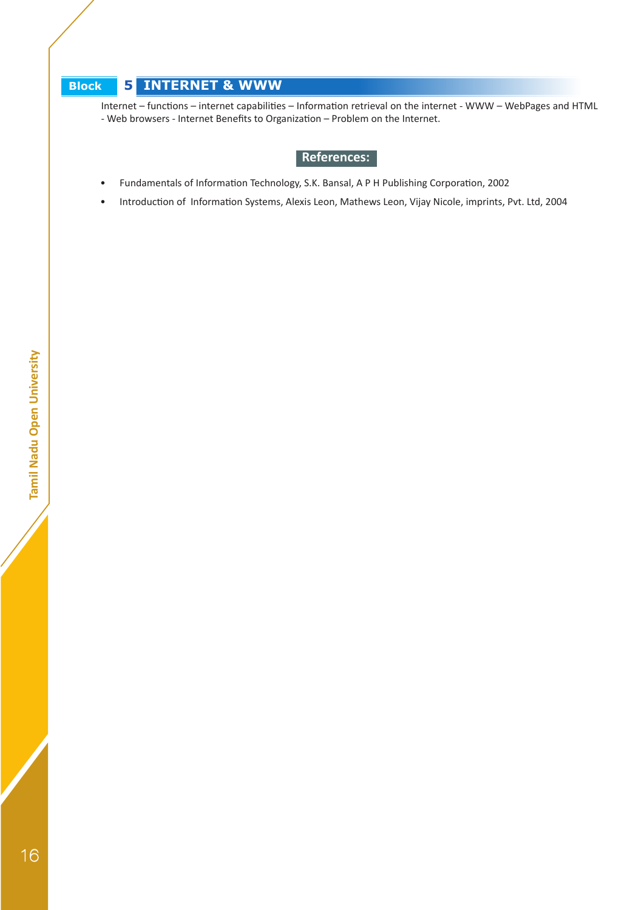# **Block 5 INTERNET & WWW**

Internet – functions – internet capabilities – Information retrieval on the internet - WWW – WebPages and HTML - Web browsers - Internet Benefits to Organization – Problem on the Internet.

# **References:**

- Fundamentals of Information Technology, S.K. Bansal, A P H Publishing Corporation, 2002
- Introduction of Information Systems, Alexis Leon, Mathews Leon, Vijay Nicole, imprints, Pvt. Ltd, 2004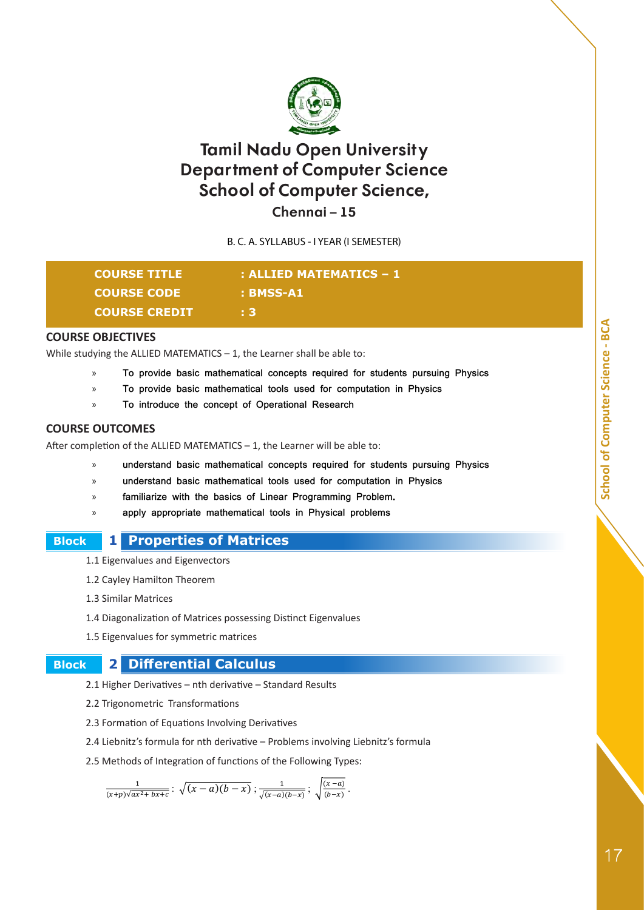

**Chennai – 15**

B. C. A. SYLLABUS - I YEAR (I SEMESTER)

| <b>COURSE TITLE</b>  | : ALLIED MATEMATICS – 1 |
|----------------------|-------------------------|
| <b>COURSE CODE</b>   | : BMSS-A1               |
| <b>COURSE CREDIT</b> | : 3                     |

#### **COURSE OBJECTIVES**

While studying the ALLIED MATEMATICS  $-1$ , the Learner shall be able to:

- » **To provide basic mathematical concepts required for students pursuing Physics**
- » **To provide basic mathematical tools used for computation in Physics**
- » **To introduce the concept of Operational Research**

#### **COURSE OUTCOMES**

After completion of the ALLIED MATEMATICS – 1, the Learner will be able to:

- » **understand basic mathematical concepts required for students pursuing Physics**
- » **understand basic mathematical tools used for computation in Physics**
- familiarize with the basics of Linear Programming Problem.
- » **apply appropriate mathematical tools in Physical problems**

#### **Block 1 Properties of Matrices**

1.1 Eigenvalues and Eigenvectors

- 1.2 Cayley Hamilton Theorem
- 1.3 Similar Matrices
- 1.4 Diagonalization of Matrices possessing Distinct Eigenvalues
- 1.5 Eigenvalues for symmetric matrices

### **Block 2 Differential Calculus**

2.1 Higher Derivatives – nth derivative – Standard Results

- 2.2 Trigonometric Transformations
- 2.3 Formation of Equations Involving Derivatives
- 2.4 Liebnitz's formula for nth derivative Problems involving Liebnitz's formula
- 2.5 Methods of Integration of functions of the Following Types:

$$
\frac{1}{(x+p)\sqrt{ax^2+bx+c}}\colon \sqrt{(x-a)(b-x)}; \frac{1}{\sqrt{(x-a)(b-x)}}; \sqrt{\frac{(x-a)}{(b-x)}}.
$$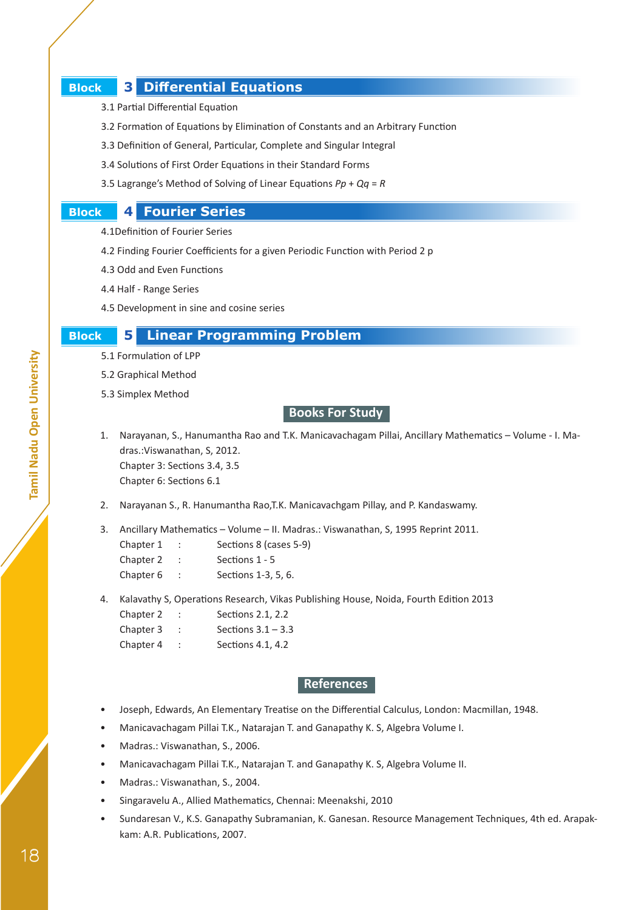### **Block 3 Differential Equations**

- 3.1 Partial Differential Equation
- 3.2 Formation of Equations by Elimination of Constants and an Arbitrary Function
- 3.3 Definition of General, Particular, Complete and Singular Integral
- 3.4 Solutions of First Order Equations in their Standard Forms
- 3.5 Lagrange's Method of Solving of Linear Equations *Pp* + *Qq* = *R*

### **Block 4 Fourier Series**

- 4.1Definition of Fourier Series
- 4.2 Finding Fourier Coefficients for a given Periodic Function with Period 2 p
- 4.3 Odd and Even Functions
- 4.4 Half Range Series
- 4.5 Development in sine and cosine series

#### **Block 5 Linear Programming Problem**

- 5.1 Formulation of LPP
- 5.2 Graphical Method
- 5.3 Simplex Method

 **Books For Study**

- 1. Narayanan, S., Hanumantha Rao and T.K. Manicavachagam Pillai, Ancillary Mathematics Volume I. Madras.:Viswanathan, S, 2012. Chapter 3: Sections 3.4, 3.5 Chapter 6: Sections 6.1
- 2. Narayanan S., R. Hanumantha Rao,T.K. Manicavachgam Pillay, and P. Kandaswamy.

3. Ancillary Mathematics – Volume – II. Madras.: Viswanathan, S, 1995 Reprint 2011.

| Chapter 1 | Sections 8 (cases 5-9) |
|-----------|------------------------|
| Chapter 2 | Sections 1 - 5         |
| Chapter 6 | Sections 1-3, 5, 6.    |

- 4. Kalavathy S, Operations Research, Vikas Publishing House, Noida, Fourth Edition 2013
	- Chapter 2 : Sections 2.1, 2.2
	- Chapter 3 : Sections 3.1 3.3
	- Chapter 4 : Sections 4.1, 4.2

#### **References**

- Joseph, Edwards, An Elementary Treatise on the Differential Calculus, London: Macmillan, 1948.
- Manicavachagam Pillai T.K., Natarajan T. and Ganapathy K. S, Algebra Volume I.
- Madras.: Viswanathan, S., 2006.
- Manicavachagam Pillai T.K., Natarajan T. and Ganapathy K. S, Algebra Volume II.
- Madras.: Viswanathan, S., 2004.
- Singaravelu A., Allied Mathematics, Chennai: Meenakshi, 2010
- Sundaresan V., K.S. Ganapathy Subramanian, K. Ganesan. Resource Management Techniques, 4th ed. Arapakkam: A.R. Publications, 2007.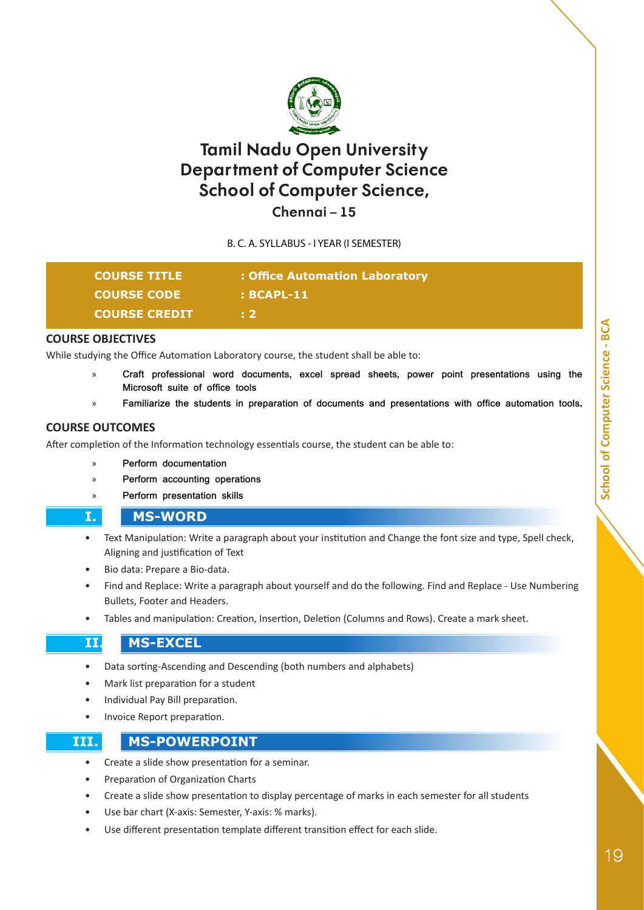

**Chennai – 15**

B. C. A. SYLLABUS - I YEAR (I SEMESTER)

| <b>COURSE TITLE</b>  | : Office Automation Laboratory |
|----------------------|--------------------------------|
| <b>COURSE CODE</b>   | $\pm$ BCAPL-11                 |
| <b>COURSE CREDIT</b> | . 2                            |

#### **COURSE OBJECTIVES**

While studying the Office Automation Laboratory course, the student shall be able to:

- » **Craft professional word documents, excel spread sheets, power point presentations using the Microsoft suite of office tools**
- » **Familiarize the students in preparation of documents and presentations with office automation tools.**

#### **COURSE OUTCOMES**

After completion of the Information technology essentials course, the student can be able to:

- » **Perform documentation**
- » **Perform accounting operations**
- » **Perform presentation skills**

#### **I. MS-WORD**

- Text Manipulation: Write a paragraph about your institution and Change the font size and type, Spell check, Aligning and justification of Text
- Bio data: Prepare a Bio-data.
- Find and Replace: Write a paragraph about yourself and do the following. Find and Replace Use Numbering Bullets, Footer and Headers.
- Tables and manipulation: Creation, Insertion, Deletion (Columns and Rows). Create a mark sheet.

#### **II. MS-EXCEL**

- Data sorting-Ascending and Descending (both numbers and alphabets)
- Mark list preparation for a student
- Individual Pay Bill preparation.
- Invoice Report preparation.

#### **III. MS-POWERPOINT**

- Create a slide show presentation for a seminar.
- Preparation of Organization Charts
- Create a slide show presentation to display percentage of marks in each semester for all students
- Use bar chart (X-axis: Semester, Y-axis: % marks).
- Use different presentation template different transition effect for each slide.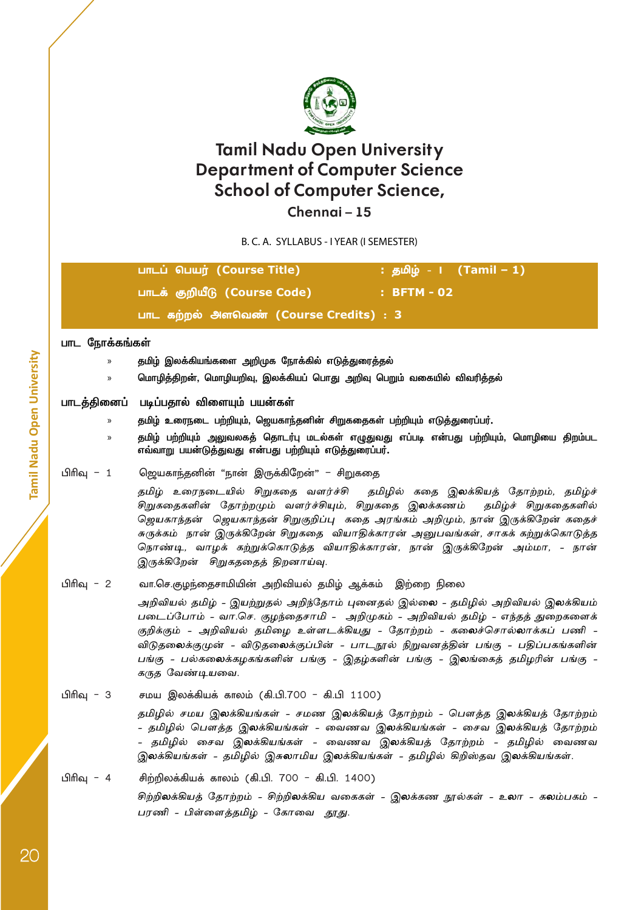

**Chennai – 15**

B. C. A. SYLLABUS - I YEAR (I SEMESTER)

| பாடப் பெயர் (Course Title)             |             |
|----------------------------------------|-------------|
| பாடக் குறியீடு (Course Code)           | : BFTM - 02 |
| பாட கற்றல் அளவெண் (Course Credits) : 3 |             |

#### **பாட ந�ோக்கங்கள்**

- » **தமிழ் இலக்கியங்களை அறிமுக ந�ோக்கில் எடுத்துரைத்தல்**
- » **ம�ொழித்திறன், ம�ொழியறிவு, இலக்கியப் பொது அறிவு பெறும் வகையில் விவரித்தல்**

#### **பாடத்தினைப் படிப்பதால் விளையும் பயன்கள்**

- » **தமிழ் உரைநடை பற்றியும், ஜெயகாந்தனின் சிறுகதைகள் பற்றியும் எடுத்துரைப்பர்.**
- » **தமிழ் பற்றியும் அலுவலகத் தொடர்பு மடல்கள் எழுதுவது எப்படி என்பது பற்றியும், ம�ொழியை திறம்பட எவ்வாறு பயன்டுத்துவது என்பது பற்றியும் எடுத்துரைப்பர்.**
- பிரிவு 1 ஜெயகாந்தனின் "நான் இருக்கிறேன்" சிறுகதை

தமிழ் உரைநடையில் சிறுகதை வளர்ச்சி தமிழில் கதை இலக்கியத் கோற்றம், தமிழ்ச் சிறுகதைகளின் தோற்றமும் வளர்ச்சியும், சிறுகதை இலக்கணம் தமிழ்ச் சிறுகதைகளில் ஜெயகாந்தன் – ஜெயகாந்தன் சிறுகுறிப்பு – கதை அரங்கம் அறிமும், நான் இருக்கிறேன் கதைச் சுருக்கம் – நான் இருக்கிறேன் சிறுகதை – வியாதிக்காரன் அனுபவங்கள், சாகக் கற்றுக்கொடுத்த நொண்டி, வாழக் கற்றுக்கொடுத்த வியாதிக்காரன், நான் இருக்கிறேன் அம்மா, - நான் இருக்கிறேன் – சிறுகததைத் திறனாய்வு.

#### பிரிவு - 2 வா.செ.குழந்தைசாமியின் அறிவியல் தமிழ் ஆக்கம் இற்றை நிலை

அறிவியல் தமிழ் - இயற்றுதல் அறிந்தோம் புனைதல் இல்லை - தமிழில் அறிவியல் இலக்கியம் படைப்போம் - வா.செ. குழந்தைசாமி - அறிமுகம் - அறிவியல் தமிழ் - எந்தத் துறைகளைக் குறிக்கும் - அறிவியல் தமிழை உள்ளடக்கியது - தோற்றம் - கலைச்சொல்லாக்கப் பணி -விடுதலைக்குமுன் - விடுதலைக்குப்பின் - பாடநூல் நிறுவனத்தின் பங்கு - பதிப்பகங்களின் பங்கு - பல்கலைக்கழகங்களின் பங்கு - இதழ்களின் பங்கு - இலங்கைத் தமிழரின் பங்கு - கருத வேண்டியவை.

# பிரிவு - 3 சமய இலக்கியக் காலம் (கி.பி.700 - கி.பி 1100) தமிழில் சமய இலக்கியங்கள் - சமண இலக்கியத் தோற்றம் - பௌத்த இலக்கியத் தோற்றம் - தமிழில் பௌத்த இலக்கியங்கள் - வைணவ இலக்கியங்கள் - சைவ இலக்கியத் தோற்றம் - தமிழில் சைவ இலக்கியங்கள் - வைணவ இலக்கியத் தோற்றம் - தமிழில் வைணவ இலக்கியங்கள் - தமிழில் இசுலாமிய இலக்கியங்கள் - தமிழில் கிறிஸ்தவ இலக்கியங்கள்.

# பிரிவு - 4 சிற்றிலக்கியக் காலம் (கி.பி. 700 - கி.பி. 1400) சிற்றிலக்கியத் தோற்றம் - சிற்றிலக்கிய வகைகள் - இலக்கண நூல்கள் - உலா - கலம்பகம் -பரணி - பிள்ளைத்தமிழ் - கோவை – தூது.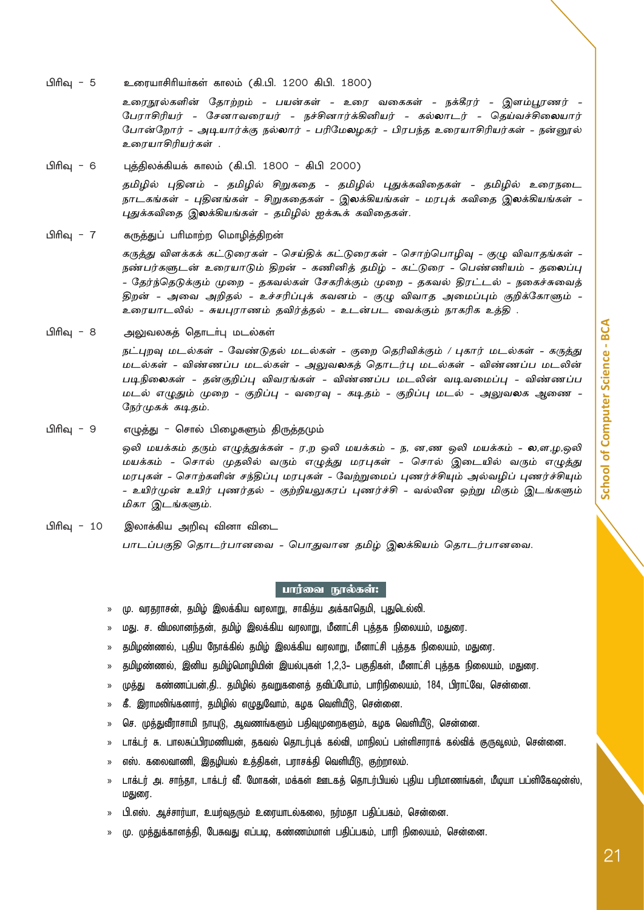பிரிவு - 5 உரையாசிரியர்கள் காலம் (கி.பி. 1200 கிபி. 1800)

உரைநூல்களின் த ோற்றம் - பயன்கள் - உரை வகைகள் - நக்கீரர் - இளம்பூரணர் - பேராசிரியர் - சேனாவரையர் - நச்சினார்க்கினியர் - கல்லாடர் - தெய்வச்சிலையார் ப�ோன்றோர் - அடியார்க்கு நல்லார் - பரிமேலழகர் - பிரபந்த உரையாசிரியர்கள் - நன்னூல் உரையாசிரியர்கள் .

நாடகங்கள் - புதினங்கள் - சிறுகதைகள் - இலக்கியங்கள் - மரபுக் கவிதை இலக்கியங்கள் -

பிரிவு - 6 புத்திலக்கியக் காலம் (கி.பி. 1800 - கிபி 2000) தமிழில் புதினம் - தமிழில் சிறுகதை - தமிழில் புதுக்கவிதைகள் - தமிழில் உரைநடை

புதுக்கவிதை இலக்கியங்கள் - தமிழில் ஐக்கூக் கவிதைகள். பிரிவு - 7 கருத்துப் பரிமாற்ற மொழித்திறன் கருத்து விளக்கக் கட்டுரைகள் - செய்திக் கட்டுரைகள் - சொற்பொழிவு - குழு விவாதங்கள் - நண்பர்களுடன் உரையாடும் திறன் - கணினித் தமிழ் - கட்டுரை - பெண்ணியம் - தலைப்பு - தேர்ந்தெடுக்கும் முறை - தகவல்கள் சேகரிக்கும் முறை - தகவல் திரட்டல் - நகைச்சுவைத் திறன் - அவை அறிதல் - உச்சரிப்புக் கவனம் - குழு விவாத அமைப்பும் குறிக்கோளும் -

உரையாடலில் - சுயபுராணம் தவிர்த்தல் - உடன்பட வைக்கும் நாகரிக உத்தி .

பிரிவு - 8 அலுவலகத் தொடர்பு மடல்கள்

நட்புறவு மடல்கள் - வேண்டுதல் மடல்கள் - குறை தெரிவிக்கும் / புகார் மடல்கள் - கருத்து மடல்கள் - விண்ணப்ப மடல்கள் - அலுவலகத் தொடர்பு மடல்கள் - விண்ணப்ப மடலின் படிநிலைகள் - தன்குறிப்பு விவரங்கள் - விண்ணப்ப மடலின் வடிவமைப்பு - விண்ணப்ப மடல் எழுதும் முறை - குறிப்பு - வரைவு - கடிதம் - குறிப்பு மடல் - அலுவலக ஆணை - நேர்முகக் கடிதம்.

பிரிவு - 9 எழுத்து - சொல் பிழைகளும் திருத்தமும்

ஒலி மயக்கம் தரும் எழுத்துக்கள் - ர,ற ஒலி மயக்கம் - ந, ன,ண ஒலி மயக்கம் - ல,ள,ழ,ஒலி மயக்கம் - சொல் முதலில் வரும் எழுத்து மரபுகள் - சொல் இடையில் வரும் எழுத்து மரபுகள் - சொற்களின் சந்திப்பு மரபுகள் - வேற்றுமைப் புணர்ச்சியும் அல்வழிப் புணர்ச்சியும் - உயிர்முன் உயிர் புணர்தல் - குற்றியலுகரப் புணர்ச்சி - வல்லின ஒற்று மிகும் இடங்களும் மிகா இடங்களும்.

பிரிவு - 10 இலாக்கிய அறிவு வினா விடை பாடப்பகுதி தொடர்பானவை - ப�ொதுவான தமிழ் இலக்கியம் தொடர்பானவை.

#### பார்வை நூல்கள்:

- » மு. வரதராசன், தமிழ் இலக்கிய வரலாறு, சாகித்ய அக்காதெமி, புதுடெல்லி.
- » மது. ச. விமலானந்தன், தமிழ் இலக்கிய வரலாறு, மீனாட்சி புத்தக நிலையம், மதுரை.
- » தமிழண்ணல், புதிய நோக்கில் தமிழ் இலக்கிய வரலாறு, மீனாட்சி புத்தக நிலையம், மதுரை.
- » தமிழண்ணல், இனிய தமிழ்மொழியின் இயல்புகள் 1,2,3- பகுதிகள், மீனாட்சி புத்தக நிலையம், மதுரை.
- » முத்து கண்ணப்பன்,தி.. தமிழில் தவறுகளைத் தவிப்போம், பாரிநிலையம், 184, பிராட்வே, சென்னை.
- » கீ. இராமலிங்கனார், தமிழில் எழுதுவோம், கழக வெளியீடு, சென்னை.
- » செ. முத்துவீராசாமி நாயுடு, ஆவணங்களும் பதிவுமுறைகளும், கழக வெளியீடு, சென்னை.
- » டாக்டர் சு. பாலசுப்பிரமணியன், தகவல் தொடர்புக் கல்வி, மாநிலப் பள்ளிசாராக் கல்விக் குருவூலம், சென்னை.
- » எஸ். கலைவாணி, இதழியல் உத்திகள், பராசக்தி வெளியீடு, குற்றாலம்.
- » டாக்டர் அ. சாந்தா, டாக்டர் வீ. மோகன், மக்கள் ஊடகத் தொடர்பியல் புதிய பரிமாணங்கள், மீடியா பப்ளிகேஷன்ஸ், மதுரை.
- » பி.எஸ். ஆச்சார்யா, உயர்வுதரும் உரையாடல்கலை, நர்மதா பதிப்பகம், சென்னை.
- » மு. முத்துக்காளத்தி, பேசுவது எப்படி, கண்ணம்மாள் பதிப்பகம், பாரி நிலையம், சென்னை.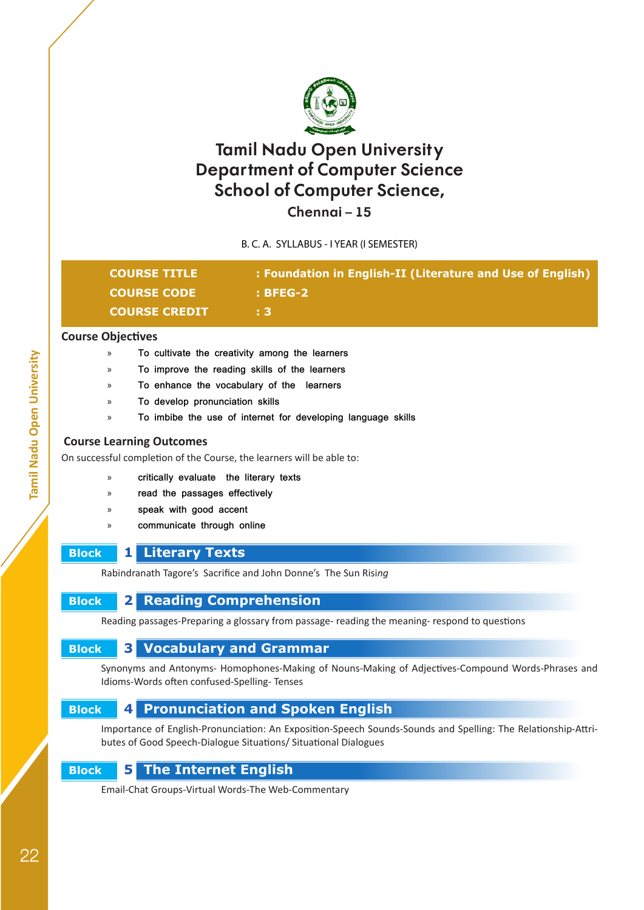

**Chennai – 15**

B. C. A. SYLLABUS - I YEAR (I SEMESTER)

| <b>COURSE TITLE</b> . | : Foundation in English-II (Literature and Use of English) |
|-----------------------|------------------------------------------------------------|
| <b>COURSE CODE</b>    | : BFEG-2                                                   |
| <b>COURSE CREDIT</b>  | 8 B.I                                                      |

#### **Course Objectives**

- » **To cultivate the creativity among the learners**
- » **To improve the reading skills of the learners**
- » **To enhance the vocabulary of the learners**
- » **To develop pronunciation skills**
- » **To imbibe the use of internet for developing language skills**

#### **Course Learning Outcomes**

On successful completion of the Course, the learners will be able to:

- » **critically evaluate the literary texts**
- » **read the passages effectively**
- » **speak with good accent**
- » **communicate through online**

# **Block 1 Literary Texts**

Rabindranath Tagore's Sacrifice and John Donne's The Sun Risi*ng*

# **Block 2 Reading Comprehension**

Reading passages-Preparing a glossary from passage- reading the meaning- respond to questions

# **Block 3 Vocabulary and Grammar**

Synonyms and Antonyms- Homophones-Making of Nouns-Making of Adjectives-Compound Words-Phrases and Idioms-Words often confused-Spelling- Tenses

# **Block 4 Pronunciation and Spoken English**

Importance of English-Pronunciation: An Exposition-Speech Sounds-Sounds and Spelling: The Relationship-Attributes of Good Speech-Dialogue Situations/ Situational Dialogues

# **Block 5 The Internet English**

Email-Chat Groups-Virtual Words-The Web-Commentary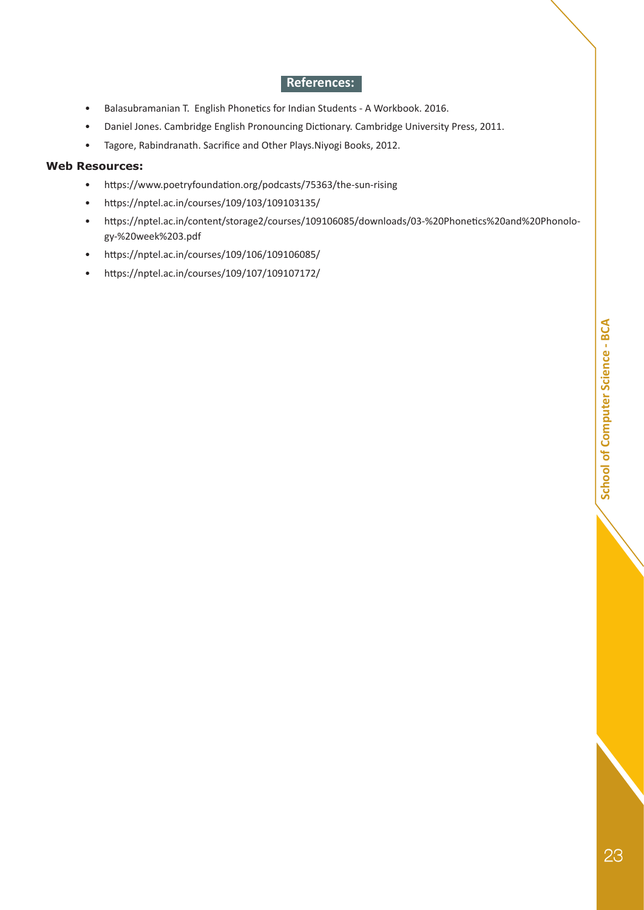### **References:**

- Balasubramanian T. English Phonetics for Indian Students A Workbook. 2016.
- Daniel Jones. Cambridge English Pronouncing Dictionary. Cambridge University Press, 2011.
- Tagore, Rabindranath. Sacrifice and Other Plays.Niyogi Books, 2012.

#### **Web Resources:**

- https://www.poetryfoundation.org/podcasts/75363/the-sun-rising
- https://nptel.ac.in/courses/109/103/109103135/
- https://nptel.ac.in/content/storage2/courses/109106085/downloads/03-%20Phonetics%20and%20Phonology-%20week%203.pdf
- https://nptel.ac.in/courses/109/106/109106085/
- https://nptel.ac.in/courses/109/107/109107172/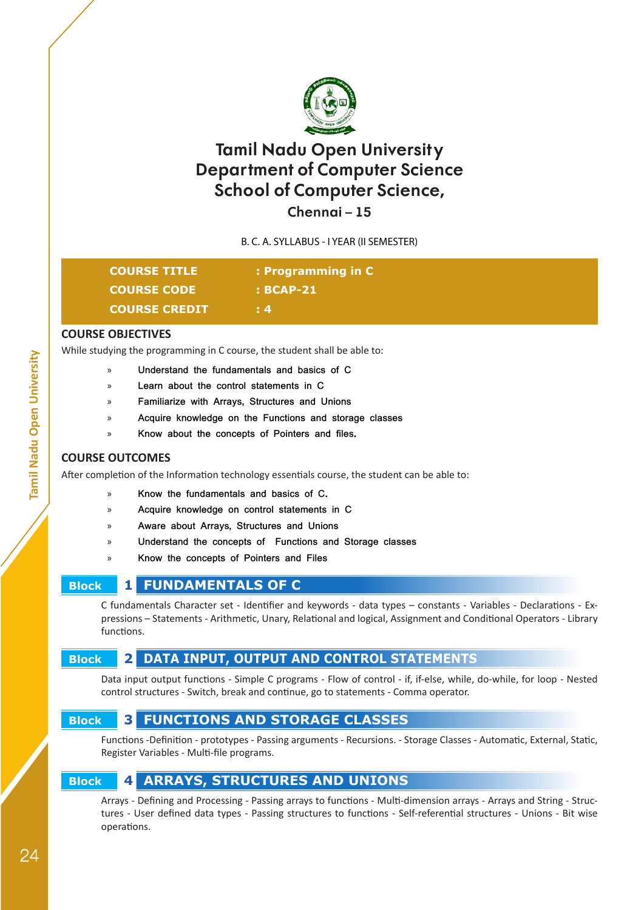

**Chennai – 15**

B. C. A. SYLLABUS - I YEAR (II SEMESTER)

| <b>COURSE TITLE</b>  | : Programming in C |
|----------------------|--------------------|
| <b>COURSE CODE</b>   | $:BCAP-21$         |
| <b>COURSE CREDIT</b> | $\pm 4$            |

#### **COURSE OBJECTIVES**

While studying the programming in C course, the student shall be able to:

- » **Understand the fundamentals and basics of C**
- » **Learn about the control statements in C**
- » **Familiarize with Arrays, Structures and Unions**
- » **Acquire knowledge on the Functions and storage classes**
- » **Know about the concepts of Pointers and files.**

#### **COURSE OUTCOMES**

After completion of the Information technology essentials course, the student can be able to:

- » **Know the fundamentals and basics of C.**
- » **Acquire knowledge on control statements in C**
- » **Aware about Arrays, Structures and Unions**
- » **Understand the concepts of Functions and Storage classes**
- » **Know the concepts of Pointers and Files**

# **Block 1 FUNDAMENTALS OF C**

C fundamentals Character set - Identifier and keywords - data types – constants - Variables - Declarations - Expressions – Statements - Arithmetic, Unary, Relational and logical, Assignment and Conditional Operators - Library functions.

# **Block 2 DATA INPUT, OUTPUT AND CONTROL STATEMENTS**

Data input output functions - Simple C programs - Flow of control - if, if-else, while, do-while, for loop - Nested control structures - Switch, break and continue, go to statements - Comma operator.

### **Block 3 FUNCTIONS AND STORAGE CLASSES**

Functions -Definition - prototypes - Passing arguments - Recursions. - Storage Classes - Automatic, External, Static, Register Variables - Multi-file programs.

# **Block 4 ARRAYS, STRUCTURES AND UNIONS**

Arrays - Defining and Processing - Passing arrays to functions - Multi-dimension arrays - Arrays and String - Structures - User defined data types - Passing structures to functions - Self-referential structures - Unions - Bit wise operations.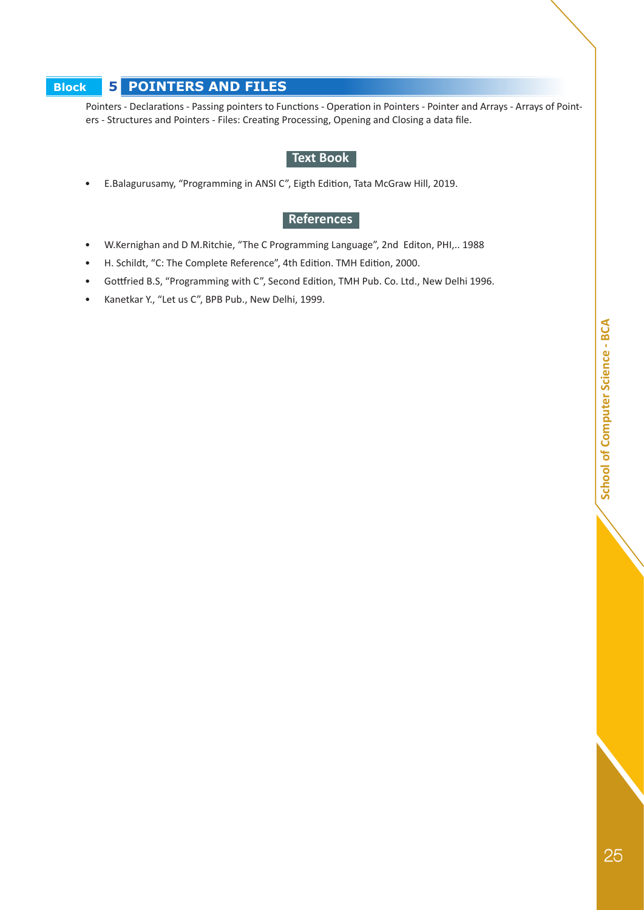# **Block 5 POINTERS AND FILES**

Pointers - Declarations - Passing pointers to Functions - Operation in Pointers - Pointer and Arrays - Arrays of Pointers - Structures and Pointers - Files: Creating Processing, Opening and Closing a data file.

#### **Text Book**

• E.Balagurusamy, "Programming in ANSI C", Eigth Edition, Tata McGraw Hill, 2019.

### **References**

- W.Kernighan and D M.Ritchie, "The C Programming Language", 2nd Editon, PHI,.. 1988
- H. Schildt, "C: The Complete Reference", 4th Edition. TMH Edition, 2000.
- Gottfried B.S, "Programming with C", Second Edition, TMH Pub. Co. Ltd., New Delhi 1996.
- Kanetkar Y., "Let us C", BPB Pub., New Delhi, 1999.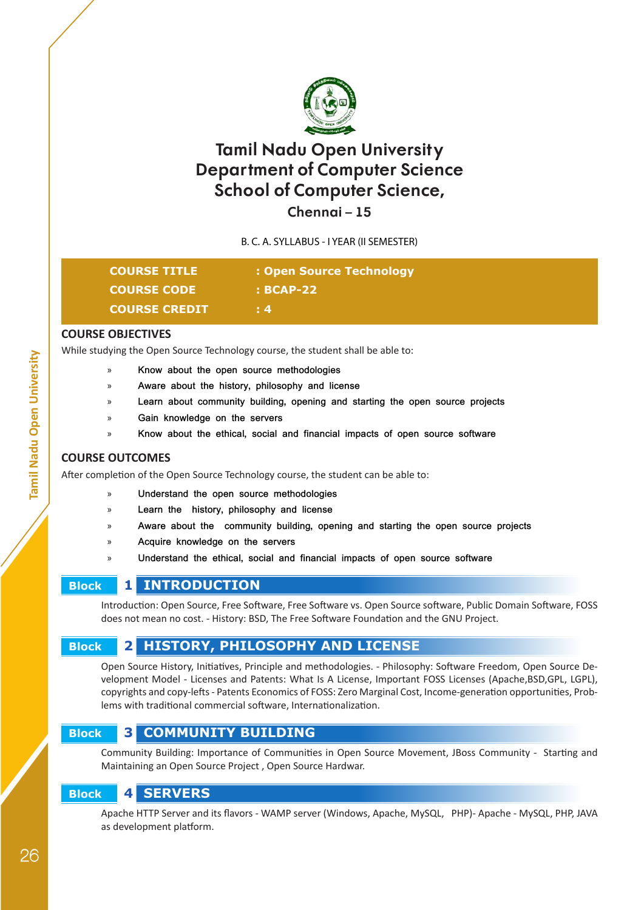

# **Chennai – 15**

B. C. A. SYLLABUS - I YEAR (II SEMESTER)

| <b>COURSE TITLE</b>  | : Open Source Technology |
|----------------------|--------------------------|
| <b>COURSE CODE</b>   | $\cdot$ BCAP-22          |
| <b>COURSE CREDIT</b> | $\pm 4$                  |

#### **COURSE OBJECTIVES**

While studying the Open Source Technology course, the student shall be able to:

- » **Know about the open source methodologies**
- » **Aware about the history, philosophy and license**
- Learn about community building, opening and starting the open source projects
- » **Gain knowledge on the servers**
- » **Know about the ethical, social and financial impacts of open source software**

#### **COURSE OUTCOMES**

After completion of the Open Source Technology course, the student can be able to:

- » **Understand the open source methodologies**
- » **Learn the history, philosophy and license**
- » **Aware about the community building, opening and starting the open source projects**
- » **Acquire knowledge on the servers**
- » **Understand the ethical, social and financial impacts of open source software**

# **Block 1 INTRODUCTION**

Introduction: Open Source, Free Software, Free Software vs. Open Source software, Public Domain Software, FOSS does not mean no cost. - History: BSD, The Free Software Foundation and the GNU Project.

### **Block 2 HISTORY, PHILOSOPHY AND LICENSE**

Open Source History, Initiatives, Principle and methodologies. - Philosophy: Software Freedom, Open Source Development Model - Licenses and Patents: What Is A License, Important FOSS Licenses (Apache,BSD,GPL, LGPL), copyrights and copy-lefts - Patents Economics of FOSS: Zero Marginal Cost, Income-generation opportunities, Problems with traditional commercial software, Internationalization.

# **Block 3 COMMUNITY BUILDING**

Community Building: Importance of Communities in Open Source Movement, JBoss Community - Starting and Maintaining an Open Source Project , Open Source Hardwar.

# **Block 4 SERVERS**

Apache HTTP Server and its flavors - WAMP server (Windows, Apache, MySQL, PHP)- Apache - MySQL, PHP, JAVA as development platform.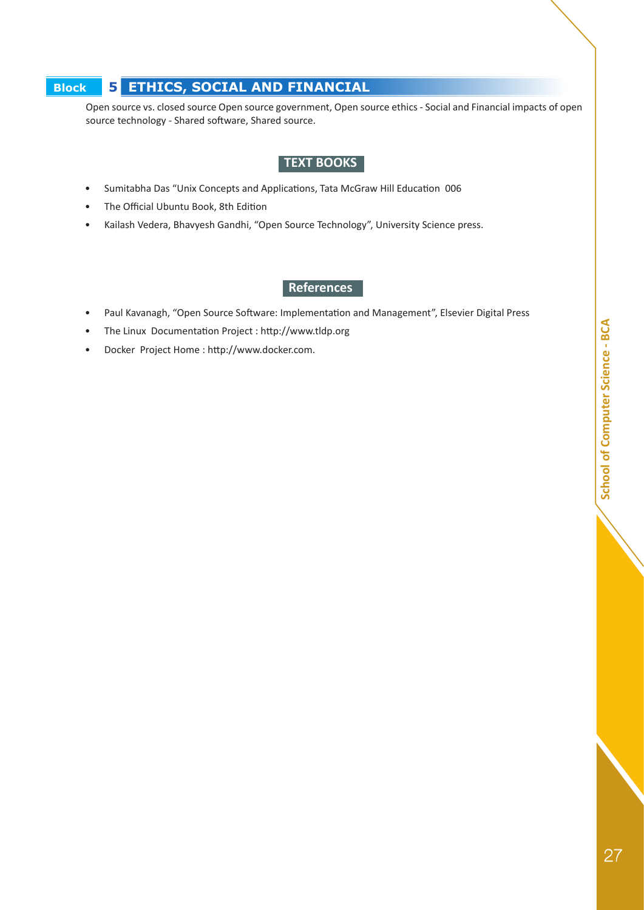# **Block 5 ETHICS, SOCIAL AND FINANCIAL**

Open source vs. closed source Open source government, Open source ethics - Social and Financial impacts of open source technology - Shared software, Shared source.

### **TEXT BOOKS**

- Sumitabha Das "Unix Concepts and Applications, Tata McGraw Hill Education 006
- The Official Ubuntu Book, 8th Edition
- Kailash Vedera, Bhavyesh Gandhi, "Open Source Technology", University Science press.

### **References**

- Paul Kavanagh, "Open Source Software: Implementation and Management", Elsevier Digital Press
- The Linux Documentation Project : http://www.tldp.org
- Docker Project Home : http://www.docker.com.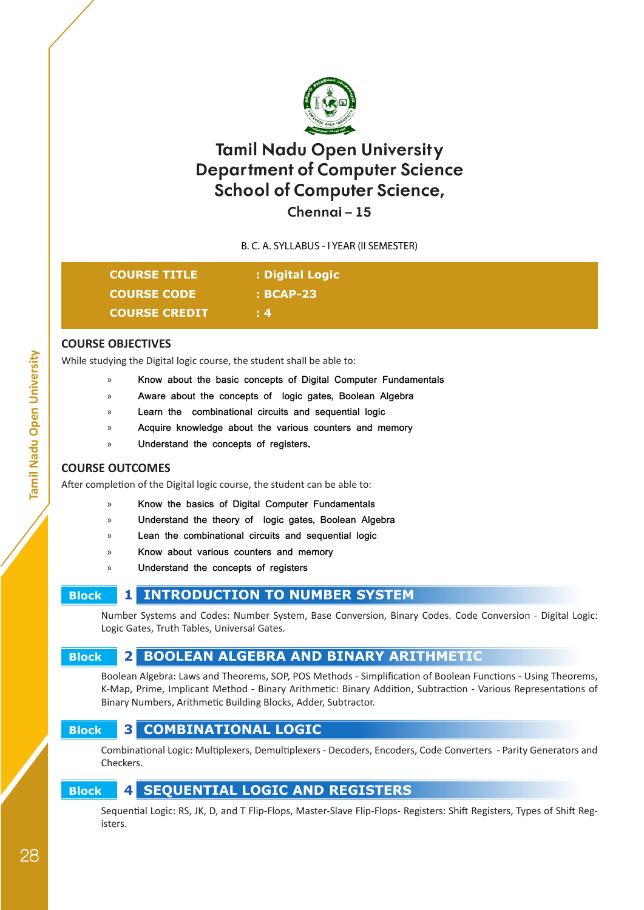

**Chennai – 15**

B. C. A. SYLLABUS - I YEAR (II SEMESTER)

| <b>COURSE TITLE</b>  | : Digital Logic |
|----------------------|-----------------|
| <b>COURSE CODE</b>   | $: BCAP-23$     |
| <b>COURSE CREDIT</b> | $\pm 4$         |

#### **COURSE OBJECTIVES**

While studying the Digital logic course, the student shall be able to:

- » **Know about the basic concepts of Digital Computer Fundamentals**
- » **Aware about the concepts of logic gates, Boolean Algebra**
- » **Learn the combinational circuits and sequential logic**
- » **Acquire knowledge about the various counters and memory**
- » **Understand the concepts of registers.**

#### **COURSE OUTCOMES**

After completion of the Digital logic course, the student can be able to:

- » **Know the basics of Digital Computer Fundamentals**
- » **Understand the theory of logic gates, Boolean Algebra**
- » **Lean the combinational circuits and sequential logic**
- » **Know about various counters and memory**
- » **Understand the concepts of registers**

# **Block 1 INTRODUCTION TO NUMBER SYSTEM**

Number Systems and Codes: Number System, Base Conversion, Binary Codes. Code Conversion - Digital Logic: Logic Gates, Truth Tables, Universal Gates.

# **Block 2 BOOLEAN ALGEBRA AND BINARY ARITHMETIC**

Boolean Algebra: Laws and Theorems, SOP, POS Methods - Simplification of Boolean Functions - Using Theorems, K-Map, Prime, Implicant Method - Binary Arithmetic: Binary Addition, Subtraction - Various Representations of Binary Numbers, Arithmetic Building Blocks, Adder, Subtractor.

# **Block 3 COMBINATIONAL LOGIC**

Combinational Logic: Multiplexers, Demultiplexers - Decoders, Encoders, Code Converters - Parity Generators and Checkers.

# **Block 4 SEQUENTIAL LOGIC AND REGISTERS**

Sequential Logic: RS, JK, D, and T Flip-Flops, Master-Slave Flip-Flops- Registers: Shift Registers, Types of Shift Registers.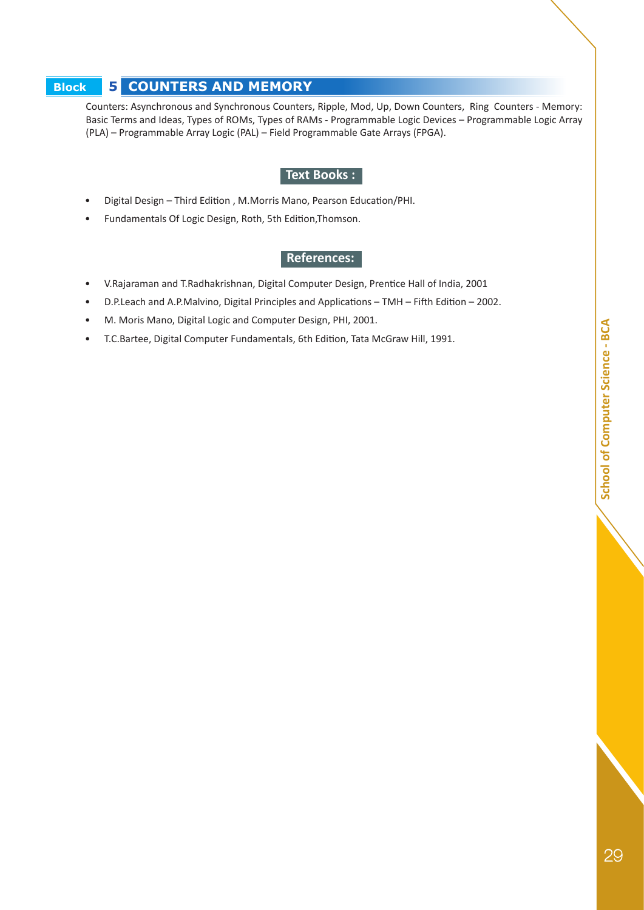# **Block 5 COUNTERS AND MEMORY**

Counters: Asynchronous and Synchronous Counters, Ripple, Mod, Up, Down Counters, Ring Counters - Memory: Basic Terms and Ideas, Types of ROMs, Types of RAMs - Programmable Logic Devices – Programmable Logic Array (PLA) – Programmable Array Logic (PAL) – Field Programmable Gate Arrays (FPGA).

### **Text Books :**

- Digital Design Third Edition , M.Morris Mano, Pearson Education/PHI.
- Fundamentals Of Logic Design, Roth, 5th Edition,Thomson.

#### **References:**

- V.Rajaraman and T.Radhakrishnan, Digital Computer Design, Prentice Hall of India, 2001
- D.P.Leach and A.P.Malvino, Digital Principles and Applications TMH Fifth Edition 2002.
- M. Moris Mano, Digital Logic and Computer Design, PHI, 2001.
- T.C.Bartee, Digital Computer Fundamentals, 6th Edition, Tata McGraw Hill, 1991.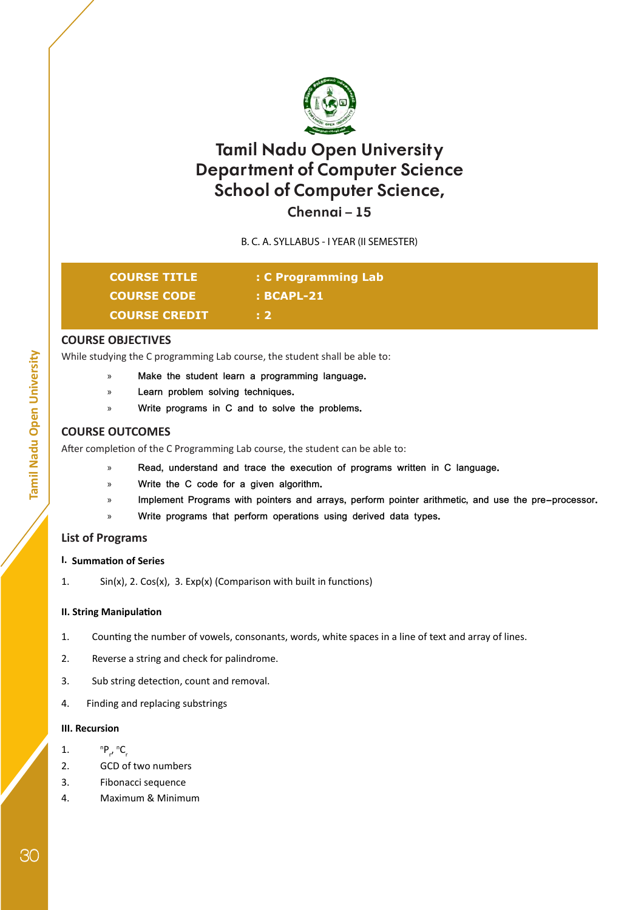

**Chennai – 15**

B. C. A. SYLLABUS - I YEAR (II SEMESTER)

| <b>COURSE TITLE</b>  | : C Programming Lab |  |
|----------------------|---------------------|--|
| <b>COURSE CODE</b>   | : BCAPL-21          |  |
| <b>COURSE CREDIT</b> | $\pm 2$             |  |

#### **COURSE OBJECTIVES**

While studying the C programming Lab course, the student shall be able to:

- » **Make the student learn a programming language.**
- » **Learn problem solving techniques.**
- » **Write programs in C and to solve the problems.**

### **COURSE OUTCOMES**

After completion of the C Programming Lab course, the student can be able to:

- » **Read, understand and trace the execution of programs written in C language.**
- » **Write the C code for a given algorithm.**
- Implement Programs with pointers and arrays, perform pointer arithmetic, and use the pre-processor.
- » **Write programs that perform operations using derived data types.**

#### **List of Programs**

#### **I. Summation of Series**

1. Sin(x), 2. Cos(x), 3. Exp(x) (Comparison with built in functions)

#### **II. String Manipulation**

- 1. Counting the number of vowels, consonants, words, white spaces in a line of text and array of lines.
- 2. Reverse a string and check for palindrome.
- 3. Sub string detection, count and removal.
- 4. Finding and replacing substrings

#### **III. Recursion**

- 1. n P<sub>r</sub>, <sup>n</sup>C<sub>r</sub>
- 2. GCD of two numbers
- 3. Fibonacci sequence
- 4. Maximum & Minimum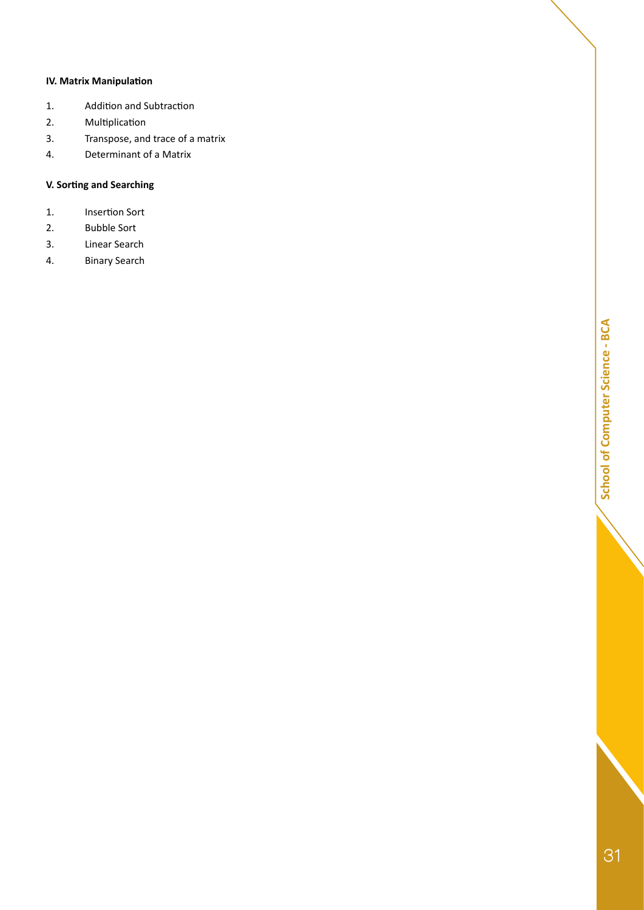### **IV. Matrix Manipulation**

- 1. Addition and Subtraction
- 2. Multiplication
- 3. Transpose, and trace of a matrix
- 4. Determinant of a Matrix

### **V. Sorting and Searching**

- 1. Insertion Sort
- 2. Bubble Sort
- 3. Linear Search
- 4. Binary Search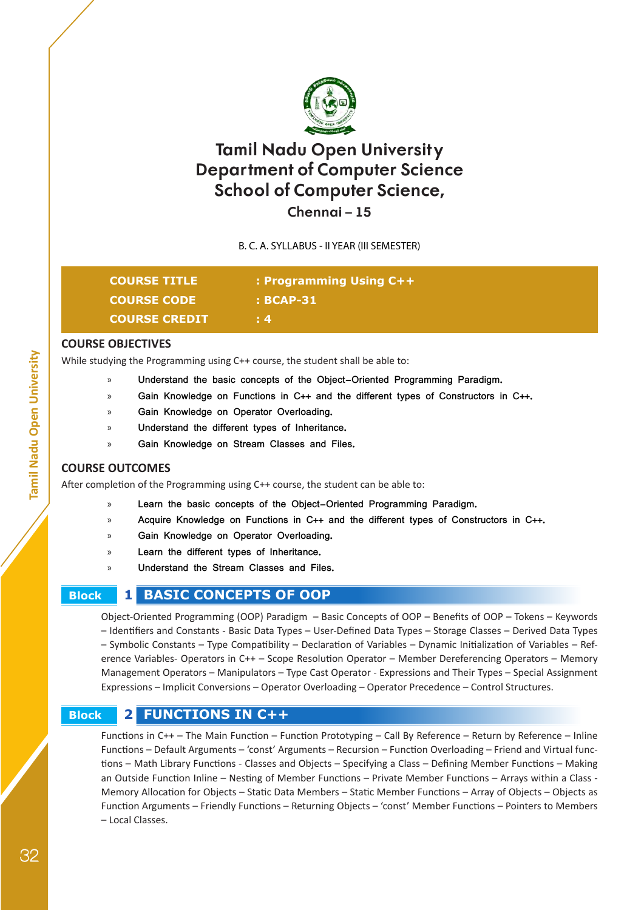

## **Chennai – 15**

B. C. A. SYLLABUS - II YEAR (III SEMESTER)

| <b>COURSE TITLE</b>  | <b>: Programming Using C++</b> |
|----------------------|--------------------------------|
| <b>COURSE CODE</b>   | $\cdot$ : BCAP-31              |
| <b>COURSE CREDIT</b> | $\pm 4$                        |

#### **COURSE OBJECTIVES**

While studying the Programming using C++ course, the student shall be able to:

- » **Understand the basic concepts of the Object-Oriented Programming Paradigm.**
- » **Gain Knowledge on Functions in C++ and the different types of Constructors in C++.**
- » **Gain Knowledge on Operator Overloading.**
- » **Understand the different types of Inheritance.**
- » **Gain Knowledge on Stream Classes and Files.**

#### **COURSE OUTCOMES**

After completion of the Programming using C++ course, the student can be able to:

- Learn the basic concepts of the Object-Oriented Programming Paradigm.
- » **Acquire Knowledge on Functions in C++ and the different types of Constructors in C++.**
- » **Gain Knowledge on Operator Overloading.**
- » **Learn the different types of Inheritance.**
- » **Understand the Stream Classes and Files.**
- 

## **Block 1 BASIC CONCEPTS OF OOP**

Object-Oriented Programming (OOP) Paradigm – Basic Concepts of OOP – Benefits of OOP – Tokens – Keywords – Identifiers and Constants - Basic Data Types – User-Defined Data Types – Storage Classes – Derived Data Types – Symbolic Constants – Type Compatibility – Declaration of Variables – Dynamic Initialization of Variables – Reference Variables- Operators in C++ – Scope Resolution Operator – Member Dereferencing Operators – Memory Management Operators – Manipulators – Type Cast Operator - Expressions and Their Types – Special Assignment Expressions – Implicit Conversions – Operator Overloading – Operator Precedence – Control Structures.

## **Block 2 FUNCTIONS IN C++**

Functions in C++ – The Main Function – Function Prototyping – Call By Reference – Return by Reference – Inline Functions – Default Arguments – 'const' Arguments – Recursion – Function Overloading – Friend and Virtual functions – Math Library Functions - Classes and Objects – Specifying a Class – Defining Member Functions – Making an Outside Function Inline – Nesting of Member Functions – Private Member Functions – Arrays within a Class - Memory Allocation for Objects – Static Data Members – Static Member Functions – Array of Objects – Objects as Function Arguments – Friendly Functions – Returning Objects – 'const' Member Functions – Pointers to Members – Local Classes.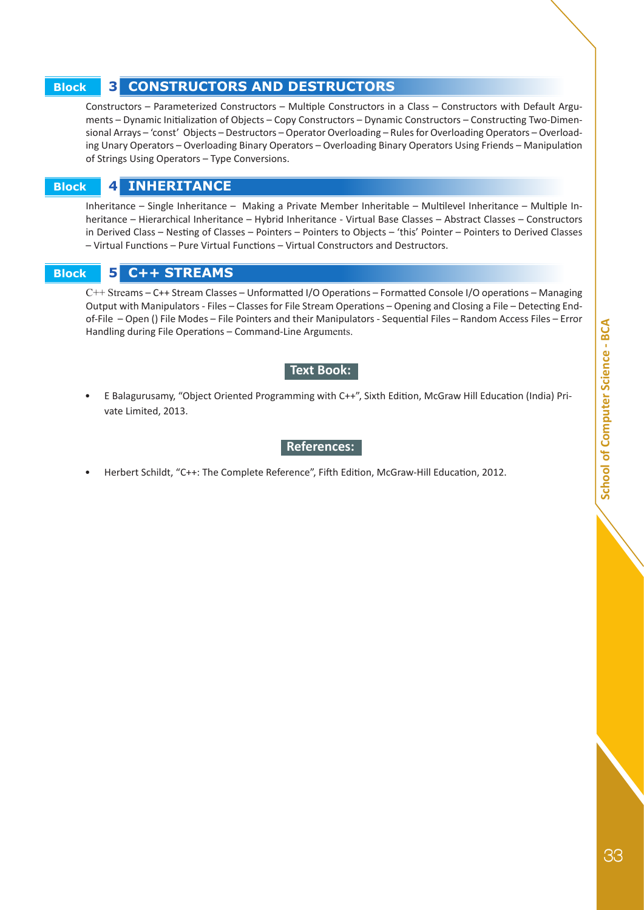## **Block 3 CONSTRUCTORS AND DESTRUCTORS**

Constructors – Parameterized Constructors – Multiple Constructors in a Class – Constructors with Default Arguments – Dynamic Initialization of Objects – Copy Constructors – Dynamic Constructors – Constructing Two-Dimensional Arrays – 'const' Objects – Destructors – Operator Overloading – Rules for Overloading Operators – Overloading Unary Operators – Overloading Binary Operators – Overloading Binary Operators Using Friends – Manipulation of Strings Using Operators – Type Conversions.

## **Block 4 INHERITANCE**

Inheritance – Single Inheritance – Making a Private Member Inheritable – Multilevel Inheritance – Multiple Inheritance – Hierarchical Inheritance – Hybrid Inheritance - Virtual Base Classes – Abstract Classes – Constructors in Derived Class – Nesting of Classes – Pointers – Pointers to Objects – 'this' Pointer – Pointers to Derived Classes – Virtual Functions – Pure Virtual Functions – Virtual Constructors and Destructors.

 **Block 5 C++ STREAMS**

C++ Streams – C++ Stream Classes – Unformatted I/O Operations – Formatted Console I/O operations – Managing Output with Manipulators - Files – Classes for File Stream Operations – Opening and Closing a File – Detecting Endof-File – Open () File Modes – File Pointers and their Manipulators - Sequential Files – Random Access Files – Error Handling during File Operations – Command-Line Arguments.

#### **Text Book:**

• E Balagurusamy, "Object Oriented Programming with C++", Sixth Edition, McGraw Hill Education (India) Private Limited, 2013.

#### **References:**

• Herbert Schildt, "C++: The Complete Reference", Fifth Edition, McGraw-Hill Education, 2012.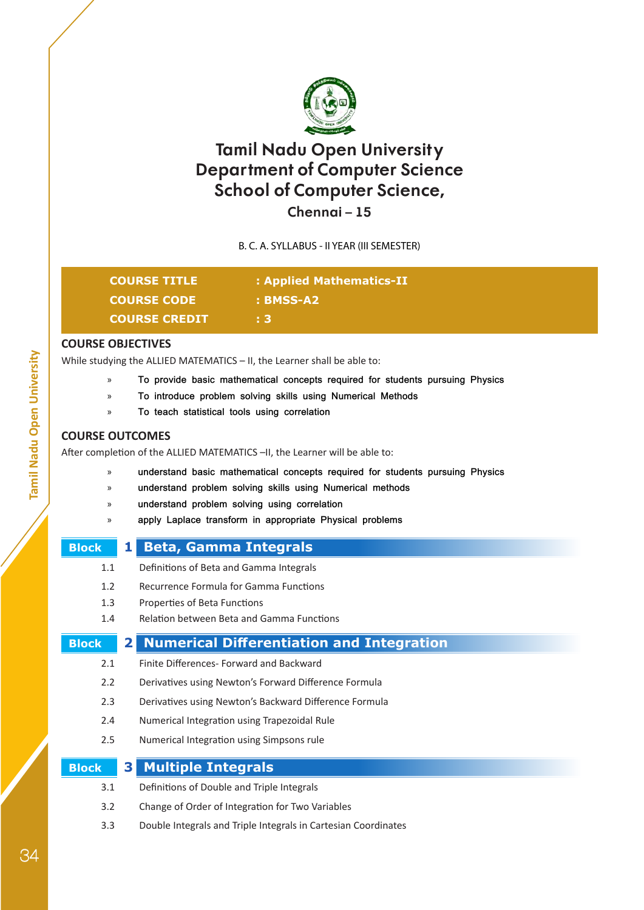

## **Chennai – 15**

B. C. A. SYLLABUS - II YEAR (III SEMESTER)

| <b>COURSE TITLE</b>  | : Applied Mathematics-II |
|----------------------|--------------------------|
| <b>COURSE CODE</b>   | : BMSS-A2                |
| <b>COURSE CREDIT</b> | E 3.                     |

## **COURSE OBJECTIVES**

While studying the ALLIED MATEMATICS – II, the Learner shall be able to:

- » **To provide basic mathematical concepts required for students pursuing Physics**
- » **To introduce problem solving skills using Numerical Methods**
- » **To teach statistical tools using correlation**

## **COURSE OUTCOMES**

After completion of the ALLIED MATEMATICS -II, the Learner will be able to:

- » **understand basic mathematical concepts required for students pursuing Physics**
- » **understand problem solving skills using Numerical methods**
- » **understand problem solving using correlation**
- » **apply Laplace transform in appropriate Physical problems**
- 

## **Block 1 Beta, Gamma Integrals**

- 1.1 Definitions of Beta and Gamma Integrals
- 1.2 Recurrence Formula for Gamma Functions
- 1.3 Properties of Beta Functions
- 1.4 Relation between Beta and Gamma Functions

## **Block 2 Numerical Differentiation and Integration**

- 2.1 Finite Differences- Forward and Backward
- 2.2 Derivatives using Newton's Forward Difference Formula
- 2.3 Derivatives using Newton's Backward Difference Formula
- 2.4 Numerical Integration using Trapezoidal Rule
- 2.5 Numerical Integration using Simpsons rule

| <b>Block</b> | <b>3</b> Multiple Integrals                      |
|--------------|--------------------------------------------------|
| 3.1          | Definitions of Double and Triple Integrals       |
| 3.2          | Change of Order of Integration for Two Variables |

3.3 Double Integrals and Triple Integrals in Cartesian Coordinates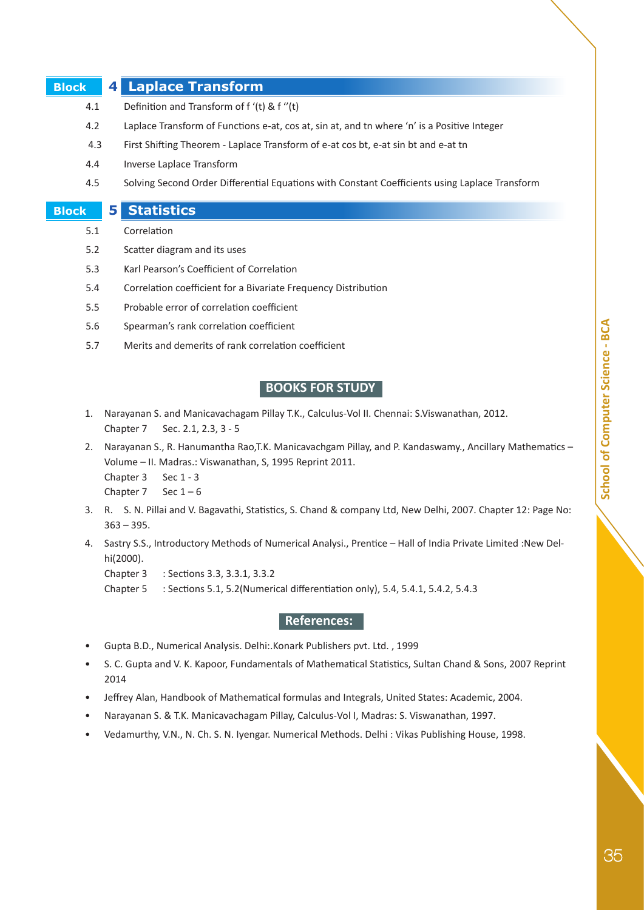## **Block 4 Laplace Transform**

- 4.1 Definition and Transform of f '(t) & f ''(t)
- 4.2 Laplace Transform of Functions e-at, cos at, sin at, and tn where 'n' is a Positive Integer
- 4.3 First Shifting Theorem Laplace Transform of e-at cos bt, e-at sin bt and e-at tn
- 4.4 Inverse Laplace Transform
- 4.5 Solving Second Order Differential Equations with Constant Coefficients using Laplace Transform

#### **Block 5 Statistics**

- 5.1 Correlation
- 5.2 Scatter diagram and its uses
- 5.3 Karl Pearson's Coefficient of Correlation
- 5.4 Correlation coefficient for a Bivariate Frequency Distribution
- 5.5 Probable error of correlation coefficient
- 5.6 Spearman's rank correlation coefficient
- 5.7 Merits and demerits of rank correlation coefficient

## **BOOKS FOR STUDY**

- 1. Narayanan S. and Manicavachagam Pillay T.K., Calculus-Vol II. Chennai: S.Viswanathan, 2012. Chapter 7 Sec. 2.1, 2.3, 3 - 5
- 2. Narayanan S., R. Hanumantha Rao,T.K. Manicavachgam Pillay, and P. Kandaswamy., Ancillary Mathematics Volume – II. Madras.: Viswanathan, S, 1995 Reprint 2011.
	- Chapter 3 Sec 1 3

Chapter  $7$  Sec  $1-6$ 

- 3. R. S. N. Pillai and V. Bagavathi, Statistics, S. Chand & company Ltd, New Delhi, 2007. Chapter 12: Page No:  $363 - 395.$
- 4. Sastry S.S., Introductory Methods of Numerical Analysi., Prentice Hall of India Private Limited :New Delhi(2000).

Chapter 3 : Sections 3.3, 3.3.1, 3.3.2

Chapter 5 : Sections 5.1, 5.2(Numerical differentiation only), 5.4, 5.4.1, 5.4.2, 5.4.3

## **References:**

- Gupta B.D., Numerical Analysis. Delhi:.Konark Publishers pvt. Ltd. , 1999
- S. C. Gupta and V. K. Kapoor, Fundamentals of Mathematical Statistics, Sultan Chand & Sons, 2007 Reprint 2014
- Jeffrey Alan, Handbook of Mathematical formulas and Integrals, United States: Academic, 2004.
- Narayanan S. & T.K. Manicavachagam Pillay, Calculus-Vol I, Madras: S. Viswanathan, 1997.
- Vedamurthy, V.N., N. Ch. S. N. Iyengar. Numerical Methods. Delhi : Vikas Publishing House, 1998.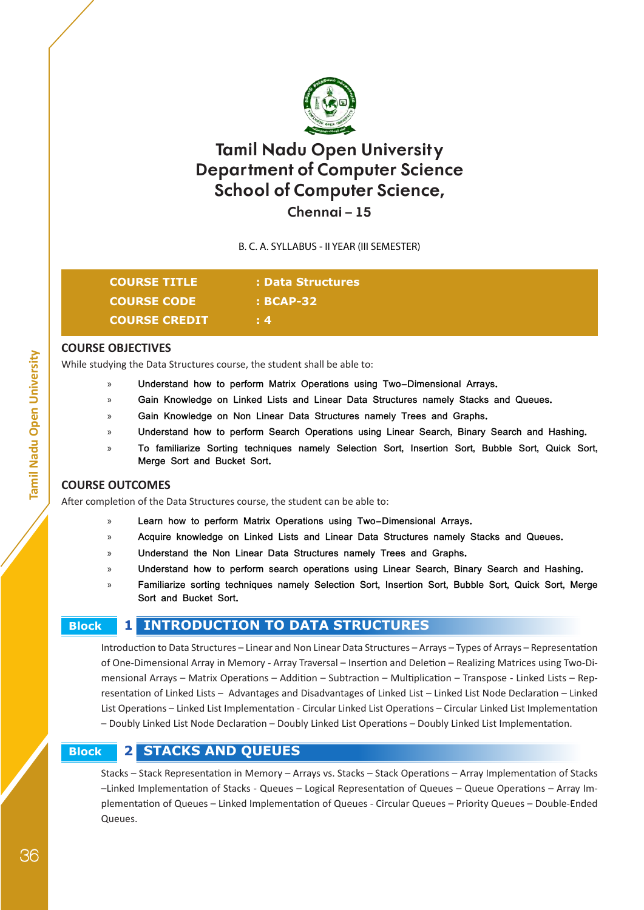

## **Chennai – 15**

B. C. A. SYLLABUS - II YEAR (III SEMESTER)

| <b>COURSE TITLE</b>  | : Data Structures |
|----------------------|-------------------|
| <b>COURSE CODE</b>   | $\cdot$ : BCAP-32 |
| <b>COURSE CREDIT</b> | $\pm 4$           |
|                      |                   |

#### **COURSE OBJECTIVES**

While studying the Data Structures course, the student shall be able to:

- » **Understand how to perform Matrix Operations using Two-Dimensional Arrays.**
- » **Gain Knowledge on Linked Lists and Linear Data Structures namely Stacks and Queues.**
- » **Gain Knowledge on Non Linear Data Structures namely Trees and Graphs.**
- » **Understand how to perform Search Operations using Linear Search, Binary Search and Hashing.**
- » **To familiarize Sorting techniques namely Selection Sort, Insertion Sort, Bubble Sort, Quick Sort, Merge Sort and Bucket Sort.**

## **COURSE OUTCOMES**

After completion of the Data Structures course, the student can be able to:

- » **Learn how to perform Matrix Operations using Two-Dimensional Arrays.**
- » **Acquire knowledge on Linked Lists and Linear Data Structures namely Stacks and Queues.**
- » **Understand the Non Linear Data Structures namely Trees and Graphs.**
- » **Understand how to perform search operations using Linear Search, Binary Search and Hashing.**
- » **Familiarize sorting techniques namely Selection Sort, Insertion Sort, Bubble Sort, Quick Sort, Merge Sort and Bucket Sort.**

## **Block 1 INTRODUCTION TO DATA STRUCTURES**

Introduction to Data Structures – Linear and Non Linear Data Structures – Arrays – Types of Arrays – Representation of One-Dimensional Array in Memory - Array Traversal – Insertion and Deletion – Realizing Matrices using Two-Dimensional Arrays – Matrix Operations – Addition – Subtraction – Multiplication – Transpose - Linked Lists – Representation of Linked Lists – Advantages and Disadvantages of Linked List – Linked List Node Declaration – Linked List Operations – Linked List Implementation - Circular Linked List Operations – Circular Linked List Implementation – Doubly Linked List Node Declaration – Doubly Linked List Operations – Doubly Linked List Implementation.

## **Block 2 STACKS AND QUEUES**

Stacks – Stack Representation in Memory – Arrays vs. Stacks – Stack Operations – Array Implementation of Stacks –Linked Implementation of Stacks - Queues – Logical Representation of Queues – Queue Operations – Array Implementation of Queues – Linked Implementation of Queues - Circular Queues – Priority Queues – Double-Ended Queues.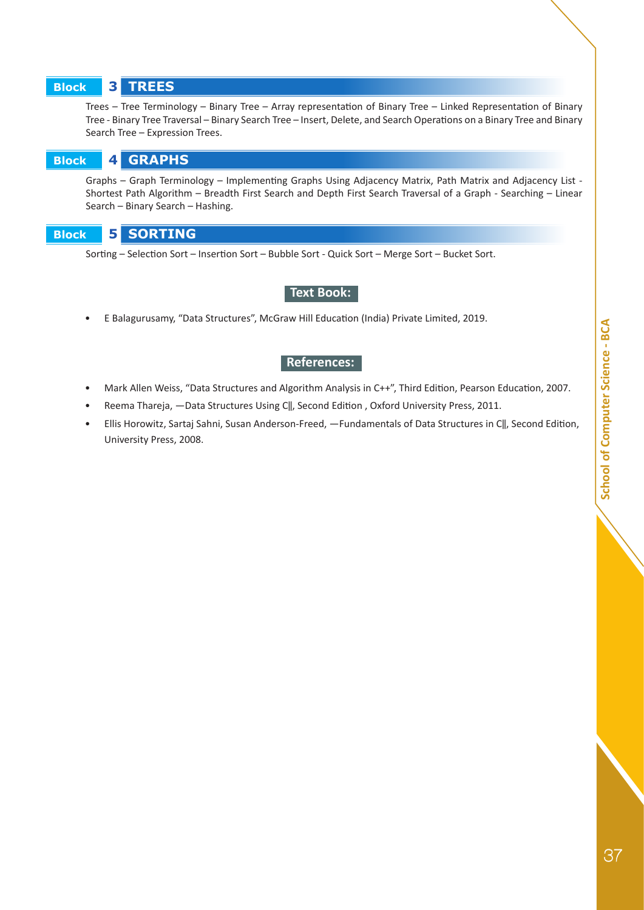# School of Computer Science - BCA 37**School of Computer Science - BCA**

#### **Block 3 TREES**

Trees – Tree Terminology – Binary Tree – Array representation of Binary Tree – Linked Representation of Binary Tree - Binary Tree Traversal – Binary Search Tree – Insert, Delete, and Search Operations on a Binary Tree and Binary Search Tree – Expression Trees.

 **Block 4 GRAPHS**

Graphs – Graph Terminology – Implementing Graphs Using Adjacency Matrix, Path Matrix and Adjacency List - Shortest Path Algorithm – Breadth First Search and Depth First Search Traversal of a Graph - Searching – Linear Search – Binary Search – Hashing.

 **Block 5 SORTING** 

Sorting – Selection Sort – Insertion Sort – Bubble Sort - Quick Sort – Merge Sort – Bucket Sort.

## **Text Book:**

• E Balagurusamy, "Data Structures", McGraw Hill Education (India) Private Limited, 2019.

#### **References:**

- Mark Allen Weiss, "Data Structures and Algorithm Analysis in C++", Third Edition, Pearson Education, 2007.
- Reema Thareja, -Data Structures Using C||, Second Edition, Oxford University Press, 2011.
- Ellis Horowitz, Sartaj Sahni, Susan Anderson-Freed, ―Fundamentals of Data Structures in C‖, Second Edition, University Press, 2008.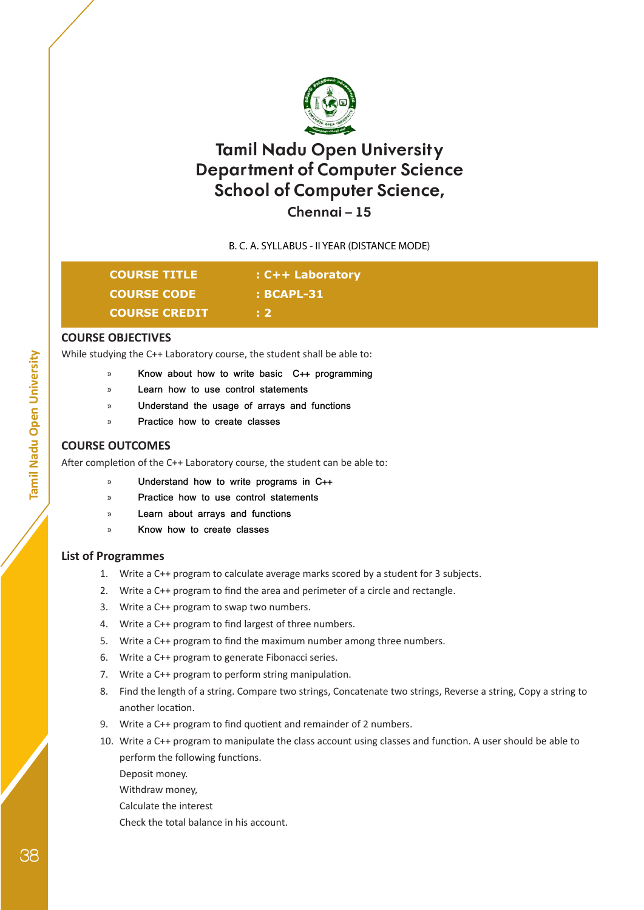

## **Chennai – 15**

## B. C. A. SYLLABUS - II YEAR (DISTANCE MODE)

| <b>COURSE TITLE</b>  | $:$ C++ Laboratory |  |
|----------------------|--------------------|--|
| <b>COURSE CODE</b>   | $\cdot$ BCAPL-31   |  |
| <b>COURSE CREDIT</b> | - 2                |  |

#### **COURSE OBJECTIVES**

While studying the C++ Laboratory course, the student shall be able to:

- » **Know about how to write basic C++ programming**
- » **Learn how to use control statements**
- » **Understand the usage of arrays and functions**
- » **Practice how to create classes**

#### **COURSE OUTCOMES**

After completion of the C++ Laboratory course, the student can be able to:

- » **Understand how to write programs in C++**
- » **Practice how to use control statements**
- » **Learn about arrays and functions**
- » **Know how to create classes**

## **List of Programmes**

- 1. Write a C++ program to calculate average marks scored by a student for 3 subjects.
- 2. Write a C++ program to find the area and perimeter of a circle and rectangle.
- 3. Write a C++ program to swap two numbers.
- 4. Write a C++ program to find largest of three numbers.
- 5. Write a C++ program to find the maximum number among three numbers.
- 6. Write a C++ program to generate Fibonacci series.
- 7. Write a C++ program to perform string manipulation.
- 8. Find the length of a string. Compare two strings, Concatenate two strings, Reverse a string, Copy a string to another location.
- 9. Write a C++ program to find quotient and remainder of 2 numbers.
- 10. Write a C++ program to manipulate the class account using classes and function. A user should be able to perform the following functions.

Deposit money.

Withdraw money,

Calculate the interest

Check the total balance in his account.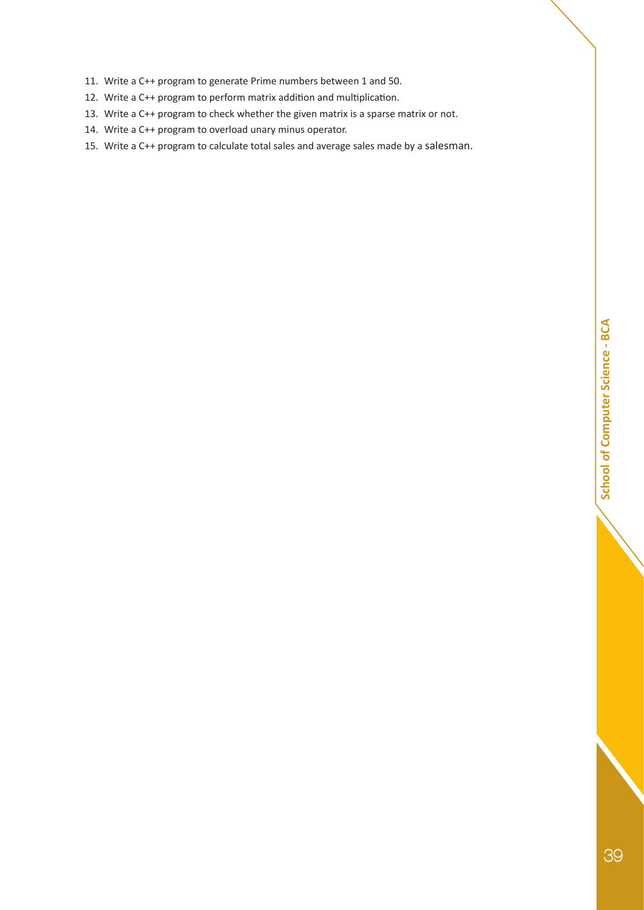- 11. Write a C++ program to generate Prime numbers between 1 and 50.
- 12. Write a C++ program to perform matrix addition and multiplication.
- 13. Write a C++ program to check whether the given matrix is a sparse matrix or not.
- 14. Write a C++ program to overload unary minus operator.
- 15. Write a C++ program to calculate total sales and average sales made by a salesman.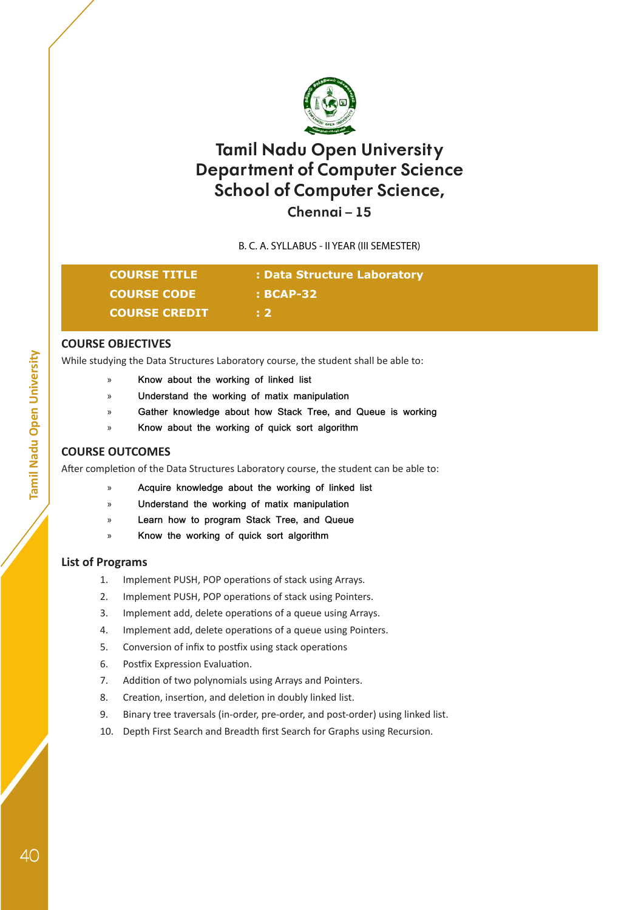

## **Chennai – 15**

B. C. A. SYLLABUS - II YEAR (III SEMESTER)

| <b>COURSE TITLE</b>  | : Data Structure Laboratory |
|----------------------|-----------------------------|
| <b>COURSE CODE</b>   | : BCAP-32                   |
| <b>COURSE CREDIT</b> | . 2.                        |

## **COURSE OBJECTIVES**

While studying the Data Structures Laboratory course, the student shall be able to:

- » **Know about the working of linked list**
- » **Understand the working of matix manipulation**
- » **Gather knowledge about how Stack Tree, and Queue is working**
- » **Know about the working of quick sort algorithm**

## **COURSE OUTCOMES**

After completion of the Data Structures Laboratory course, the student can be able to:

- » **Acquire knowledge about the working of linked list**
- » **Understand the working of matix manipulation**
- » **Learn how to program Stack Tree, and Queue**
- » **Know the working of quick sort algorithm**

## **List of Programs**

- 1. Implement PUSH, POP operations of stack using Arrays.
- 2. Implement PUSH, POP operations of stack using Pointers.
- 3. Implement add, delete operations of a queue using Arrays.
- 4. Implement add, delete operations of a queue using Pointers.
- 5. Conversion of infix to postfix using stack operations
- 6. Postfix Expression Evaluation.
- 7. Addition of two polynomials using Arrays and Pointers.
- 8. Creation, insertion, and deletion in doubly linked list.
- 9. Binary tree traversals (in-order, pre-order, and post-order) using linked list.
- 10. Depth First Search and Breadth first Search for Graphs using Recursion.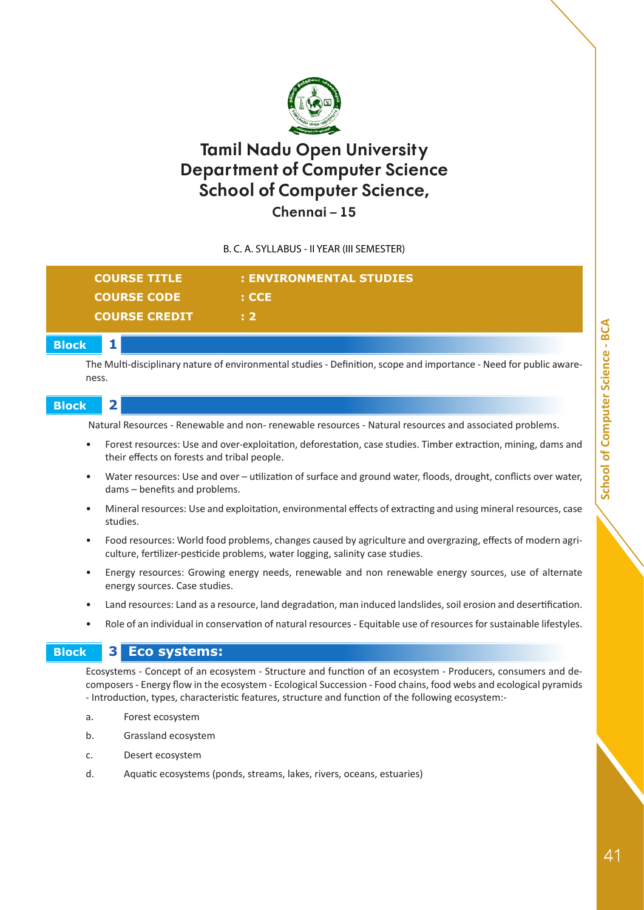

**Chennai – 15**

B. C. A. SYLLABUS - II YEAR (III SEMESTER)

| <b>COURSE TITLE</b>  | : ENVIRONMENTAL STUDIES |
|----------------------|-------------------------|
| <b>COURSE CODE</b>   | : CCE                   |
| <b>COURSE CREDIT</b> | E 2.                    |
|                      |                         |

 **Block 1**

The Multi-disciplinary nature of environmental studies - Definition, scope and importance - Need for public awareness.

## **Block 2**

Natural Resources - Renewable and non- renewable resources - Natural resources and associated problems.

- Forest resources: Use and over-exploitation, deforestation, case studies. Timber extraction, mining, dams and their effects on forests and tribal people.
- Water resources: Use and over utilization of surface and ground water, floods, drought, conflicts over water, dams – benefits and problems.
- Mineral resources: Use and exploitation, environmental effects of extracting and using mineral resources, case studies.
- Food resources: World food problems, changes caused by agriculture and overgrazing, effects of modern agriculture, fertilizer-pesticide problems, water logging, salinity case studies.
- Energy resources: Growing energy needs, renewable and non renewable energy sources, use of alternate energy sources. Case studies.
- Land resources: Land as a resource, land degradation, man induced landslides, soil erosion and desertification.
- Role of an individual in conservation of natural resources Equitable use of resources for sustainable lifestyles.

## **Block 3 Eco systems:**

Ecosystems - Concept of an ecosystem - Structure and function of an ecosystem - Producers, consumers and decomposers - Energy flow in the ecosystem - Ecological Succession - Food chains, food webs and ecological pyramids - Introduction, types, characteristic features, structure and function of the following ecosystem:-

- a. Forest ecosystem
- b. Grassland ecosystem
- c. Desert ecosystem
- d. Aquatic ecosystems (ponds, streams, lakes, rivers, oceans, estuaries)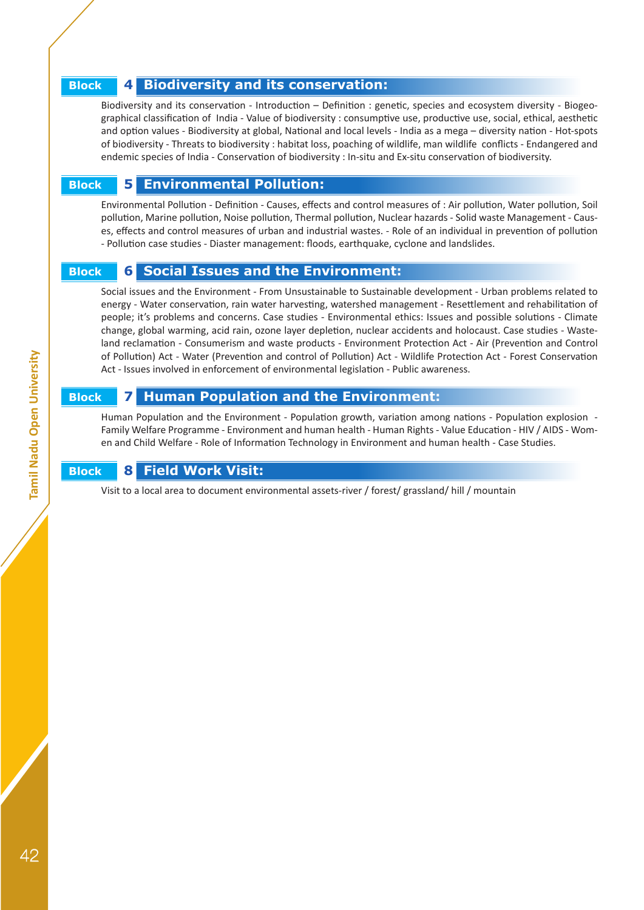## **Block 4 Biodiversity and its conservation:**

Biodiversity and its conservation - Introduction – Definition : genetic, species and ecosystem diversity - Biogeographical classification of India - Value of biodiversity : consumptive use, productive use, social, ethical, aesthetic and option values - Biodiversity at global, National and local levels - India as a mega – diversity nation - Hot-spots of biodiversity - Threats to biodiversity : habitat loss, poaching of wildlife, man wildlife conflicts - Endangered and endemic species of India - Conservation of biodiversity : In-situ and Ex-situ conservation of biodiversity.

## **Block 5 Environmental Pollution:**

Environmental Pollution - Definition - Causes, effects and control measures of : Air pollution, Water pollution, Soil pollution, Marine pollution, Noise pollution, Thermal pollution, Nuclear hazards - Solid waste Management - Causes, effects and control measures of urban and industrial wastes. - Role of an individual in prevention of pollution - Pollution case studies - Diaster management: floods, earthquake, cyclone and landslides.

## **Block 6 Social Issues and the Environment:**

Social issues and the Environment - From Unsustainable to Sustainable development - Urban problems related to energy - Water conservation, rain water harvesting, watershed management - Resettlement and rehabilitation of people; it's problems and concerns. Case studies - Environmental ethics: Issues and possible solutions - Climate change, global warming, acid rain, ozone layer depletion, nuclear accidents and holocaust. Case studies - Wasteland reclamation - Consumerism and waste products - Environment Protection Act - Air (Prevention and Control of Pollution) Act - Water (Prevention and control of Pollution) Act - Wildlife Protection Act - Forest Conservation Act - Issues involved in enforcement of environmental legislation - Public awareness.

## **Block 7 Human Population and the Environment:**

Human Population and the Environment - Population growth, variation among nations - Population explosion - Family Welfare Programme - Environment and human health - Human Rights - Value Education - HIV / AIDS - Women and Child Welfare - Role of Information Technology in Environment and human health - Case Studies.

## **Block 8 Field Work Visit:**

Visit to a local area to document environmental assets-river / forest/ grassland/ hill / mountain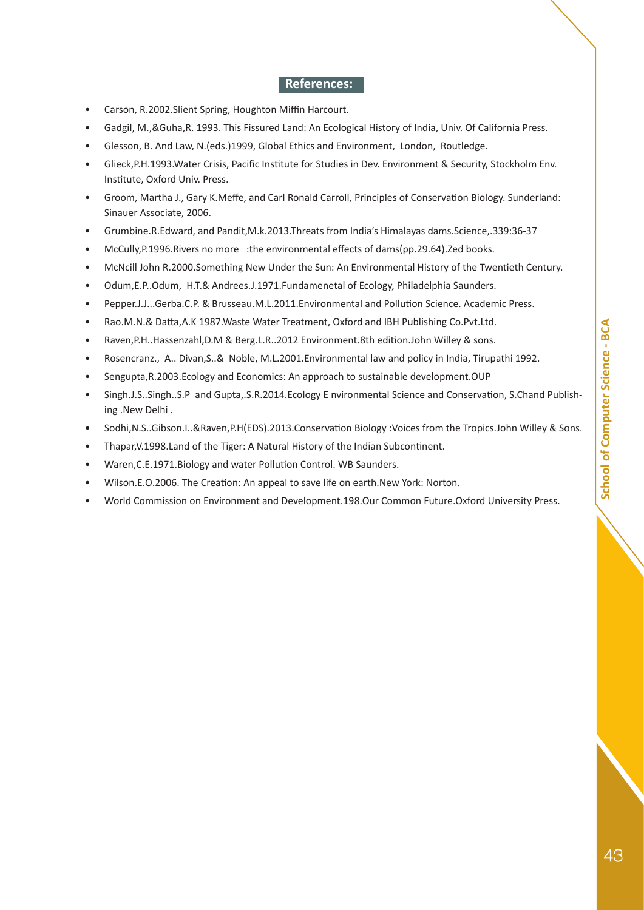## **References:**

- Carson, R.2002.Slient Spring, Houghton Miffin Harcourt.
- Gadgil, M.,&Guha,R. 1993. This Fissured Land: An Ecological History of India, Univ. Of California Press.
- Glesson, B. And Law, N.(eds.)1999, Global Ethics and Environment, London, Routledge.
- Glieck,P.H.1993.Water Crisis, Pacific Institute for Studies in Dev. Environment & Security, Stockholm Env. Institute, Oxford Univ. Press.
- Groom, Martha J., Gary K.Meffe, and Carl Ronald Carroll, Principles of Conservation Biology. Sunderland: Sinauer Associate, 2006.
- Grumbine.R.Edward, and Pandit,M.k.2013.Threats from India's Himalayas dams.Science,.339:36-37
- McCully,P.1996.Rivers no more :the environmental effects of dams(pp.29.64).Zed books.
- McNcill John R.2000.Something New Under the Sun: An Environmental History of the Twentieth Century.
- Odum,E.P..Odum, H.T.& Andrees.J.1971.Fundamenetal of Ecology, Philadelphia Saunders.
- Pepper.J.J...Gerba.C.P. & Brusseau.M.L.2011.Environmental and Pollution Science. Academic Press.
- Rao.M.N.& Datta,A.K 1987.Waste Water Treatment, Oxford and IBH Publishing Co.Pvt.Ltd.
- Raven,P.H..Hassenzahl,D.M & Berg.L.R..2012 Environment.8th edition.John Willey & sons.
- Rosencranz., A.. Divan,S..& Noble, M.L.2001.Environmental law and policy in India, Tirupathi 1992.
- Sengupta,R.2003.Ecology and Economics: An approach to sustainable development.OUP
- Singh.J.S..Singh..S.P and Gupta,.S.R.2014.Ecology E nvironmental Science and Conservation, S.Chand Publishing .New Delhi .
- Sodhi,N.S..Gibson.I..&Raven,P.H(EDS).2013.Conservation Biology :Voices from the Tropics.John Willey & Sons.
- Thapar,V.1998.Land of the Tiger: A Natural History of the Indian Subcontinent.
- Waren,C.E.1971.Biology and water Pollution Control. WB Saunders.
- Wilson.E.O.2006. The Creation: An appeal to save life on earth.New York: Norton.
- World Commission on Environment and Development.198.Our Common Future.Oxford University Press.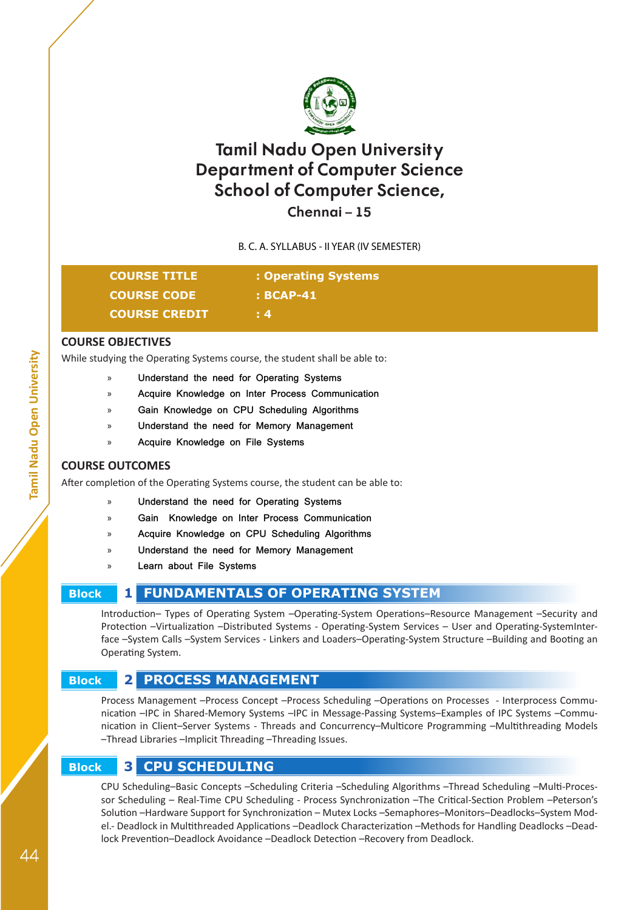

## **Chennai – 15**

B. C. A. SYLLABUS - II YEAR (IV SEMESTER)

| <b>COURSE TITLE</b>  | : Operating Systems |
|----------------------|---------------------|
| <b>COURSE CODE</b>   | $\pm$ BCAP-41       |
| <b>COURSE CREDIT</b> | $\pm 4$             |

## **COURSE OBJECTIVES**

While studying the Operating Systems course, the student shall be able to:

- » **Understand the need for Operating Systems**
- » **Acquire Knowledge on Inter Process Communication**
- » **Gain Knowledge on CPU Scheduling Algorithms**
- » **Understand the need for Memory Management**
- » **Acquire Knowledge on File Systems**

## **COURSE OUTCOMES**

After completion of the Operating Systems course, the student can be able to:

- » **Understand the need for Operating Systems**
- » **Gain Knowledge on Inter Process Communication**
- » **Acquire Knowledge on CPU Scheduling Algorithms**
- » **Understand the need for Memory Management**
- » **Learn about File Systems**

## **Block 1 FUNDAMENTALS OF OPERATING SYSTEM**

Introduction– Types of Operating System –Operating-System Operations–Resource Management –Security and Protection –Virtualization –Distributed Systems - Operating-System Services – User and Operating-SystemInterface –System Calls –System Services - Linkers and Loaders–Operating-System Structure –Building and Booting an Operating System.

## **Block 2 PROCESS MANAGEMENT**

Process Management –Process Concept –Process Scheduling –Operations on Processes - Interprocess Communication –IPC in Shared-Memory Systems –IPC in Message-Passing Systems–Examples of IPC Systems –Communication in Client–Server Systems - Threads and Concurrency–Multicore Programming –Multithreading Models –Thread Libraries –Implicit Threading –Threading Issues.

## **Block 3 CPU SCHEDULING**

CPU Scheduling–Basic Concepts –Scheduling Criteria –Scheduling Algorithms –Thread Scheduling –Multi-Processor Scheduling – Real-Time CPU Scheduling - Process Synchronization –The Critical-Section Problem –Peterson's Solution –Hardware Support for Synchronization – Mutex Locks –Semaphores–Monitors–Deadlocks–System Model.- Deadlock in Multithreaded Applications –Deadlock Characterization –Methods for Handling Deadlocks –Deadlock Prevention–Deadlock Avoidance –Deadlock Detection –Recovery from Deadlock.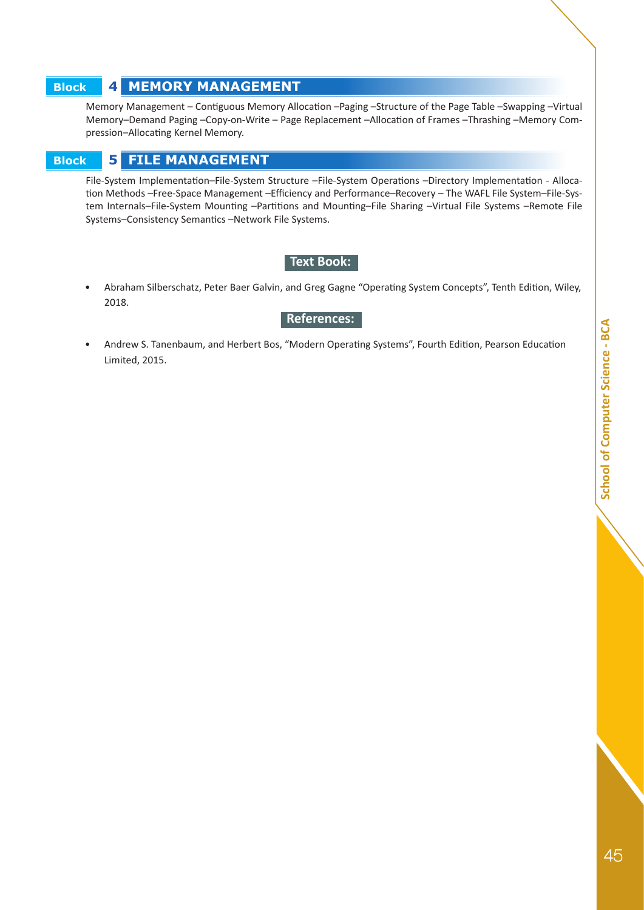## **Block 4 MEMORY MANAGEMENT**

Memory Management – Contiguous Memory Allocation –Paging –Structure of the Page Table –Swapping –Virtual Memory–Demand Paging –Copy-on-Write – Page Replacement –Allocation of Frames –Thrashing –Memory Compression–Allocating Kernel Memory.

## **Block 5 FILE MANAGEMENT**

File-System Implementation–File-System Structure –File-System Operations –Directory Implementation - Allocation Methods –Free-Space Management –Efficiency and Performance–Recovery – The WAFL File System–File-System Internals–File-System Mounting –Partitions and Mounting–File Sharing –Virtual File Systems –Remote File Systems–Consistency Semantics –Network File Systems.

## **Text Book:**

• Abraham Silberschatz, Peter Baer Galvin, and Greg Gagne "Operating System Concepts", Tenth Edition, Wiley, 2018.

#### **References:**

• Andrew S. Tanenbaum, and Herbert Bos, "Modern Operating Systems", Fourth Edition, Pearson Education Limited, 2015.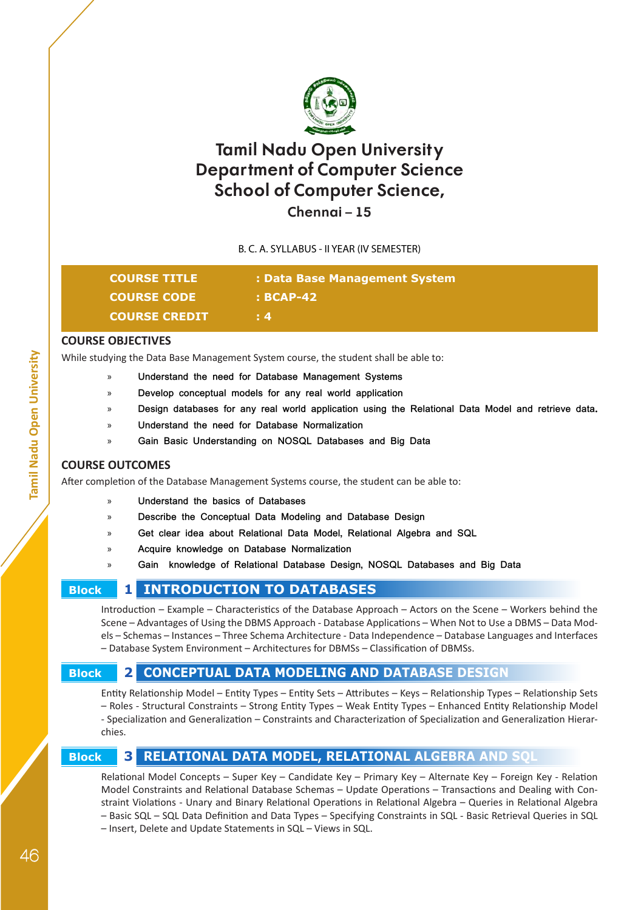

## **Chennai – 15**

B. C. A. SYLLABUS - II YEAR (IV SEMESTER)

| <b>COURSE TITLE</b>   | : Data Base Management System |
|-----------------------|-------------------------------|
| <b>COURSE CODE</b>    | : BCAP-42                     |
| <b>COURSE CREDIT.</b> | $\pm 4$                       |

#### **COURSE OBJECTIVES**

While studying the Data Base Management System course, the student shall be able to:

- » **Understand the need for Database Management Systems**
- » **Develop conceptual models for any real world application**
- » **Design databases for any real world application using the Relational Data Model and retrieve data.**
- » **Understand the need for Database Normalization**
- » **Gain Basic Understanding on NOSQL Databases and Big Data**

## **COURSE OUTCOMES**

After completion of the Database Management Systems course, the student can be able to:

- » **Understand the basics of Databases**
- » **Describe the Conceptual Data Modeling and Database Design**
- » **Get clear idea about Relational Data Model, Relational Algebra and SQL**
- » **Acquire knowledge on Database Normalization**
- » **Gain knowledge of Relational Database Design, NOSQL Databases and Big Data**

## **Block 1 INTRODUCTION TO DATABASES**

Introduction – Example – Characteristics of the Database Approach – Actors on the Scene – Workers behind the Scene – Advantages of Using the DBMS Approach - Database Applications – When Not to Use a DBMS – Data Models – Schemas – Instances – Three Schema Architecture - Data Independence – Database Languages and Interfaces – Database System Environment – Architectures for DBMSs – Classification of DBMSs.

## **Block 2 CONCEPTUAL DATA MODELING AND DATABASE DESIGN**

Entity Relationship Model – Entity Types – Entity Sets – Attributes – Keys – Relationship Types – Relationship Sets – Roles - Structural Constraints – Strong Entity Types – Weak Entity Types – Enhanced Entity Relationship Model - Specialization and Generalization – Constraints and Characterization of Specialization and Generalization Hierarchies.

## **Block 3 RELATIONAL DATA MODEL, RELATIONAL ALGEBRA AND SQL**

Relational Model Concepts – Super Key – Candidate Key – Primary Key – Alternate Key – Foreign Key - Relation Model Constraints and Relational Database Schemas – Update Operations – Transactions and Dealing with Constraint Violations - Unary and Binary Relational Operations in Relational Algebra – Queries in Relational Algebra – Basic SQL – SQL Data Definition and Data Types – Specifying Constraints in SQL - Basic Retrieval Queries in SQL

– Insert, Delete and Update Statements in SQL – Views in SQL.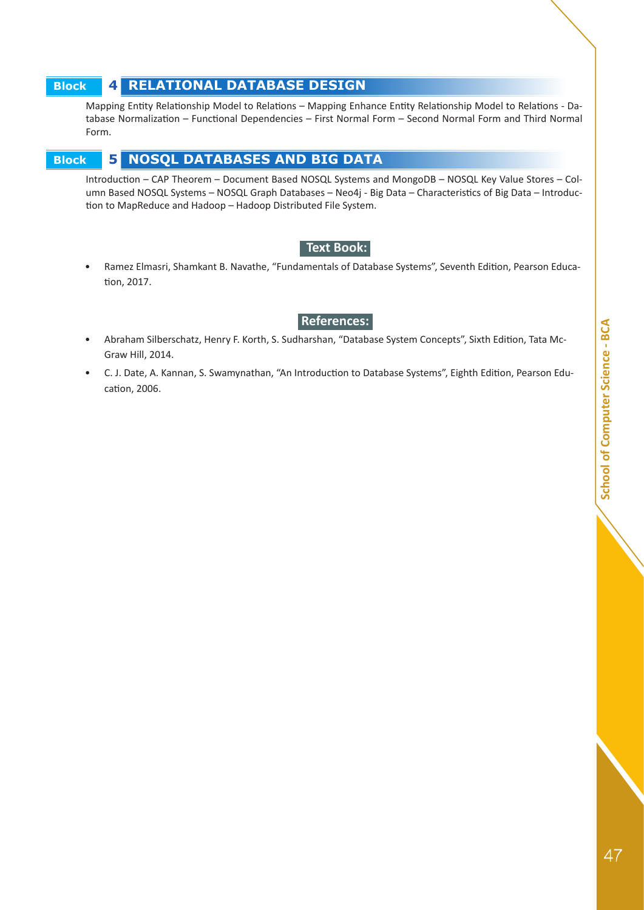## **Block 4 RELATIONAL DATABASE DESIGN**

Mapping Entity Relationship Model to Relations – Mapping Enhance Entity Relationship Model to Relations - Database Normalization – Functional Dependencies – First Normal Form – Second Normal Form and Third Normal Form.

## **Block 5 NOSQL DATABASES AND BIG DATA**

Introduction – CAP Theorem – Document Based NOSQL Systems and MongoDB – NOSQL Key Value Stores – Column Based NOSQL Systems – NOSQL Graph Databases – Neo4j - Big Data – Characteristics of Big Data – Introduction to MapReduce and Hadoop – Hadoop Distributed File System.

## **• Text Book:**

• Ramez Elmasri, Shamkant B. Navathe, "Fundamentals of Database Systems", Seventh Edition, Pearson Education, 2017.

## **• References:**

- Abraham Silberschatz, Henry F. Korth, S. Sudharshan, "Database System Concepts", Sixth Edition, Tata Mc-Graw Hill, 2014.
- C. J. Date, A. Kannan, S. Swamynathan, "An Introduction to Database Systems", Eighth Edition, Pearson Education, 2006.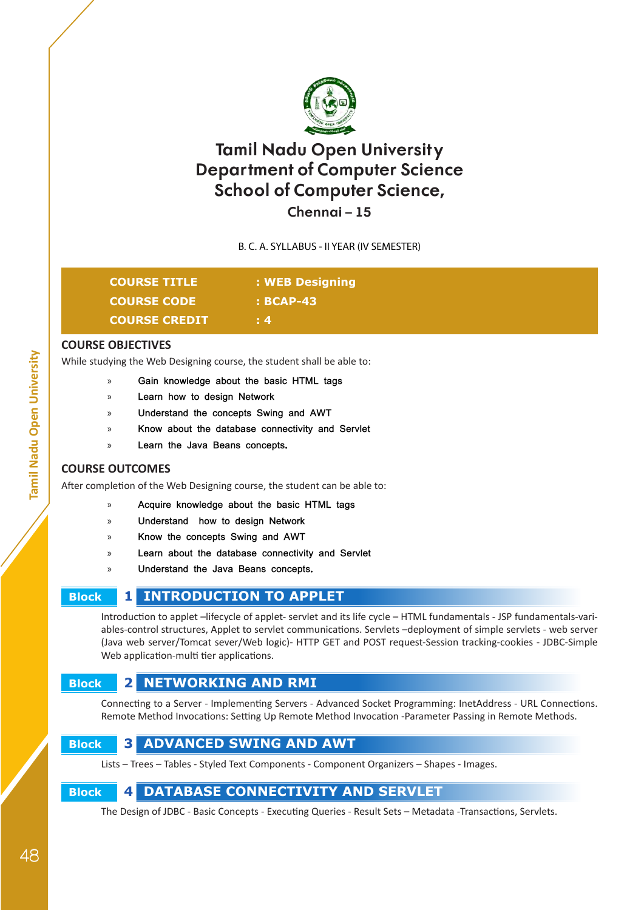

## **Chennai – 15**

## B. C. A. SYLLABUS - II YEAR (IV SEMESTER)

| [@@]U];{} =in p & d U = |
|-------------------------|
| <b>COURSE CODE</b>      |
| COURSE GREDIT           |

**COURSE TITLE : WEB Designing COURSE CODE : BCAP-43**

**COURSE CREDIT : 4**

## **COURSE OBJECTIVES**

While studying the Web Designing course, the student shall be able to:

- » **Gain knowledge about the basic HTML tags**
- » **Learn how to design Network**
- » **Understand the concepts Swing and AWT**
- » **Know about the database connectivity and Servlet**
- » **Learn the Java Beans concepts.**

## **COURSE OUTCOMES**

After completion of the Web Designing course, the student can be able to:

- » **Acquire knowledge about the basic HTML tags**
- » **Understand how to design Network**
- » **Know the concepts Swing and AWT**
- » **Learn about the database connectivity and Servlet**
- » **Understand the Java Beans concepts.**

## **Block 1 INTRODUCTION TO APPLET**

Introduction to applet –lifecycle of applet- servlet and its life cycle – HTML fundamentals - JSP fundamentals-variables-control structures, Applet to servlet communications. Servlets –deployment of simple servlets - web server (Java web server/Tomcat sever/Web logic)- HTTP GET and POST request-Session tracking-cookies - JDBC-Simple Web application-multi tier applications.

## **Block 2 NETWORKING AND RMI**

Connecting to a Server - Implementing Servers - Advanced Socket Programming: InetAddress - URL Connections. Remote Method Invocations: Setting Up Remote Method Invocation -Parameter Passing in Remote Methods.



Lists – Trees – Tables - Styled Text Components - Component Organizers – Shapes - Images.

## **Block 4 DATABASE CONNECTIVITY AND SERVLET**

The Design of JDBC - Basic Concepts - Executing Queries - Result Sets – Metadata -Transactions, Servlets.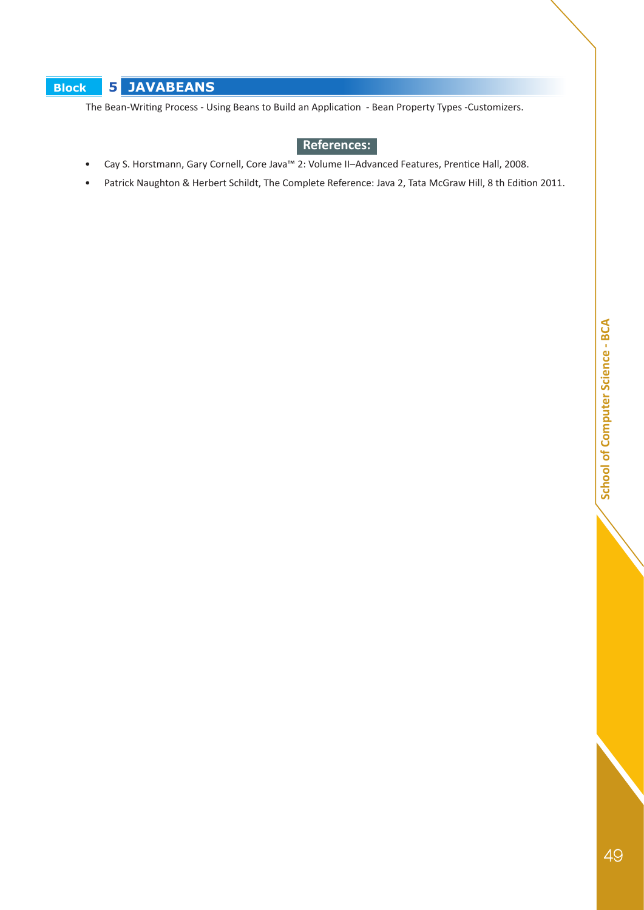## **Block 5 JAVABEANS**

The Bean-Writing Process - Using Beans to Build an Application - Bean Property Types -Customizers.

## **• References:**

- Cay S. Horstmann, Gary Cornell, Core Java™ 2: Volume II–Advanced Features, Prentice Hall, 2008.
- Patrick Naughton & Herbert Schildt, The Complete Reference: Java 2, Tata McGraw Hill, 8 th Edition 2011.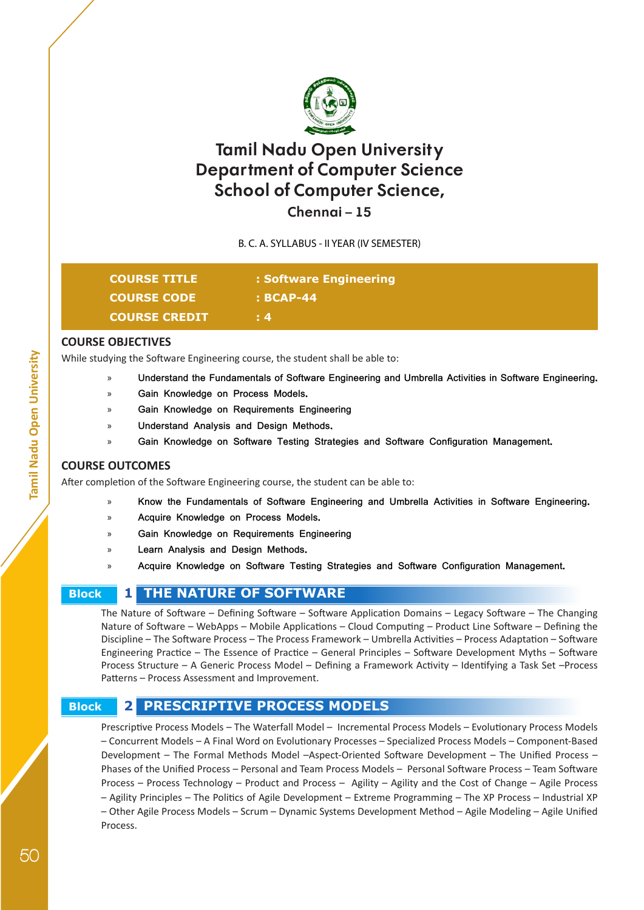

**Chennai – 15**

B. C. A. SYLLABUS - II YEAR (IV SEMESTER)

| <b>COURSE TITLE</b>  | : Software Engineering |
|----------------------|------------------------|
| <b>COURSE CODE</b>   | : BCAP-44              |
| <b>COURSE CREDIT</b> | $\cdot$ 4              |

## **COURSE OBJECTIVES**

While studying the Software Engineering course, the student shall be able to:

- » **Understand the Fundamentals of Software Engineering and Umbrella Activities in Software Engineering.**
- » **Gain Knowledge on Process Models.**
- » **Gain Knowledge on Requirements Engineering**
- » **Understand Analysis and Design Methods.**
- » **Gain Knowledge on Software Testing Strategies and Software Configuration Management.**

## **COURSE OUTCOMES**

After completion of the Software Engineering course, the student can be able to:

- » **Know the Fundamentals of Software Engineering and Umbrella Activities in Software Engineering.**
- » **Acquire Knowledge on Process Models.**
- » **Gain Knowledge on Requirements Engineering**
- » **Learn Analysis and Design Methods.**
- » **Acquire Knowledge on Software Testing Strategies and Software Configuration Management.**

## **Block 1 THE NATURE OF SOFTWARE**

The Nature of Software – Defining Software – Software Application Domains – Legacy Software – The Changing Nature of Software – WebApps – Mobile Applications – Cloud Computing – Product Line Software – Defining the Discipline – The Software Process – The Process Framework – Umbrella Activities – Process Adaptation – Software Engineering Practice – The Essence of Practice – General Principles – Software Development Myths – Software Process Structure – A Generic Process Model – Defining a Framework Activity – Identifying a Task Set –Process Patterns – Process Assessment and Improvement.

## **Block 2 PRESCRIPTIVE PROCESS MODELS**

Prescriptive Process Models – The Waterfall Model – Incremental Process Models – Evolutionary Process Models – Concurrent Models – A Final Word on Evolutionary Processes – Specialized Process Models – Component-Based Development – The Formal Methods Model –Aspect-Oriented Software Development – The Unified Process – Phases of the Unified Process – Personal and Team Process Models – Personal Software Process – Team Software Process – Process Technology – Product and Process – Agility – Agility and the Cost of Change – Agile Process – Agility Principles – The Politics of Agile Development – Extreme Programming – The XP Process – Industrial XP – Other Agile Process Models – Scrum – Dynamic Systems Development Method – Agile Modeling – Agile Unified Process.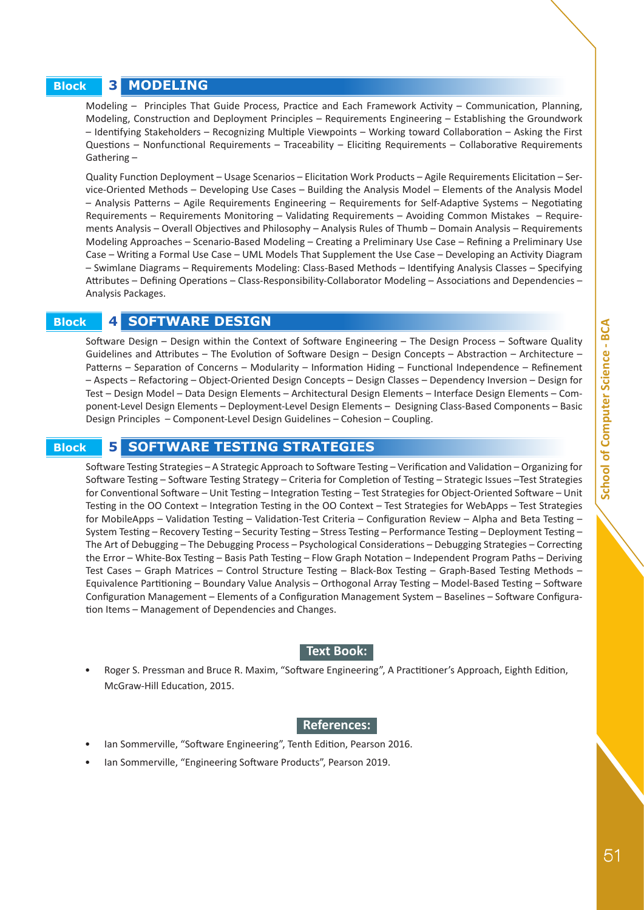### **Block 3 MODELING**

Modeling – Principles That Guide Process, Practice and Each Framework Activity – Communication, Planning, Modeling, Construction and Deployment Principles – Requirements Engineering – Establishing the Groundwork – Identifying Stakeholders – Recognizing Multiple Viewpoints – Working toward Collaboration – Asking the First Questions – Nonfunctional Requirements – Traceability – Eliciting Requirements – Collaborative Requirements Gathering –

Quality Function Deployment – Usage Scenarios – Elicitation Work Products – Agile Requirements Elicitation – Service-Oriented Methods – Developing Use Cases – Building the Analysis Model – Elements of the Analysis Model – Analysis Patterns – Agile Requirements Engineering – Requirements for Self-Adaptive Systems – Negotiating Requirements – Requirements Monitoring – Validating Requirements – Avoiding Common Mistakes – Requirements Analysis – Overall Objectives and Philosophy – Analysis Rules of Thumb – Domain Analysis – Requirements Modeling Approaches – Scenario-Based Modeling – Creating a Preliminary Use Case – Refining a Preliminary Use Case – Writing a Formal Use Case – UML Models That Supplement the Use Case – Developing an Activity Diagram – Swimlane Diagrams – Requirements Modeling: Class-Based Methods – Identifying Analysis Classes – Specifying Attributes – Defining Operations – Class-Responsibility-Collaborator Modeling – Associations and Dependencies – Analysis Packages.

#### **Block 4 SOFTWARE DESIGN**

Software Design – Design within the Context of Software Engineering – The Design Process – Software Quality Guidelines and Attributes – The Evolution of Software Design – Design Concepts – Abstraction – Architecture – Patterns – Separation of Concerns – Modularity – Information Hiding – Functional Independence – Refinement – Aspects – Refactoring – Object-Oriented Design Concepts – Design Classes – Dependency Inversion – Design for Test – Design Model – Data Design Elements – Architectural Design Elements – Interface Design Elements – Component-Level Design Elements – Deployment-Level Design Elements – Designing Class-Based Components – Basic Design Principles – Component-Level Design Guidelines – Cohesion – Coupling.

#### **Block 5 SOFTWARE TESTING STRATEGIES**

Software Testing Strategies – A Strategic Approach to Software Testing – Verification and Validation – Organizing for Software Testing – Software Testing Strategy – Criteria for Completion of Testing – Strategic Issues –Test Strategies for Conventional Software – Unit Testing – Integration Testing – Test Strategies for Object-Oriented Software – Unit Testing in the OO Context – Integration Testing in the OO Context – Test Strategies for WebApps – Test Strategies for MobileApps – Validation Testing – Validation-Test Criteria – Configuration Review – Alpha and Beta Testing – System Testing – Recovery Testing – Security Testing – Stress Testing – Performance Testing – Deployment Testing – The Art of Debugging – The Debugging Process – Psychological Considerations – Debugging Strategies – Correcting the Error – White-Box Testing – Basis Path Testing – Flow Graph Notation – Independent Program Paths – Deriving Test Cases – Graph Matrices – Control Structure Testing – Black-Box Testing – Graph-Based Testing Methods – Equivalence Partitioning – Boundary Value Analysis – Orthogonal Array Testing – Model-Based Testing – Software Configuration Management – Elements of a Configuration Management System – Baselines – Software Configuration Items – Management of Dependencies and Changes.

#### **• Text Book:**

• Roger S. Pressman and Bruce R. Maxim, "Software Engineering", A Practitioner's Approach, Eighth Edition, McGraw-Hill Education, 2015.

#### **• References:**

- Ian Sommerville, "Software Engineering", Tenth Edition, Pearson 2016.
- Ian Sommerville, "Engineering Software Products", Pearson 2019.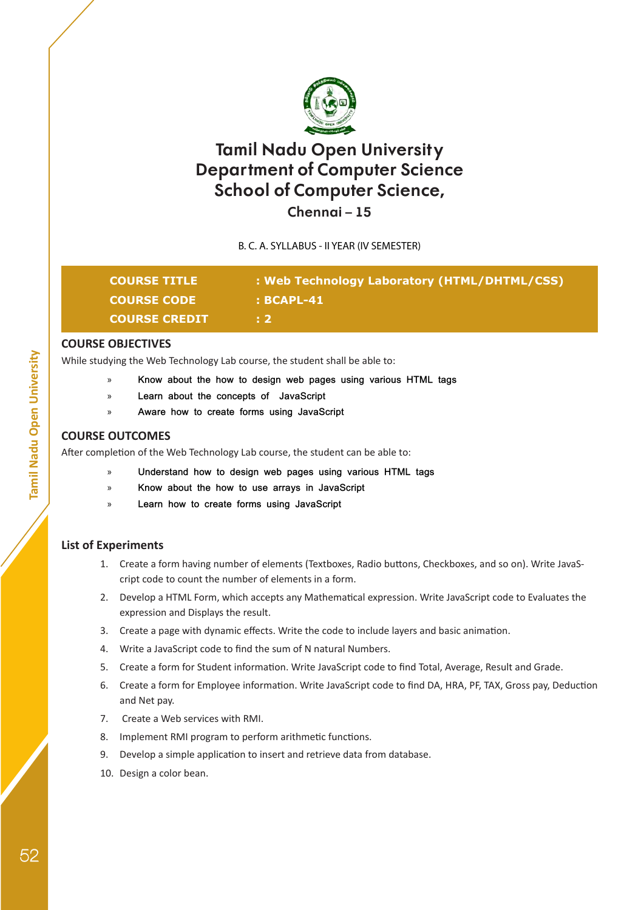

## **Chennai – 15**

B. C. A. SYLLABUS - II YEAR (IV SEMESTER)

| <b>COURSE TITLE</b>  | : Web Technology Laboratory (HTML/DHTML/CSS) |
|----------------------|----------------------------------------------|
| <b>COURSE CODE</b>   | : BCAPL-41                                   |
| <b>COURSE CREDIT</b> |                                              |

## **COURSE OBJECTIVES**

While studying the Web Technology Lab course, the student shall be able to:

- » **Know about the how to design web pages using various HTML tags**
- » **Learn about the concepts of JavaScript**
- » **Aware how to create forms using JavaScript**

#### **COURSE OUTCOMES**

After completion of the Web Technology Lab course, the student can be able to:

- » **Understand how to design web pages using various HTML tags**
- » **Know about the how to use arrays in JavaScript**
- » **Learn how to create forms using JavaScript**

## **List of Experiments**

- 1. Create a form having number of elements (Textboxes, Radio buttons, Checkboxes, and so on). Write JavaScript code to count the number of elements in a form.
- 2. Develop a HTML Form, which accepts any Mathematical expression. Write JavaScript code to Evaluates the expression and Displays the result.
- 3. Create a page with dynamic effects. Write the code to include layers and basic animation.
- 4. Write a JavaScript code to find the sum of N natural Numbers.
- 5. Create a form for Student information. Write JavaScript code to find Total, Average, Result and Grade.
- 6. Create a form for Employee information. Write JavaScript code to find DA, HRA, PF, TAX, Gross pay, Deduction and Net pay.
- 7. Create a Web services with RMI.
- 8. Implement RMI program to perform arithmetic functions.
- 9. Develop a simple application to insert and retrieve data from database.
- 10. Design a color bean.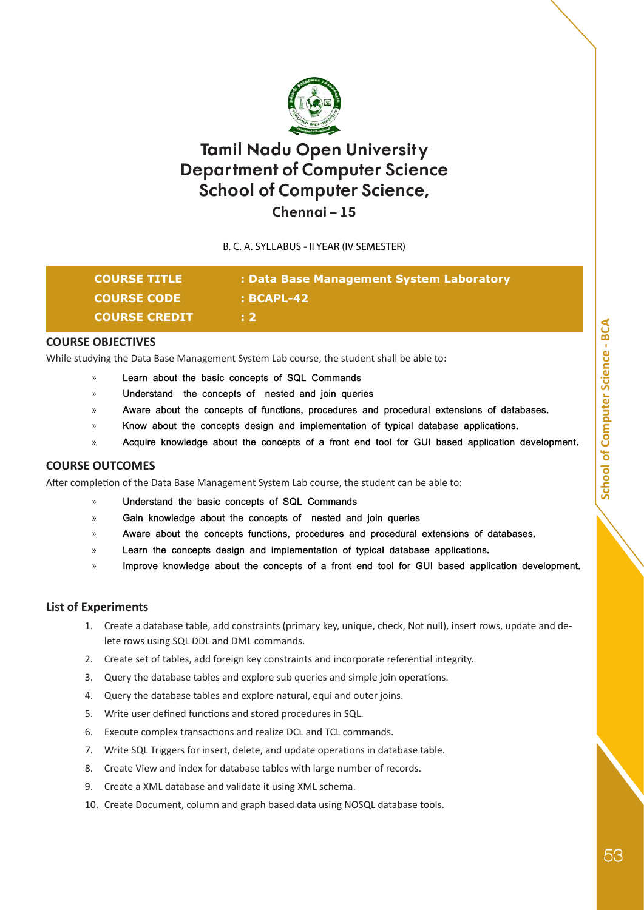

**Chennai – 15**

B. C. A. SYLLABUS - II YEAR (IV SEMESTER)

| <b>COURSE TITLE</b>  | : Data Base Management System Laboratory |
|----------------------|------------------------------------------|
| <b>COURSE CODE</b>   | : BCAPL-42                               |
| <b>COURSE CREDIT</b> | l: 2 i                                   |

## **COURSE OBJECTIVES**

While studying the Data Base Management System Lab course, the student shall be able to:

- Learn about the basic concepts of SQL Commands
- » **Understand the concepts of nested and join queries**
- » **Aware about the concepts of functions, procedures and procedural extensions of databases.**
- » **Know about the concepts design and implementation of typical database applications.**
- » **Acquire knowledge about the concepts of a front end tool for GUI based application development.**

## **COURSE OUTCOMES**

After completion of the Data Base Management System Lab course, the student can be able to:

- » **Understand the basic concepts of SQL Commands**
- » **Gain knowledge about the concepts of nested and join queries**
- » **Aware about the concepts functions, procedures and procedural extensions of databases.**
- » **Learn the concepts design and implementation of typical database applications.**
- » **Improve knowledge about the concepts of a front end tool for GUI based application development.**

## **List of Experiments**

- 1. Create a database table, add constraints (primary key, unique, check, Not null), insert rows, update and delete rows using SQL DDL and DML commands.
- 2. Create set of tables, add foreign key constraints and incorporate referential integrity.
- 3. Query the database tables and explore sub queries and simple join operations.
- 4. Query the database tables and explore natural, equi and outer joins.
- 5. Write user defined functions and stored procedures in SQL.
- 6. Execute complex transactions and realize DCL and TCL commands.
- 7. Write SQL Triggers for insert, delete, and update operations in database table.
- 8. Create View and index for database tables with large number of records.
- 9. Create a XML database and validate it using XML schema.
- 10. Create Document, column and graph based data using NOSQL database tools.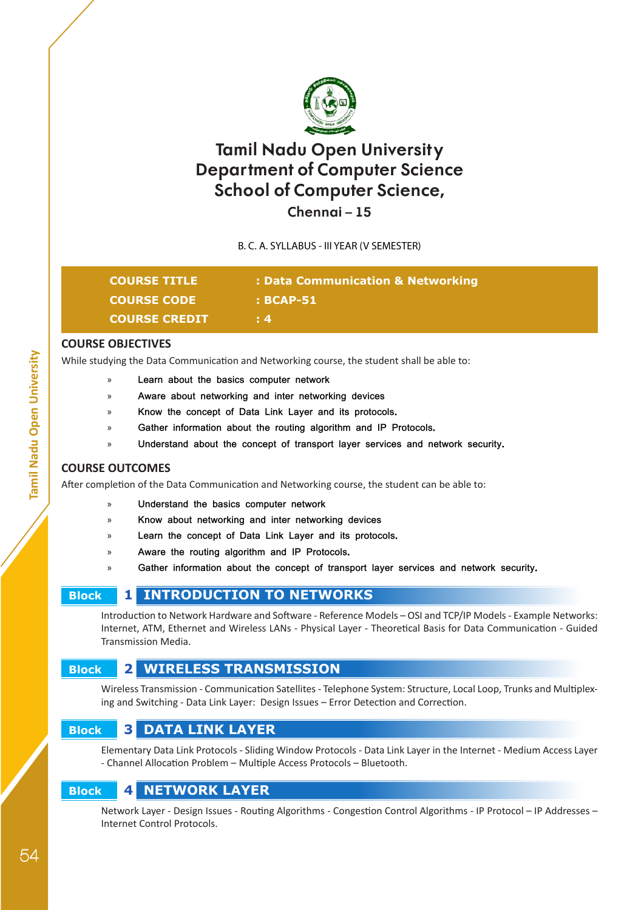

## **Chennai – 15**

B. C. A. SYLLABUS - III YEAR (V SEMESTER)

| <b>COURSE TITLE</b>  | : Data Communication & Networking |
|----------------------|-----------------------------------|
| <b>COURSE CODE</b>   | : BCAP-51                         |
| <b>COURSE CREDIT</b> | !! 4.                             |

## **COURSE OBJECTIVES**

While studying the Data Communication and Networking course, the student shall be able to:

- » **Learn about the basics computer network**
- » **Aware about networking and inter networking devices**
- » **Know the concept of Data Link Layer and its protocols.**
- Gather information about the routing algorithm and IP Protocols.
- » **Understand about the concept of transport layer services and network security.**

## **COURSE OUTCOMES**

After completion of the Data Communication and Networking course, the student can be able to:

- » **Understand the basics computer network**
- » **Know about networking and inter networking devices**
- » **Learn the concept of Data Link Layer and its protocols.**
- » **Aware the routing algorithm and IP Protocols.**
- Gather information about the concept of transport layer services and network security.

## **Block 1 INTRODUCTION TO NETWORKS**

Introduction to Network Hardware and Software - Reference Models – OSI and TCP/IP Models - Example Networks: Internet, ATM, Ethernet and Wireless LANs - Physical Layer - Theoretical Basis for Data Communication - Guided Transmission Media.

## **Block 2 WIRELESS TRANSMISSION**

Wireless Transmission - Communication Satellites - Telephone System: Structure, Local Loop, Trunks and Multiplexing and Switching - Data Link Layer: Design Issues – Error Detection and Correction.

## **Block 3 DATA LINK LAYER**

Elementary Data Link Protocols - Sliding Window Protocols - Data Link Layer in the Internet - Medium Access Layer - Channel Allocation Problem – Multiple Access Protocols – Bluetooth.

## **Block 4 NETWORK LAYER**

Network Layer - Design Issues - Routing Algorithms - Congestion Control Algorithms - IP Protocol – IP Addresses – Internet Control Protocols.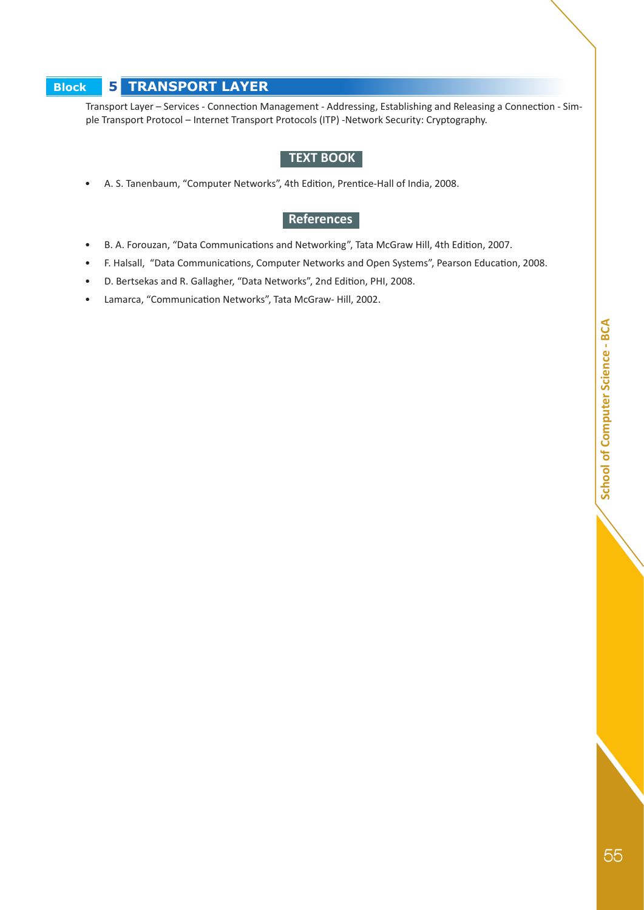## **Block 5 TRANSPORT LAYER**

Transport Layer – Services - Connection Management - Addressing, Establishing and Releasing a Connection - Simple Transport Protocol – Internet Transport Protocols (ITP) -Network Security: Cryptography.

### **TEXT BOOK**

• A. S. Tanenbaum, "Computer Networks", 4th Edition, Prentice-Hall of India, 2008.

## **References**

- B. A. Forouzan, "Data Communications and Networking", Tata McGraw Hill, 4th Edition, 2007.
- F. Halsall, "Data Communications, Computer Networks and Open Systems", Pearson Education, 2008.
- D. Bertsekas and R. Gallagher, "Data Networks", 2nd Edition, PHI, 2008.
- Lamarca, "Communication Networks", Tata McGraw- Hill, 2002.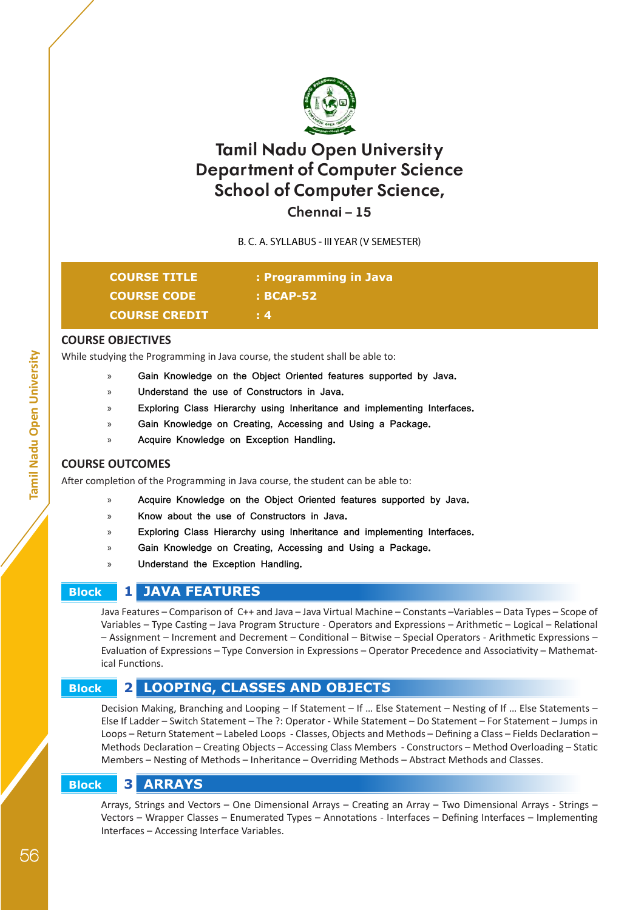

**Chennai – 15**

B. C. A. SYLLABUS - III YEAR (V SEMESTER)

| <b>COURSE TITLE</b>  | : Programming in Java |
|----------------------|-----------------------|
| <b>COURSE CODE</b>   | $: BCAP-52$           |
| <b>COURSE CREDIT</b> | $\pm 4$               |

## **COURSE OBJECTIVES**

While studying the Programming in Java course, the student shall be able to:

- » **Gain Knowledge on the Object Oriented features supported by Java.**
	- » **Understand the use of Constructors in Java.**
	- » **Exploring Class Hierarchy using Inheritance and implementing Interfaces.**
	- » **Gain Knowledge on Creating, Accessing and Using a Package.**
	- » **Acquire Knowledge on Exception Handling.**

#### **COURSE OUTCOMES**

After completion of the Programming in Java course, the student can be able to:

- » **Acquire Knowledge on the Object Oriented features supported by Java.**
- » **Know about the use of Constructors in Java.**
- » **Exploring Class Hierarchy using Inheritance and implementing Interfaces.**
- » **Gain Knowledge on Creating, Accessing and Using a Package.**
- » **Understand the Exception Handling.**

## **Block 1 JAVA FEATURES**

Java Features – Comparison of C++ and Java – Java Virtual Machine – Constants –Variables – Data Types – Scope of Variables – Type Casting – Java Program Structure - Operators and Expressions – Arithmetic – Logical – Relational – Assignment – Increment and Decrement – Conditional – Bitwise – Special Operators - Arithmetic Expressions – Evaluation of Expressions – Type Conversion in Expressions – Operator Precedence and Associativity – Mathematical Functions.

## **Block 2 LOOPING, CLASSES AND OBJECTS**

Decision Making, Branching and Looping – If Statement – If … Else Statement – Nesting of If … Else Statements – Else If Ladder – Switch Statement – The ?: Operator - While Statement – Do Statement – For Statement – Jumps in Loops – Return Statement – Labeled Loops - Classes, Objects and Methods – Defining a Class – Fields Declaration – Methods Declaration – Creating Objects – Accessing Class Members - Constructors – Method Overloading – Static Members – Nesting of Methods – Inheritance – Overriding Methods – Abstract Methods and Classes.

## **Block 3 ARRAYS**

Arrays, Strings and Vectors – One Dimensional Arrays – Creating an Array – Two Dimensional Arrays - Strings – Vectors – Wrapper Classes – Enumerated Types – Annotations - Interfaces – Defining Interfaces – Implementing Interfaces – Accessing Interface Variables.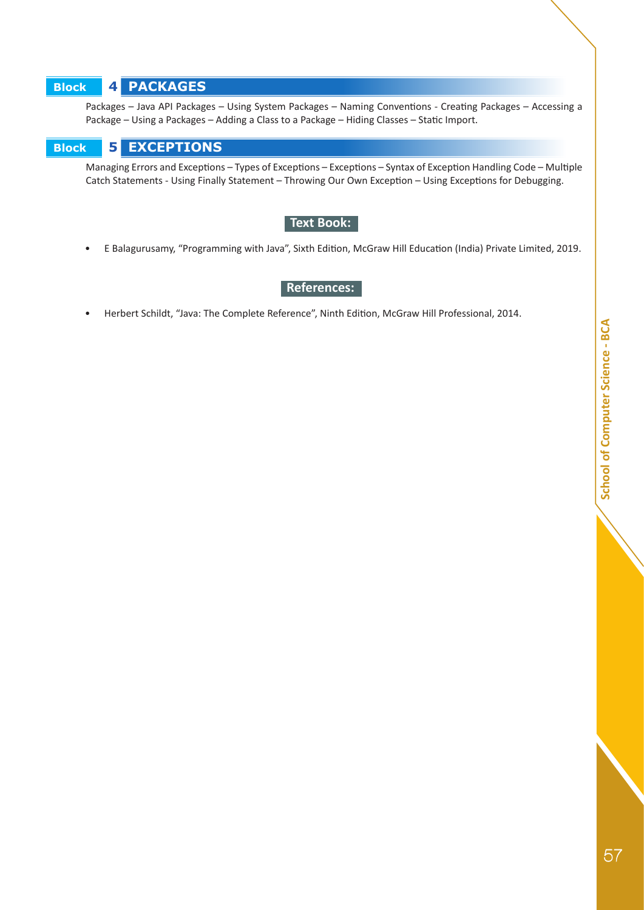## **Block 4 PACKAGES**

Packages – Java API Packages – Using System Packages – Naming Conventions - Creating Packages – Accessing a Package – Using a Packages – Adding a Class to a Package – Hiding Classes – Static Import.

## **Block 5 EXCEPTIONS**

Managing Errors and Exceptions – Types of Exceptions – Exceptions – Syntax of Exception Handling Code – Multiple Catch Statements - Using Finally Statement – Throwing Our Own Exception – Using Exceptions for Debugging.

## **Text Book:**

• E Balagurusamy, "Programming with Java", Sixth Edition, McGraw Hill Education (India) Private Limited, 2019.

## **References:**

• Herbert Schildt, "Java: The Complete Reference", Ninth Edition, McGraw Hill Professional, 2014.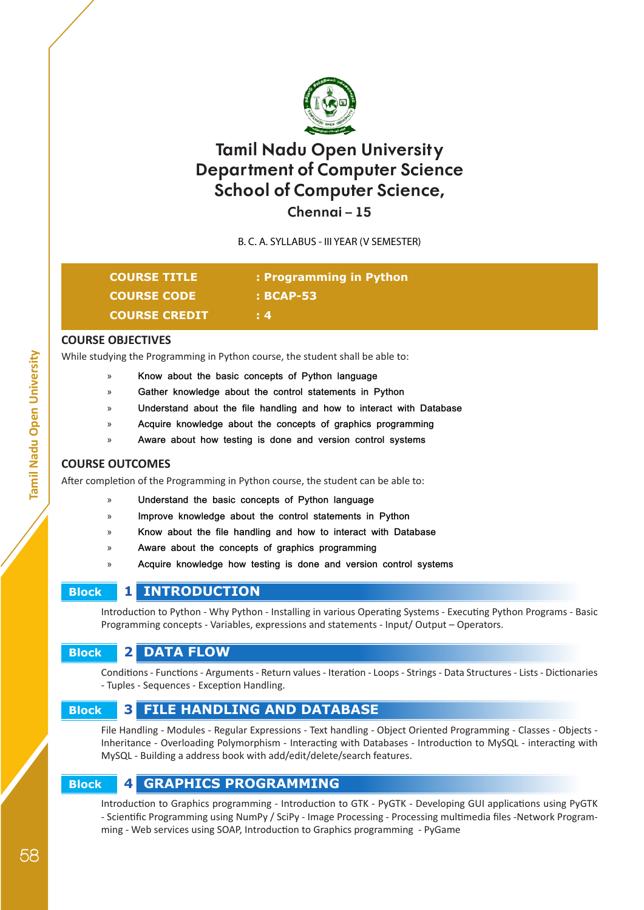

**Chennai – 15**

B. C. A. SYLLABUS - III YEAR (V SEMESTER)

| <b>COURSE TITLE</b>  | : Programming in Python |  |
|----------------------|-------------------------|--|
| <b>COURSE CODE</b>   | $: BCAP-53$             |  |
| <b>COURSE CREDIT</b> | $\pm 4$                 |  |

## **COURSE OBJECTIVES**

While studying the Programming in Python course, the student shall be able to:

- » **Know about the basic concepts of Python language**
- » **Gather knowledge about the control statements in Python**
- » **Understand about the file handling and how to interact with Database**
- » **Acquire knowledge about the concepts of graphics programming**
- » **Aware about how testing is done and version control systems**

#### **COURSE OUTCOMES**

After completion of the Programming in Python course, the student can be able to:

- » **Understand the basic concepts of Python language**
- » **Improve knowledge about the control statements in Python**
- » **Know about the file handling and how to interact with Database**
- » **Aware about the concepts of graphics programming**
- » **Acquire knowledge how testing is done and version control systems**

## **Block 1 INTRODUCTION**

Introduction to Python - Why Python - Installing in various Operating Systems - Executing Python Programs - Basic Programming concepts - Variables, expressions and statements - Input/ Output – Operators.

## **Block 2 DATA FLOW**

Conditions - Functions - Arguments - Return values - Iteration - Loops - Strings - Data Structures - Lists - Dictionaries - Tuples - Sequences - Exception Handling.

## **Block 3 FILE HANDLING AND DATABASE**

File Handling - Modules - Regular Expressions - Text handling - Object Oriented Programming - Classes - Objects - Inheritance - Overloading Polymorphism - Interacting with Databases - Introduction to MySQL - interacting with MySQL - Building a address book with add/edit/delete/search features.

## **Block 4 GRAPHICS PROGRAMMING**

Introduction to Graphics programming - Introduction to GTK - PyGTK - Developing GUI applications using PyGTK - Scientific Programming using NumPy / SciPy - Image Processing - Processing multimedia files -Network Programming - Web services using SOAP, Introduction to Graphics programming - PyGame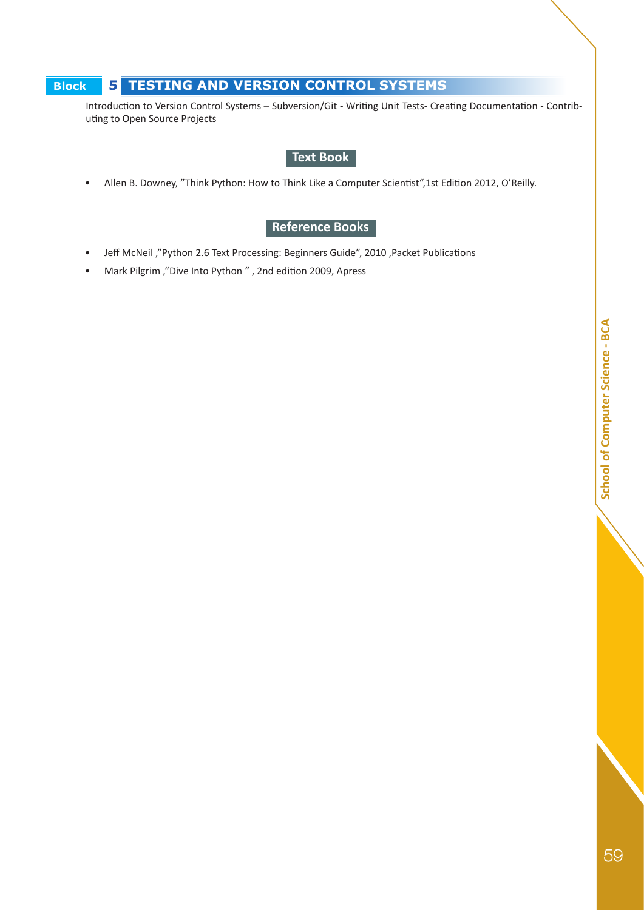## **Block 5 TESTING AND VERSION CONTROL SYSTEMS**

Introduction to Version Control Systems – Subversion/Git - Writing Unit Tests- Creating Documentation - Contributing to Open Source Projects

## **Text Book**

• Allen B. Downey, "Think Python: How to Think Like a Computer Scientist",1st Edition 2012, O'Reilly.

## **Reference Books**

- Jeff McNeil ,"Python 2.6 Text Processing: Beginners Guide", 2010 ,Packet Publications
- Mark Pilgrim ,"Dive Into Python " , 2nd edition 2009, Apress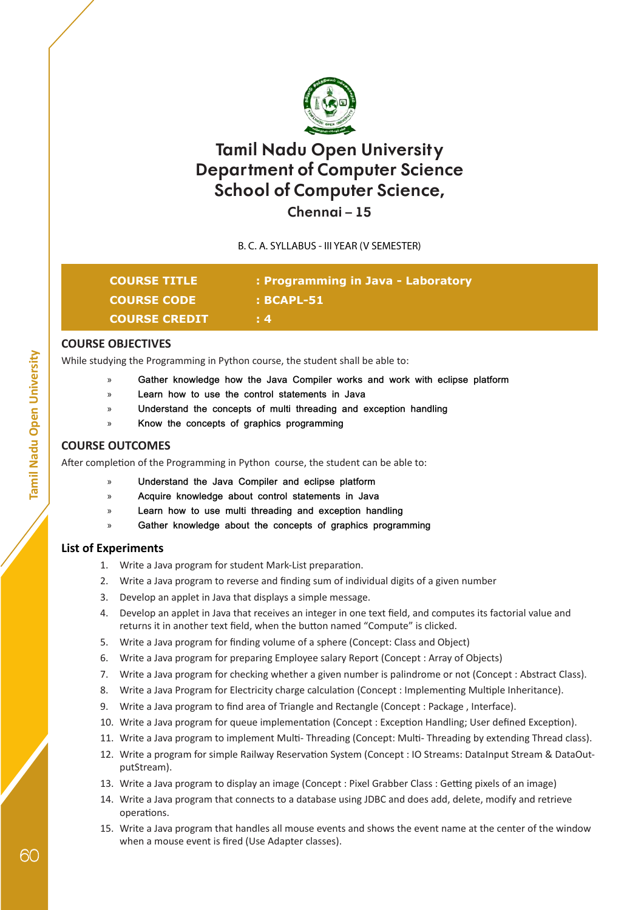

## **Chennai – 15**

B. C. A. SYLLABUS - III YEAR (V SEMESTER)

| <b>COURSE TITLE</b>  | : Programming in Java - Laboratory |
|----------------------|------------------------------------|
| <b>COURSE CODE</b>   | : BCAPL-51                         |
| <b>COURSE CREDIT</b> | $\pm 4$                            |

## **COURSE OBJECTIVES**

While studying the Programming in Python course, the student shall be able to:

- » **Gather knowledge how the Java Compiler works and work with eclipse platform**
- » **Learn how to use the control statements in Java**
- » **Understand the concepts of multi threading and exception handling**
- » **Know the concepts of graphics programming**

## **COURSE OUTCOMES**

After completion of the Programming in Python course, the student can be able to:

- » **Understand the Java Compiler and eclipse platform**
- » **Acquire knowledge about control statements in Java**
- » **Learn how to use multi threading and exception handling**
- » **Gather knowledge about the concepts of graphics programming**

## **List of Experiments**

- 1. Write a Java program for student Mark-List preparation.
- 2. Write a Java program to reverse and finding sum of individual digits of a given number
- 3. Develop an applet in Java that displays a simple message.
- 4. Develop an applet in Java that receives an integer in one text field, and computes its factorial value and returns it in another text field, when the button named "Compute" is clicked.
- 5. Write a Java program for finding volume of a sphere (Concept: Class and Object)
- 6. Write a Java program for preparing Employee salary Report (Concept : Array of Objects)
- 7. Write a Java program for checking whether a given number is palindrome or not (Concept : Abstract Class).
- 8. Write a Java Program for Electricity charge calculation (Concept : Implementing Multiple Inheritance).
- 9. Write a Java program to find area of Triangle and Rectangle (Concept : Package , Interface).
- 10. Write a Java program for queue implementation (Concept : Exception Handling; User defined Exception).
- 11. Write a Java program to implement Multi- Threading (Concept: Multi- Threading by extending Thread class).
- 12. Write a program for simple Railway Reservation System (Concept : IO Streams: DataInput Stream & DataOutputStream).
- 13. Write a Java program to display an image (Concept : Pixel Grabber Class : Getting pixels of an image)
- 14. Write a Java program that connects to a database using JDBC and does add, delete, modify and retrieve operations.
- 15. Write a Java program that handles all mouse events and shows the event name at the center of the window when a mouse event is fired (Use Adapter classes).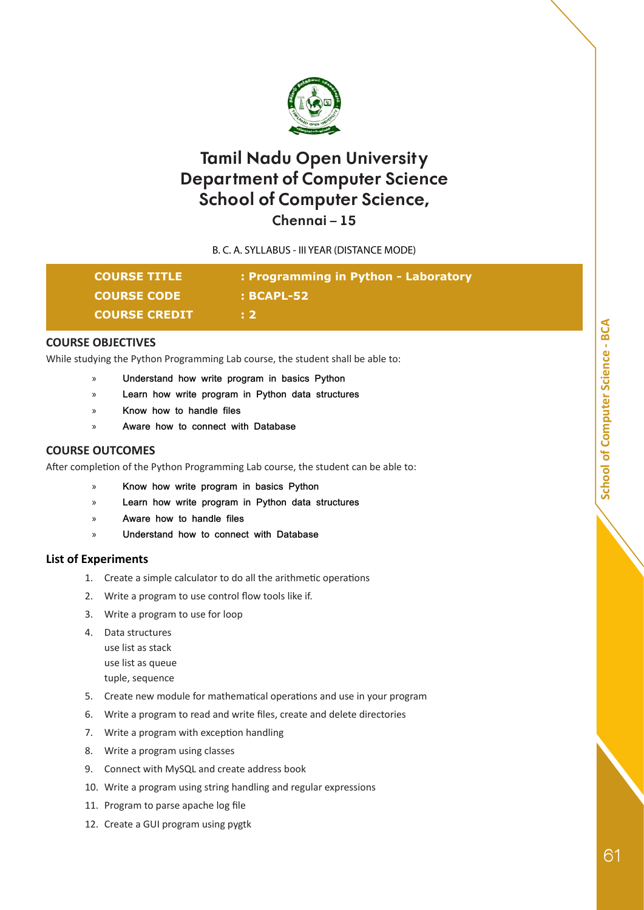

**Chennai – 15**

B. C. A. SYLLABUS - III YEAR (DISTANCE MODE)

| <b>COURSE TITLE</b>  | : Programming in Python - Laboratory |
|----------------------|--------------------------------------|
| <b>COURSE CODE</b>   | : BCAPL-52                           |
| <b>COURSE CREDIT</b> | B 2.                                 |

#### **COURSE OBJECTIVES**

While studying the Python Programming Lab course, the student shall be able to:

- » **Understand how write program in basics Python**
- » **Learn how write program in Python data structures**
- » **Know how to handle files**
- » **Aware how to connect with Database**

#### **COURSE OUTCOMES**

After completion of the Python Programming Lab course, the student can be able to:

- » **Know how write program in basics Python**
- » **Learn how write program in Python data structures**
- » **Aware how to handle files**
- » **Understand how to connect with Database**

#### **List of Experiments**

- 1. Create a simple calculator to do all the arithmetic operations
- 2. Write a program to use control flow tools like if.
- 3. Write a program to use for loop
- 4. Data structures use list as stack
	- use list as queue tuple, sequence
- 5. Create new module for mathematical operations and use in your program
- 6. Write a program to read and write files, create and delete directories
- 7. Write a program with exception handling
- 8. Write a program using classes
- 9. Connect with MySQL and create address book
- 10. Write a program using string handling and regular expressions
- 11. Program to parse apache log file
- 12. Create a GUI program using pygtk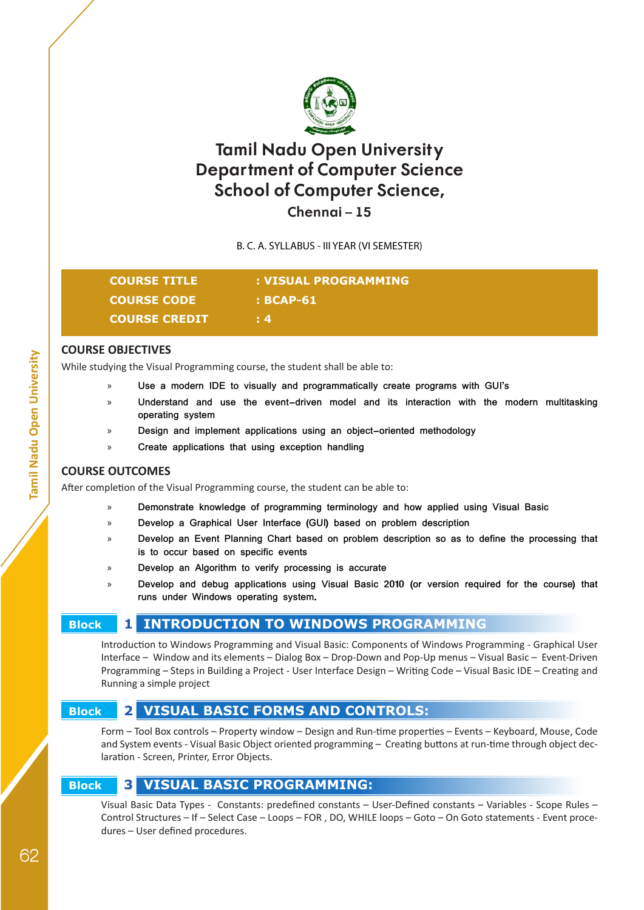

## **Chennai – 15**

B. C. A. SYLLABUS - III YEAR (VI SEMESTER)

| <b>COURSE TITLE</b>  | : VISUAL PROGRAMMING |
|----------------------|----------------------|
| <b>COURSE CODE</b>   | $\pm$ BCAP-61        |
| <b>COURSE CREDIT</b> | $\pm 4$              |

## **COURSE OBJECTIVES**

While studying the Visual Programming course, the student shall be able to:

- » **Use a modern IDE to visually and programmatically create programs with GUI's**
- » **Understand and use the event-driven model and its interaction with the modern multitasking operating system**
- » **Design and implement applications using an object-oriented methodology**
- » **Create applications that using exception handling**

## **COURSE OUTCOMES**

After completion of the Visual Programming course, the student can be able to:

- » **Demonstrate knowledge of programming terminology and how applied using Visual Basic**
- » **Develop a Graphical User Interface (GUI) based on problem description**
- » **Develop an Event Planning Chart based on problem description so as to define the processing that is to occur based on specific events**
- » **Develop an Algorithm to verify processing is accurate**
- » **Develop and debug applications using Visual Basic 2010 (or version required for the course) that runs under Windows operating system.**

## **Block 1 INTRODUCTION TO WINDOWS PROGRAMMING**

Introduction to Windows Programming and Visual Basic: Components of Windows Programming - Graphical User Interface – Window and its elements – Dialog Box – Drop-Down and Pop-Up menus – Visual Basic – Event-Driven Programming – Steps in Building a Project - User Interface Design – Writing Code – Visual Basic IDE – Creating and Running a simple project

## **Block 2 VISUAL BASIC FORMS AND CONTROLS:**

Form – Tool Box controls – Property window – Design and Run-time properties – Events – Keyboard, Mouse, Code and System events - Visual Basic Object oriented programming – Creating buttons at run-time through object declaration - Screen, Printer, Error Objects.

## **Block 3 VISUAL BASIC PROGRAMMING:**

Visual Basic Data Types - Constants: predefined constants – User-Defined constants – Variables - Scope Rules – Control Structures – If – Select Case – Loops – FOR , DO, WHILE loops – Goto – On Goto statements - Event procedures – User defined procedures.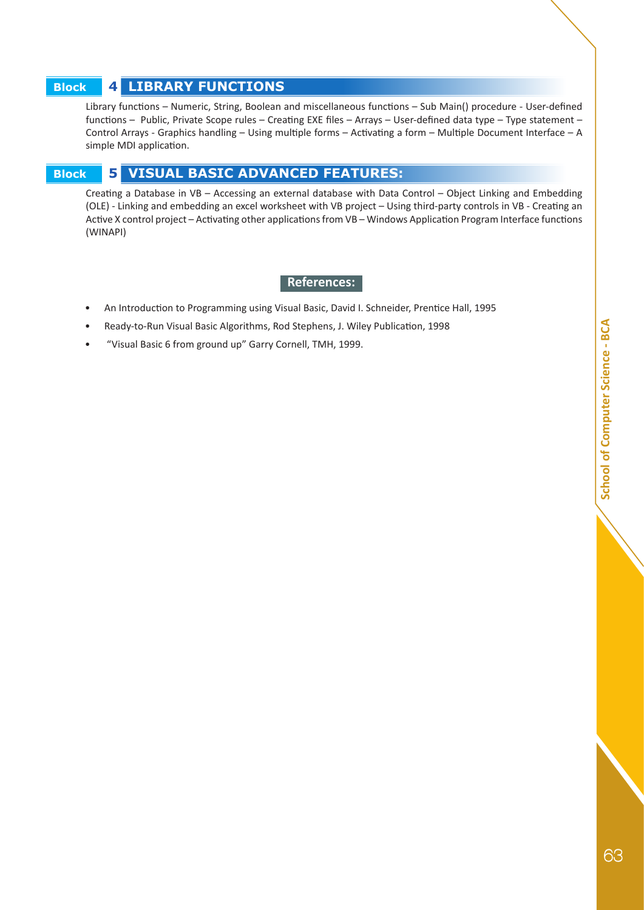# School of Computer Science - BCA 63**School of Computer Science - BCA**

## **Block 4 LIBRARY FUNCTIONS**

Library functions – Numeric, String, Boolean and miscellaneous functions – Sub Main() procedure - User-defined functions – Public, Private Scope rules – Creating EXE files – Arrays – User-defined data type – Type statement – Control Arrays - Graphics handling – Using multiple forms – Activating a form – Multiple Document Interface – A simple MDI application.

## **Block 5 VISUAL BASIC ADVANCED FEATURES:**

Creating a Database in VB – Accessing an external database with Data Control – Object Linking and Embedding (OLE) - Linking and embedding an excel worksheet with VB project – Using third-party controls in VB - Creating an Active X control project – Activating other applications from VB – Windows Application Program Interface functions (WINAPI)

#### **References:**

- An Introduction to Programming using Visual Basic, David I. Schneider, Prentice Hall, 1995
- Ready-to-Run Visual Basic Algorithms, Rod Stephens, J. Wiley Publication, 1998
- "Visual Basic 6 from ground up" Garry Cornell, TMH, 1999.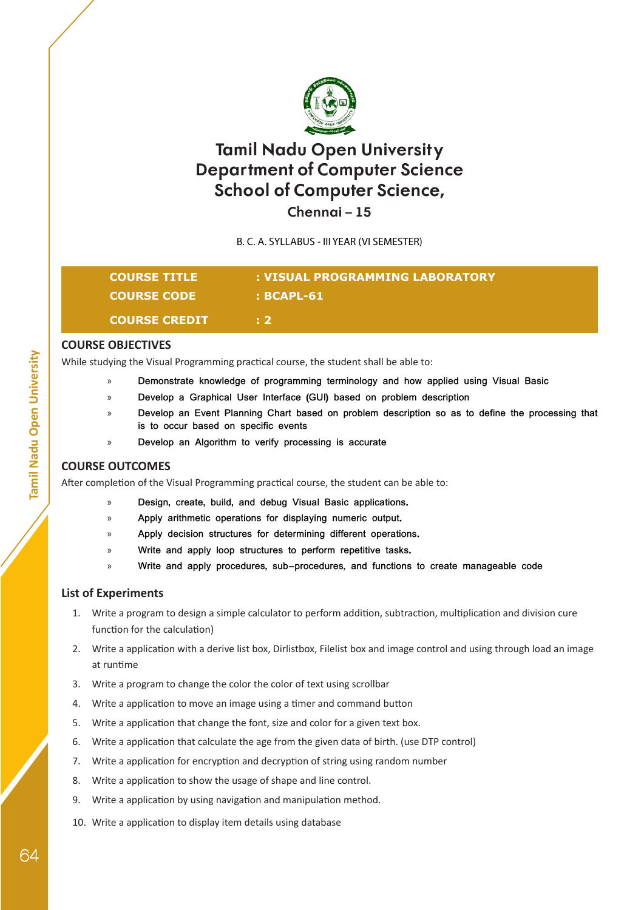

**Chennai – 15**

B. C. A. SYLLABUS - III YEAR (VI SEMESTER)

## **COURSE TITLE : VISUAL PROGRAMMING LABORATORY COURSE CODE : BCAPL-61 COURSE CREDIT : 2**

## **COURSE OBJECTIVES**

While studying the Visual Programming practical course, the student shall be able to:

- » **Demonstrate knowledge of programming terminology and how applied using Visual Basic**
- » **Develop a Graphical User Interface (GUI) based on problem description**
	- » **Develop an Event Planning Chart based on problem description so as to define the processing that is to occur based on specific events**
- » **Develop an Algorithm to verify processing is accurate**

## **COURSE OUTCOMES**

After completion of the Visual Programming practical course, the student can be able to:

- » **Design, create, build, and debug Visual Basic applications.**
- » **Apply arithmetic operations for displaying numeric output.**
- » **Apply decision structures for determining different operations.**
- » **Write and apply loop structures to perform repetitive tasks.**
- » **Write and apply procedures, sub-procedures, and functions to create manageable code**

#### **List of Experiments**

- 1. Write a program to design a simple calculator to perform addition, subtraction, multiplication and division cure function for the calculation)
- 2. Write a application with a derive list box, Dirlistbox, Filelist box and image control and using through load an image at runtime
- 3. Write a program to change the color the color of text using scrollbar
- 4. Write a application to move an image using a timer and command button
- 5. Write a application that change the font, size and color for a given text box.
- 6. Write a application that calculate the age from the given data of birth. (use DTP control)
- 7. Write a application for encryption and decryption of string using random number
- 8. Write a application to show the usage of shape and line control.
- 9. Write a application by using navigation and manipulation method.
- 10. Write a application to display item details using database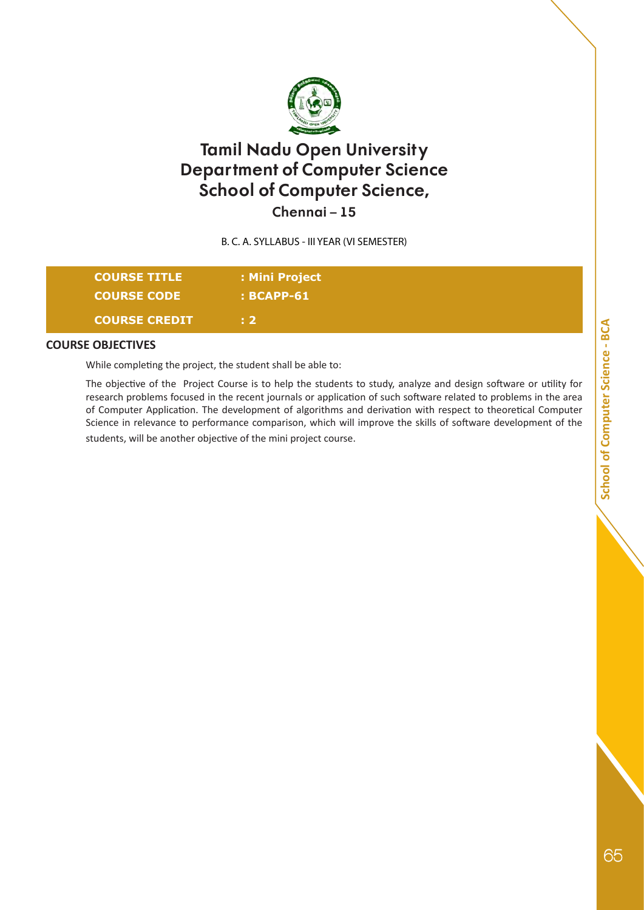

**Chennai – 15**

B. C. A. SYLLABUS - III YEAR (VI SEMESTER)

| <b>COURSE TITLE</b>  | : Mini Project |  |
|----------------------|----------------|--|
| <b>COURSE CODE</b>   | $:$ BCAPP-61   |  |
| <b>COURSE CREDIT</b> | Æ 2 T          |  |

#### **COURSE OBJECTIVES**

While completing the project, the student shall be able to:

The objective of the Project Course is to help the students to study, analyze and design software or utility for research problems focused in the recent journals or application of such software related to problems in the area of Computer Application. The development of algorithms and derivation with respect to theoretical Computer Science in relevance to performance comparison, which will improve the skills of software development of the students, will be another objective of the mini project course.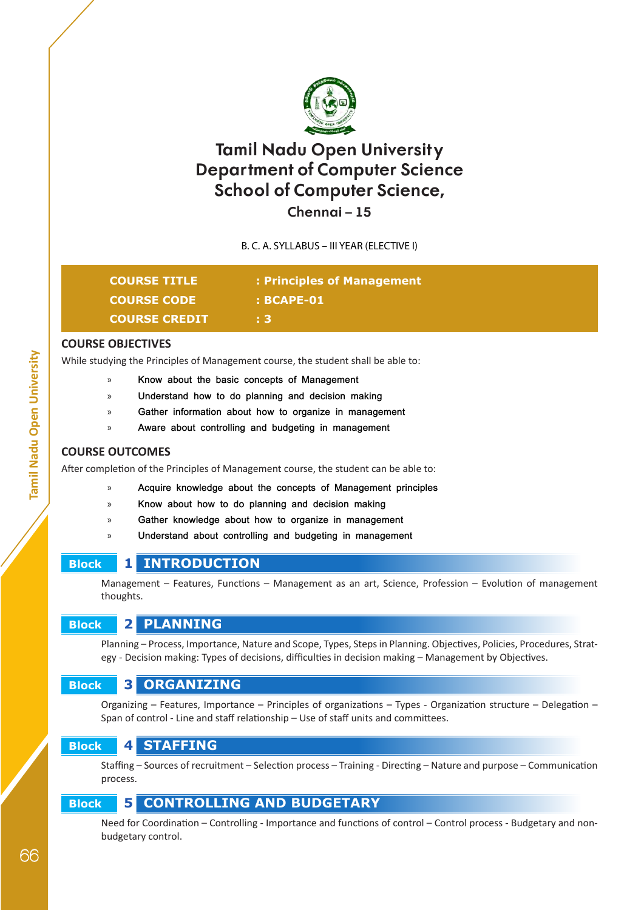

## **Chennai – 15**

B. C. A. SYLLABUS – III YEAR (ELECTIVE I)

| <b>COURSE TITLE</b>  | : Principles of Management |
|----------------------|----------------------------|
| <b>COURSE CODE</b>   | $:$ BCAPE-01               |
| <b>COURSE CREDIT</b> | . 3.                       |

#### **COURSE OBJECTIVES**

While studying the Principles of Management course, the student shall be able to:

- » **Know about the basic concepts of Management**
- » **Understand how to do planning and decision making**
- » **Gather information about how to organize in management**
- » **Aware about controlling and budgeting in management**

#### **COURSE OUTCOMES**

After completion of the Principles of Management course, the student can be able to:

- » **Acquire knowledge about the concepts of Management principles**
	- » **Know about how to do planning and decision making**
	- Gather knowledge about how to organize in management
	- » **Understand about controlling and budgeting in management**

## **Block 1 INTRODUCTION**

Management – Features, Functions – Management as an art, Science, Profession – Evolution of management thoughts.

## **Block 2 PLANNING**

Planning – Process, Importance, Nature and Scope, Types, Steps in Planning. Objectives, Policies, Procedures, Strategy - Decision making: Types of decisions, difficulties in decision making – Management by Objectives.

## **Block 3 ORGANIZING**

Organizing – Features, Importance – Principles of organizations – Types - Organization structure – Delegation – Span of control - Line and staff relationship – Use of staff units and committees.

## **Block 4 STAFFING**

Staffing – Sources of recruitment – Selection process – Training - Directing – Nature and purpose – Communication process.

## **Block 5 CONTROLLING AND BUDGETARY**

Need for Coordination – Controlling - Importance and functions of control – Control process - Budgetary and nonbudgetary control.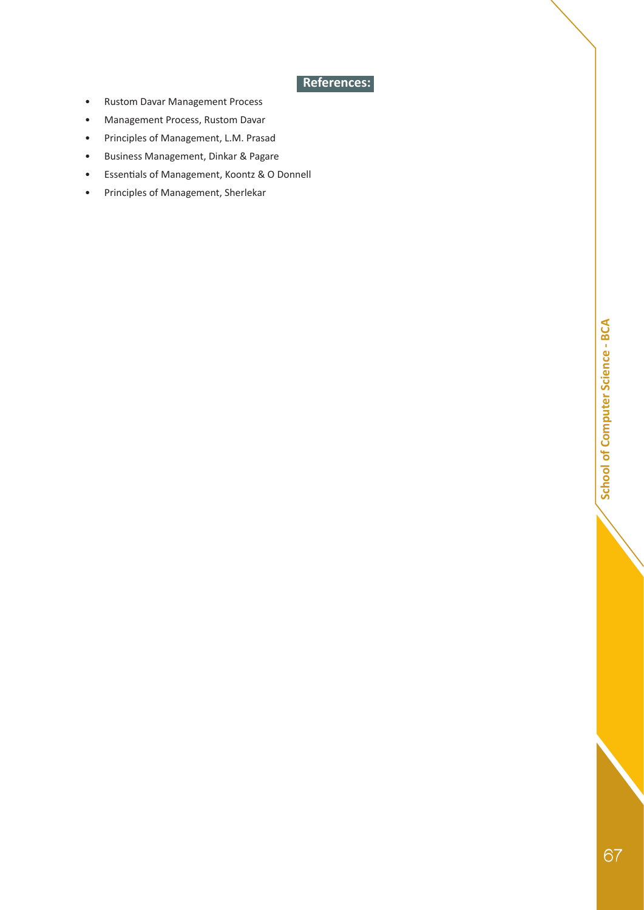**• References:** 

- Rustom Davar Management Process
- Management Process, Rustom Davar
- Principles of Management, L.M. Prasad
- Business Management, Dinkar & Pagare
- Essentials of Management, Koontz & O Donnell
- Principles of Management, Sherlekar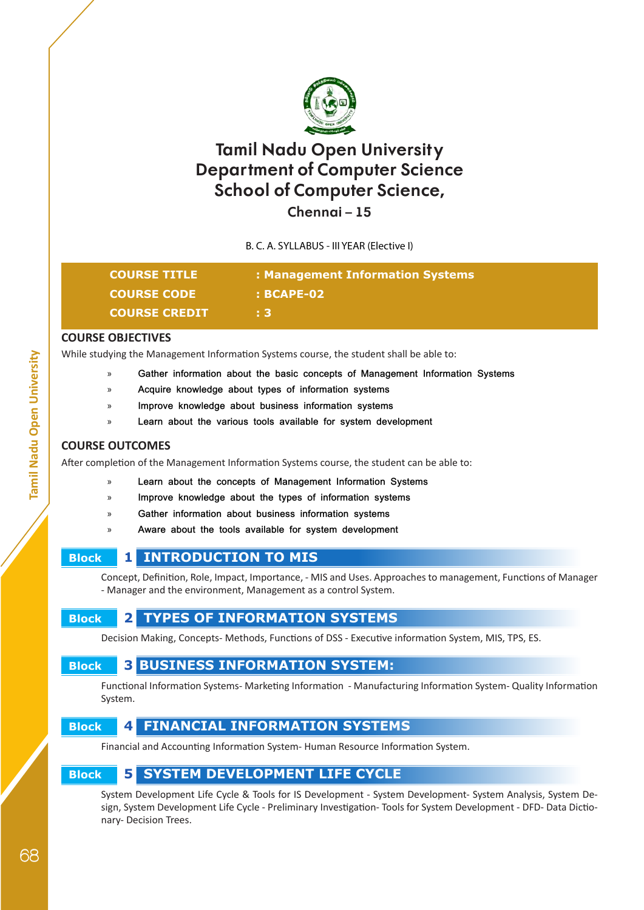

## **Chennai – 15**

B. C. A. SYLLABUS - III YEAR (Elective I)

| <b>COURSE TITLE</b>  | : Management Information Systems |
|----------------------|----------------------------------|
| <b>COURSE CODE</b>   | $: BCAPE-02$                     |
| <b>COURSE CREDIT</b> | T 3'                             |

#### **COURSE OBJECTIVES**

While studying the Management Information Systems course, the student shall be able to:

- » **Gather information about the basic concepts of Management Information Systems**
- » **Acquire knowledge about types of information systems**
- » **Improve knowledge about business information systems**
- » **Learn about the various tools available for system development**

#### **COURSE OUTCOMES**

After completion of the Management Information Systems course, the student can be able to:

- » **Learn about the concepts of Management Information Systems**
- » **Improve knowledge about the types of information systems**
- » **Gather information about business information systems**
- » **Aware about the tools available for system development**

#### **Block 1 INTRODUCTION TO MIS**

Concept, Definition, Role, Impact, Importance, - MIS and Uses. Approaches to management, Functions of Manager - Manager and the environment, Management as a control System.

## **Block 2 TYPES OF INFORMATION SYSTEMS**

Decision Making, Concepts- Methods, Functions of DSS - Executive information System, MIS, TPS, ES.

# **Block 3 BUSINESS INFORMATION SYSTEM:**

Functional Information Systems- Marketing Information - Manufacturing Information System- Quality Information System.

# **Block 4 FINANCIAL INFORMATION SYSTEMS**

Financial and Accounting Information System- Human Resource Information System.

## **Block 5 SYSTEM DEVELOPMENT LIFE CYCLE**

System Development Life Cycle & Tools for IS Development - System Development- System Analysis, System Design, System Development Life Cycle - Preliminary Investigation- Tools for System Development - DFD- Data Dictionary- Decision Trees.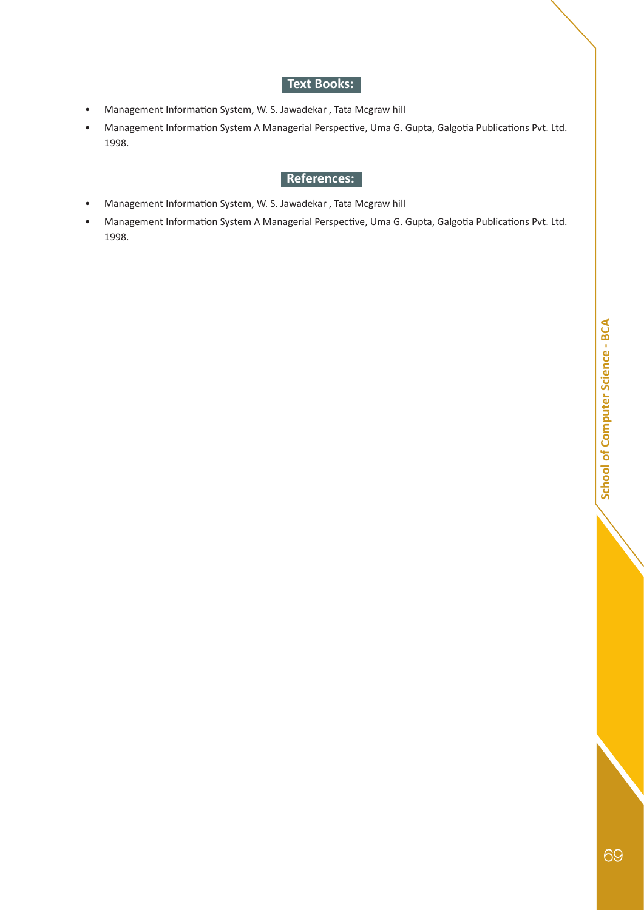## **Text Books:**

- Management Information System, W. S. Jawadekar , Tata Mcgraw hill
- Management Information System A Managerial Perspective, Uma G. Gupta, Galgotia Publications Pvt. Ltd. 1998.

- Management Information System, W. S. Jawadekar , Tata Mcgraw hill
- Management Information System A Managerial Perspective, Uma G. Gupta, Galgotia Publications Pvt. Ltd. 1998.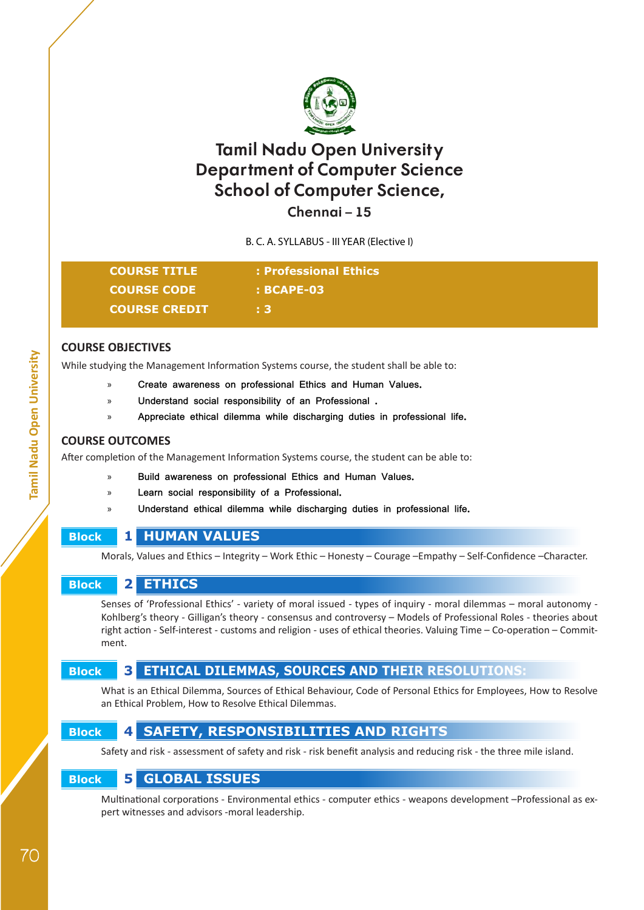

**Chennai – 15**

B. C. A. SYLLABUS - III YEAR (Elective I)

| <b>COURSE TITLE</b>  | : Professional Ethics |
|----------------------|-----------------------|
| <b>COURSE CODE</b>   | $: BCAPE-03$          |
| <b>COURSE CREDIT</b> | E 37                  |

#### **COURSE OBJECTIVES**

While studying the Management Information Systems course, the student shall be able to:

- » **Create awareness on professional Ethics and Human Values.**
- » **Understand social responsibility of an Professional .**
- » **Appreciate ethical dilemma while discharging duties in professional life.**

#### **COURSE OUTCOMES**

After completion of the Management Information Systems course, the student can be able to:

- » **Build awareness on professional Ethics and Human Values.**
- » **Learn social responsibility of a Professional.**
- » **Understand ethical dilemma while discharging duties in professional life.**

# **Block 1 HUMAN VALUES**

Morals, Values and Ethics – Integrity – Work Ethic – Honesty – Courage –Empathy – Self-Confidence –Character.

## **Block 2 ETHICS**

Senses of 'Professional Ethics' - variety of moral issued - types of inquiry - moral dilemmas – moral autonomy - Kohlberg's theory - Gilligan's theory - consensus and controversy – Models of Professional Roles - theories about right action - Self-interest - customs and religion - uses of ethical theories. Valuing Time – Co-operation – Commitment.

# **Block 3 ETHICAL DILEMMAS, SOURCES AND THEIR RESOLUTIONS:**

What is an Ethical Dilemma, Sources of Ethical Behaviour, Code of Personal Ethics for Employees, How to Resolve an Ethical Problem, How to Resolve Ethical Dilemmas.

# **Block 4 SAFETY, RESPONSIBILITIES AND RIGHTS**

Safety and risk - assessment of safety and risk - risk benefit analysis and reducing risk - the three mile island.

## **Block 5 GLOBAL ISSUES**

Multinational corporations - Environmental ethics - computer ethics - weapons development –Professional as expert witnesses and advisors -moral leadership.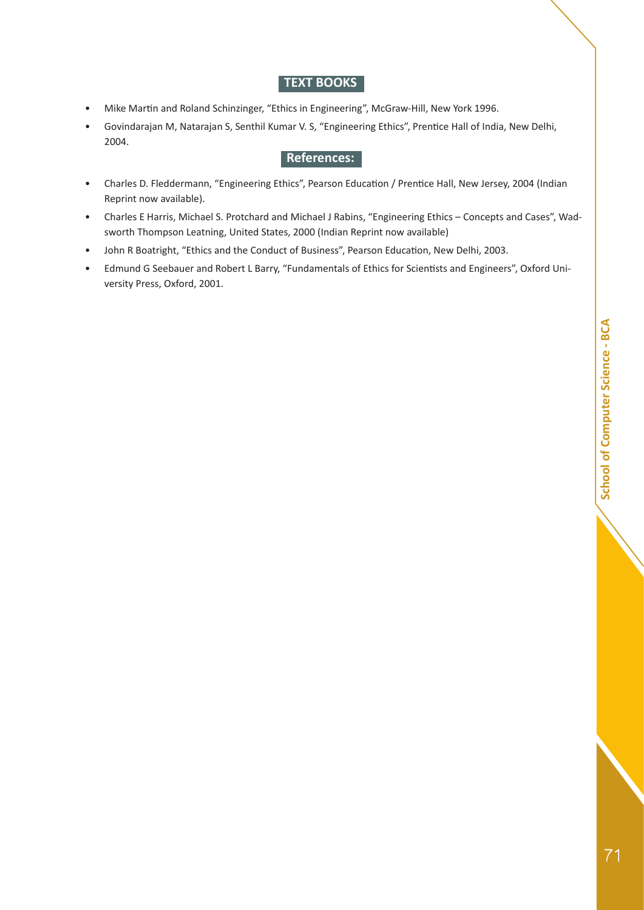#### **TEXT BOOKS**

- Mike Martin and Roland Schinzinger, "Ethics in Engineering", McGraw-Hill, New York 1996.
- Govindarajan M, Natarajan S, Senthil Kumar V. S, "Engineering Ethics", Prentice Hall of India, New Delhi, 2004.

- Charles D. Fleddermann, "Engineering Ethics", Pearson Education / Prentice Hall, New Jersey, 2004 (Indian Reprint now available).
- Charles E Harris, Michael S. Protchard and Michael J Rabins, "Engineering Ethics Concepts and Cases", Wadsworth Thompson Leatning, United States, 2000 (Indian Reprint now available)
- John R Boatright, "Ethics and the Conduct of Business", Pearson Education, New Delhi, 2003.
- Edmund G Seebauer and Robert L Barry, "Fundamentals of Ethics for Scientists and Engineers", Oxford University Press, Oxford, 2001.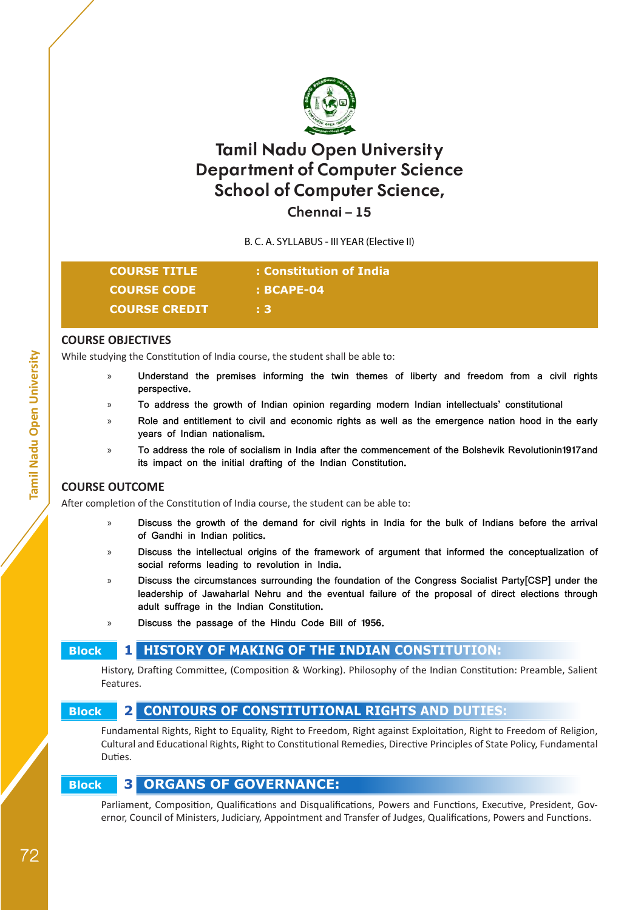

**Chennai – 15**

B. C. A. SYLLABUS - III YEAR (Elective II)

| <b>COURSE TITLE</b>  | : Constitution of India |
|----------------------|-------------------------|
| <b>COURSE CODE</b>   | $: BCAPE-04$            |
| <b>COURSE CREDIT</b> | - 31                    |

#### **COURSE OBJECTIVES**

While studying the Constitution of India course, the student shall be able to:

- » **Understand the premises informing the twin themes of liberty and freedom from a civil rights perspective.**
- » **To address the growth of Indian opinion regarding modern Indian intellectuals' constitutional**
- » **Role and entitlement to civil and economic rights as well as the emergence nation hood in the early years of Indian nationalism.**
- » **To address the role of socialism in India after the commencement of the Bolshevik Revolutionin1917and its impact on the initial drafting of the Indian Constitution.**

#### **COURSE OUTCOME**

After completion of the Constitution of India course, the student can be able to:

- » **Discuss the growth of the demand for civil rights in India for the bulk of Indians before the arrival of Gandhi in Indian politics.**
- » **Discuss the intellectual origins of the framework of argument that informed the conceptualization of social reforms leading to revolution in India.**
- » **Discuss the circumstances surrounding the foundation of the Congress Socialist Party[CSP] under the leadership of Jawaharlal Nehru and the eventual failure of the proposal of direct elections through adult suffrage in the Indian Constitution.**
- » **Discuss the passage of the Hindu Code Bill of 1956.**

# **Block 1 HISTORY OF MAKING OF THE INDIAN CONSTITUTION:**

History, Drafting Committee, (Composition & Working). Philosophy of the Indian Constitution: Preamble, Salient Features.

## **Block 2 CONTOURS OF CONSTITUTIONAL RIGHTS AND DUTIES:**

Fundamental Rights, Right to Equality, Right to Freedom, Right against Exploitation, Right to Freedom of Religion, Cultural and Educational Rights, Right to Constitutional Remedies, Directive Principles of State Policy, Fundamental Duties.

## **Block 3 ORGANS OF GOVERNANCE:**

Parliament, Composition, Qualifications and Disqualifications, Powers and Functions, Executive, President, Governor, Council of Ministers, Judiciary, Appointment and Transfer of Judges, Qualifications, Powers and Functions.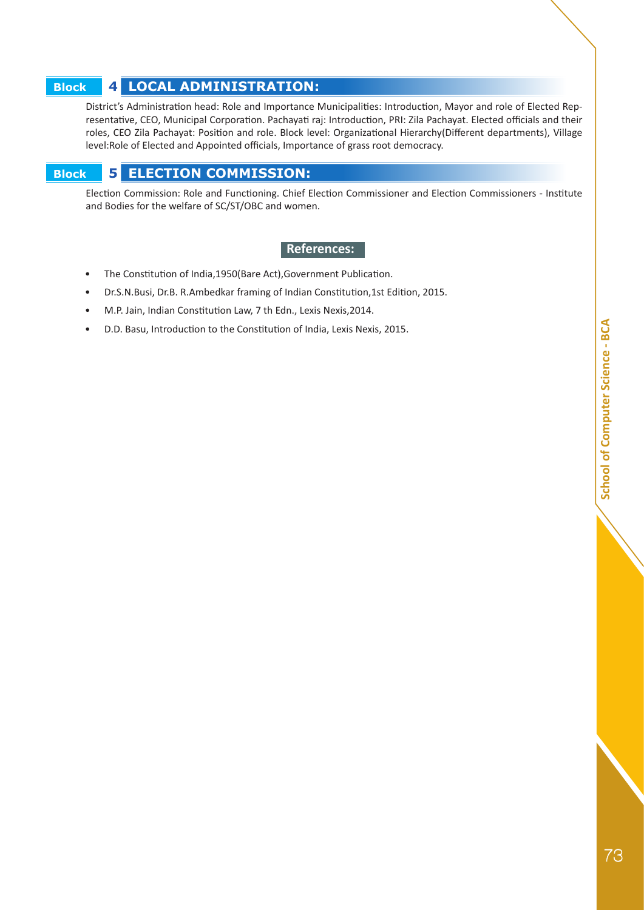# **Block 4 LOCAL ADMINISTRATION:**

District's Administration head: Role and Importance Municipalities: Introduction, Mayor and role of Elected Representative, CEO, Municipal Corporation. Pachayati raj: Introduction, PRI: Zila Pachayat. Elected officials and their roles, CEO Zila Pachayat: Position and role. Block level: Organizational Hierarchy(Different departments), Village level:Role of Elected and Appointed officials, Importance of grass root democracy.

# **Block 5 ELECTION COMMISSION:**

Election Commission: Role and Functioning. Chief Election Commissioner and Election Commissioners - Institute and Bodies for the welfare of SC/ST/OBC and women.

- The Constitution of India,1950(Bare Act),Government Publication.
- Dr.S.N.Busi, Dr.B. R.Ambedkar framing of Indian Constitution,1st Edition, 2015.
- M.P. Jain, Indian Constitution Law, 7 th Edn., Lexis Nexis,2014.
- D.D. Basu, Introduction to the Constitution of India, Lexis Nexis, 2015.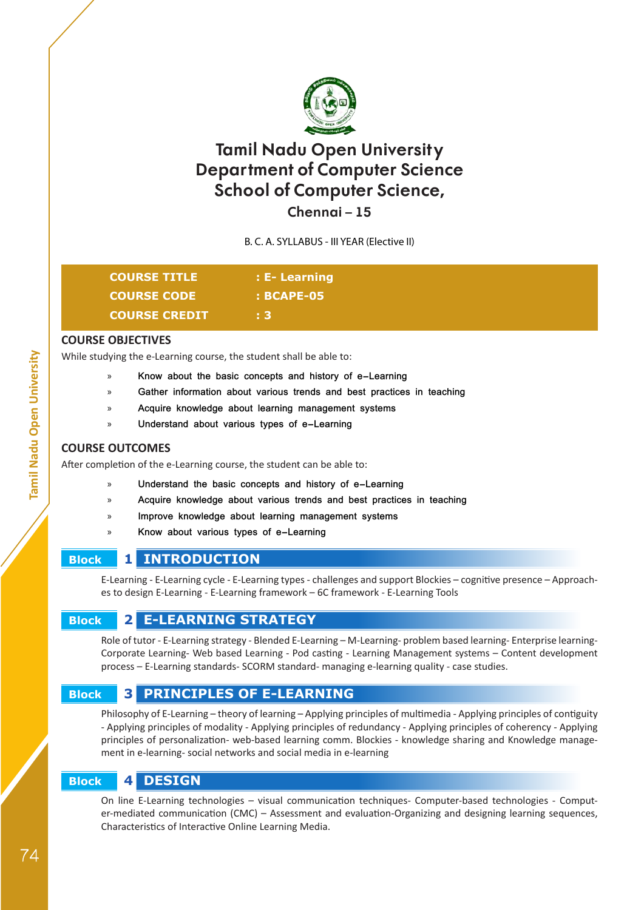

**Chennai – 15**

B. C. A. SYLLABUS - III YEAR (Elective II)

| <b>COURSE TITLE</b>  | $\pm$ E-Learning |
|----------------------|------------------|
| <b>COURSE CODE</b>   | $:$ BCAPE-05     |
| <b>COURSE CREDIT</b> |                  |

#### **COURSE OBJECTIVES**

While studying the e-Learning course, the student shall be able to:

- » **Know about the basic concepts and history of e-Learning**
- Gather information about various trends and best practices in teaching
- » **Acquire knowledge about learning management systems**
- » **Understand about various types of e-Learning**

#### **COURSE OUTCOMES**

After completion of the e-Learning course, the student can be able to:

- » **Understand the basic concepts and history of e-Learning**
- » **Acquire knowledge about various trends and best practices in teaching**
- » **Improve knowledge about learning management systems**
- » **Know about various types of e-Learning**

## **Block 1 INTRODUCTION**

E-Learning - E-Learning cycle - E-Learning types - challenges and support Blockies – cognitive presence – Approaches to design E-Learning - E-Learning framework – 6C framework - E-Learning Tools

# **Block 2 E-LEARNING STRATEGY**

Role of tutor - E-Learning strategy - Blended E-Learning – M-Learning- problem based learning- Enterprise learning-Corporate Learning- Web based Learning - Pod casting - Learning Management systems – Content development process – E-Learning standards- SCORM standard- managing e-learning quality - case studies.

# **Block 3 PRINCIPLES OF E-LEARNING**

Philosophy of E-Learning – theory of learning – Applying principles of multimedia - Applying principles of contiguity - Applying principles of modality - Applying principles of redundancy - Applying principles of coherency - Applying principles of personalization- web-based learning comm. Blockies - knowledge sharing and Knowledge management in e-learning- social networks and social media in e-learning

## **Block 4 DESIGN**

On line E-Learning technologies – visual communication techniques- Computer-based technologies - Computer-mediated communication (CMC) – Assessment and evaluation-Organizing and designing learning sequences, Characteristics of Interactive Online Learning Media.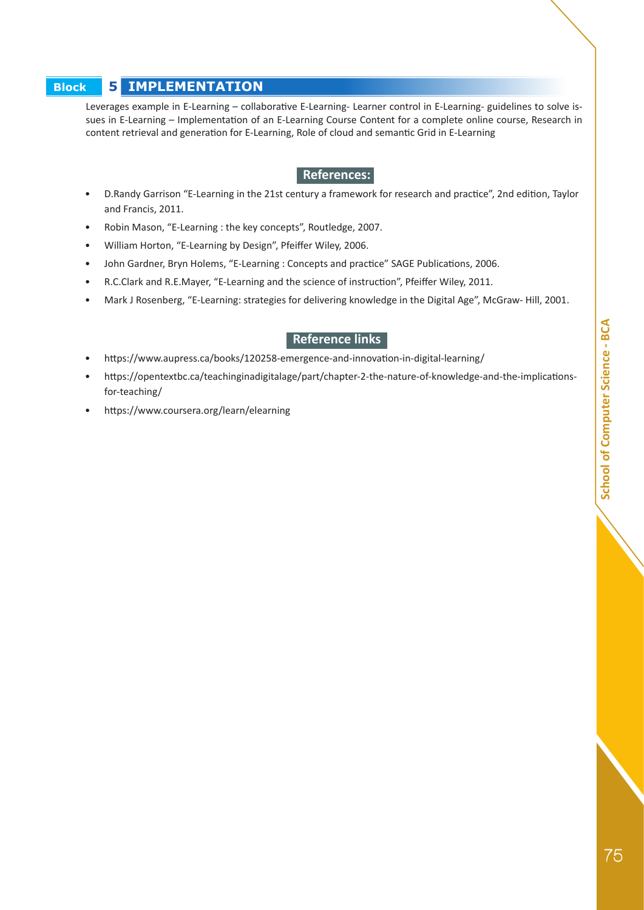# School of Computer Science - BCA **75SCA School of Computer School of Computer School of Computer Science - BCA**

#### **Block 5 IMPLEMENTATION**

Leverages example in E-Learning – collaborative E-Learning- Learner control in E-Learning- guidelines to solve issues in E-Learning – Implementation of an E-Learning Course Content for a complete online course, Research in content retrieval and generation for E-Learning, Role of cloud and semantic Grid in E-Learning

#### **• References:**

- D.Randy Garrison "E-Learning in the 21st century a framework for research and practice", 2nd edition, Taylor and Francis, 2011.
- Robin Mason, "E-Learning : the key concepts", Routledge, 2007.
- William Horton, "E-Learning by Design", Pfeiffer Wiley, 2006.
- John Gardner, Bryn Holems, "E-Learning : Concepts and practice" SAGE Publications, 2006.
- R.C.Clark and R.E.Mayer, "E-Learning and the science of instruction", Pfeiffer Wiley, 2011.
- Mark J Rosenberg, "E-Learning: strategies for delivering knowledge in the Digital Age", McGraw- Hill, 2001.

#### **• Reference links**

- https://www.aupress.ca/books/120258-emergence-and-innovation-in-digital-learning/
- https://opentextbc.ca/teachinginadigitalage/part/chapter-2-the-nature-of-knowledge-and-the-implicationsfor-teaching/
- https://www.coursera.org/learn/elearning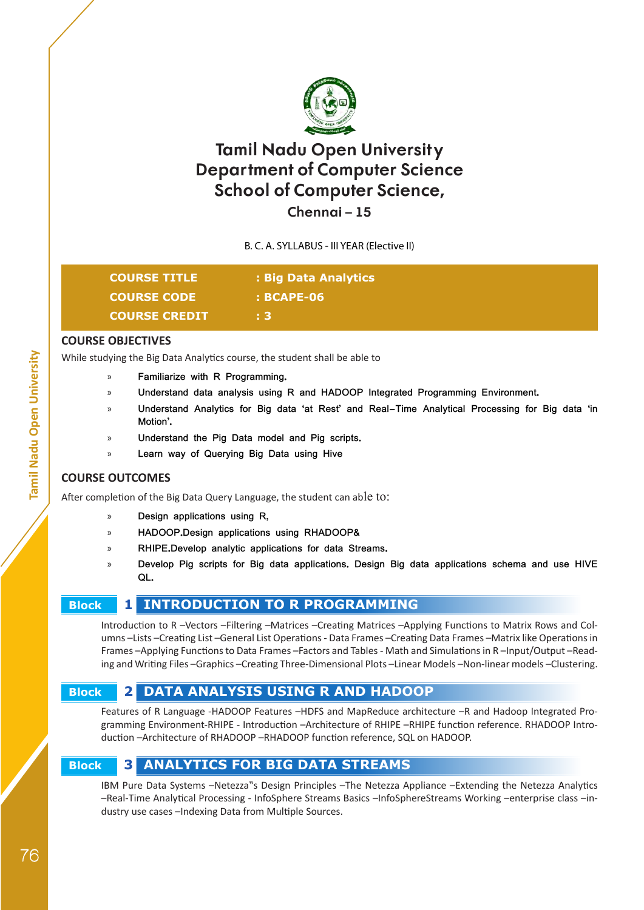

## **Chennai – 15**

B. C. A. SYLLABUS - III YEAR (Elective II)

| <b>COURSE TITLE</b>  | : Big Data Analytics |
|----------------------|----------------------|
| <b>COURSE CODE</b>   | $:$ BCAPE-06         |
| <b>COURSE CREDIT</b> | ÷3.                  |

#### **COURSE OBJECTIVES**

While studying the Big Data Analytics course, the student shall be able to

- » **Familiarize with R Programming.**
- » **Understand data analysis using R and HADOOP Integrated Programming Environment.**
- » **Understand Analytics for Big data 'at Rest' and Real-Time Analytical Processing for Big data 'in Motion'.**
- » **Understand the Pig Data model and Pig scripts.**
- » **Learn way of Querying Big Data using Hive**

#### **COURSE OUTCOMES**

After completion of the Big Data Query Language, the student can able to:

- » **Design applications using R,**
- » **HADOOP.Design applications using RHADOOP&**
- » **RHIPE.Develop analytic applications for data Streams.**
- » **Develop Pig scripts for Big data applications. Design Big data applications schema and use HIVE QL.**

## **Block 1 INTRODUCTION TO R PROGRAMMING**

Introduction to R –Vectors –Filtering –Matrices –Creating Matrices –Applying Functions to Matrix Rows and Columns –Lists –Creating List –General List Operations - Data Frames –Creating Data Frames –Matrix like Operations in Frames –Applying Functions to Data Frames –Factors and Tables - Math and Simulations in R –Input/Output –Reading and Writing Files –Graphics –Creating Three-Dimensional Plots –Linear Models –Non-linear models –Clustering.

# **Block 2 DATA ANALYSIS USING R AND HADOOP**

Features of R Language -HADOOP Features –HDFS and MapReduce architecture –R and Hadoop Integrated Programming Environment-RHIPE - Introduction –Architecture of RHIPE –RHIPE function reference. RHADOOP Introduction –Architecture of RHADOOP –RHADOOP function reference, SQL on HADOOP.

# **Block 3 ANALYTICS FOR BIG DATA STREAMS**

IBM Pure Data Systems -Netezza"s Design Principles -The Netezza Appliance -Extending the Netezza Analytics –Real-Time Analytical Processing - InfoSphere Streams Basics –InfoSphereStreams Working –enterprise class –industry use cases –Indexing Data from Multiple Sources.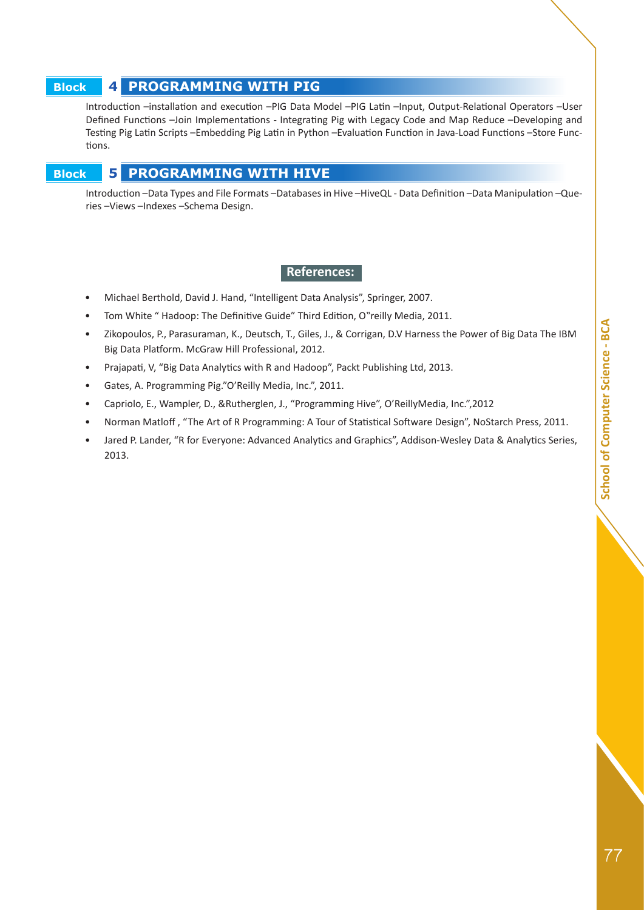# School of Computer Science - BCA *School of Computer School of Computer School of Computer Science - BCA*

#### **Block 4 PROGRAMMING WITH PIG**

Introduction –installation and execution –PIG Data Model –PIG Latin –Input, Output-Relational Operators –User Defined Functions –Join Implementations - Integrating Pig with Legacy Code and Map Reduce –Developing and Testing Pig Latin Scripts –Embedding Pig Latin in Python –Evaluation Function in Java-Load Functions –Store Functions.

#### **Block 5 PROGRAMMING WITH HIVE**

Introduction –Data Types and File Formats –Databases in Hive –HiveQL - Data Definition –Data Manipulation –Queries –Views –Indexes –Schema Design.

- Michael Berthold, David J. Hand, "Intelligent Data Analysis", Springer, 2007.
- Tom White " Hadoop: The Definitive Guide" Third Edition, O"reilly Media, 2011.
- Zikopoulos, P., Parasuraman, K., Deutsch, T., Giles, J., & Corrigan, D.V Harness the Power of Big Data The IBM Big Data Platform. McGraw Hill Professional, 2012.
- Prajapati, V, "Big Data Analytics with R and Hadoop", Packt Publishing Ltd, 2013.
- Gates, A. Programming Pig."O'Reilly Media, Inc.", 2011.
- Capriolo, E., Wampler, D., &Rutherglen, J., "Programming Hive", O'ReillyMedia, Inc.",2012
- Norman Matloff , "The Art of R Programming: A Tour of Statistical Software Design", NoStarch Press, 2011.
- Jared P. Lander, "R for Everyone: Advanced Analytics and Graphics", Addison-Wesley Data & Analytics Series, 2013.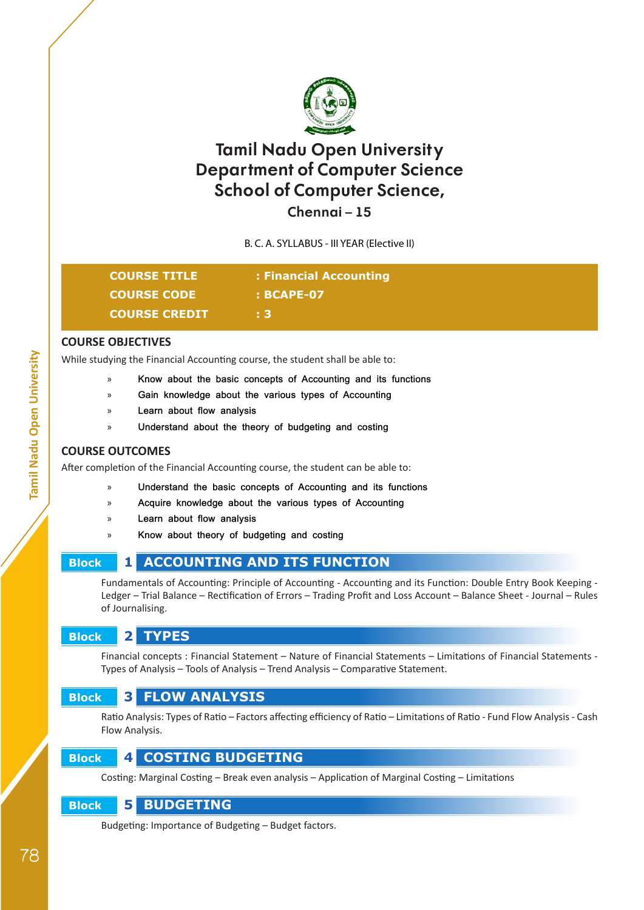

**Chennai – 15**

B. C. A. SYLLABUS - III YEAR (Elective II)

| <b>COURSE TITLE</b>  | : Financial Accounting |
|----------------------|------------------------|
| <b>COURSE CODE</b>   | $:$ BCAPE-07           |
| <b>COURSE CREDIT</b> | + 3.                   |

#### **COURSE OBJECTIVES**

While studying the Financial Accounting course, the student shall be able to:

- » **Know about the basic concepts of Accounting and its functions**
- » **Gain knowledge about the various types of Accounting**
- » **Learn about flow analysis**
- » **Understand about the theory of budgeting and costing**

#### **COURSE OUTCOMES**

After completion of the Financial Accounting course, the student can be able to:

- » **Understand the basic concepts of Accounting and its functions**
- » **Acquire knowledge about the various types of Accounting**
- » **Learn about flow analysis**
- » **Know about theory of budgeting and costing**

# **Block 1 ACCOUNTING AND ITS FUNCTION**

Fundamentals of Accounting: Principle of Accounting - Accounting and its Function: Double Entry Book Keeping - Ledger – Trial Balance – Rectification of Errors – Trading Profit and Loss Account – Balance Sheet - Journal – Rules of Journalising.

#### **Block 2 TYPES**

Financial concepts : Financial Statement – Nature of Financial Statements – Limitations of Financial Statements - Types of Analysis – Tools of Analysis – Trend Analysis – Comparative Statement.

# **Block 3 FLOW ANALYSIS**

Ratio Analysis: Types of Ratio – Factors affecting efficiency of Ratio – Limitations of Ratio - Fund Flow Analysis - Cash Flow Analysis.

# **Block 4 COSTING BUDGETING**

Costing: Marginal Costing – Break even analysis – Application of Marginal Costing – Limitations

# **Block 5 BUDGETING**

Budgeting: Importance of Budgeting – Budget factors.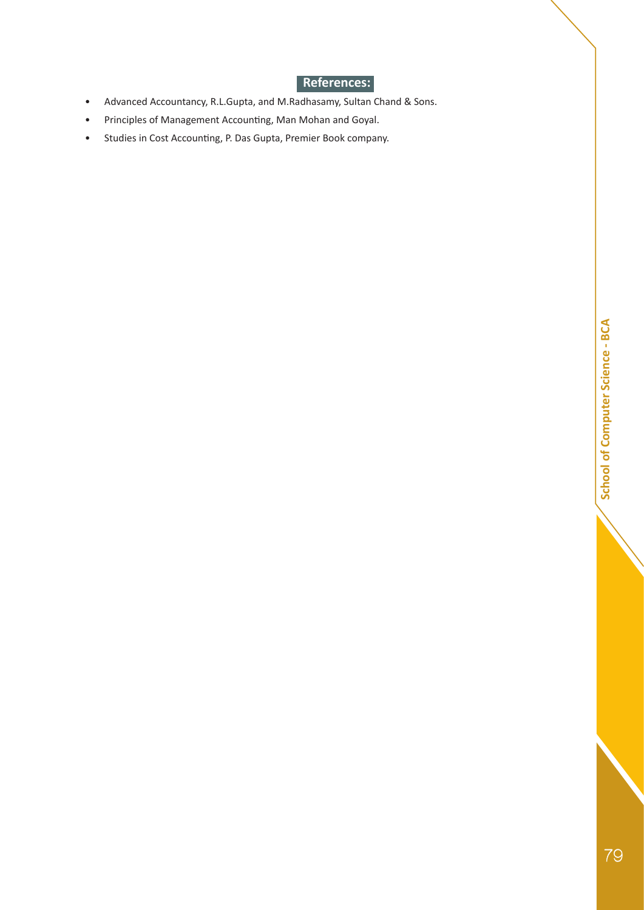- Advanced Accountancy, R.L.Gupta, and M.Radhasamy, Sultan Chand & Sons.
- Principles of Management Accounting, Man Mohan and Goyal.
- Studies in Cost Accounting, P. Das Gupta, Premier Book company.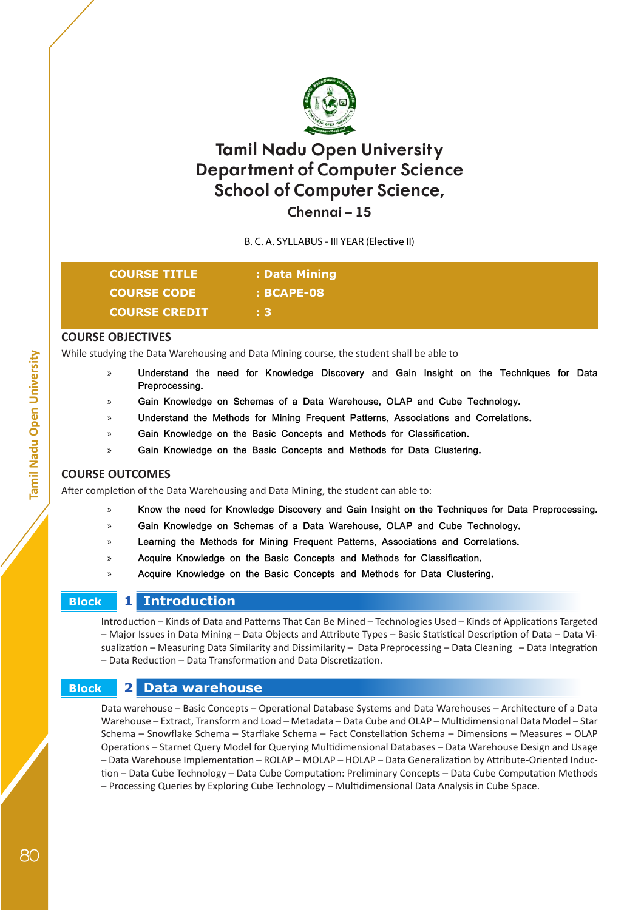

**Chennai – 15**

B. C. A. SYLLABUS - III YEAR (Elective II)

| <b>COURSE TITLE</b>  | : Data Mining |  |
|----------------------|---------------|--|
| <b>COURSE CODE</b>   | $:$ BCAPE-08  |  |
| <b>COURSE CREDIT</b> | + 3.          |  |

#### **COURSE OBJECTIVES**

While studying the Data Warehousing and Data Mining course, the student shall be able to

- » **Understand the need for Knowledge Discovery and Gain Insight on the Techniques for Data Preprocessing.**
- » **Gain Knowledge on Schemas of a Data Warehouse, OLAP and Cube Technology.**
- » **Understand the Methods for Mining Frequent Patterns, Associations and Correlations.**
- » **Gain Knowledge on the Basic Concepts and Methods for Classification.**
- » **Gain Knowledge on the Basic Concepts and Methods for Data Clustering.**

#### **COURSE OUTCOMES**

After completion of the Data Warehousing and Data Mining, the student can able to:

- » **Know the need for Knowledge Discovery and Gain Insight on the Techniques for Data Preprocessing.**
- » **Gain Knowledge on Schemas of a Data Warehouse, OLAP and Cube Technology.**
- » **Learning the Methods for Mining Frequent Patterns, Associations and Correlations.**
- » **Acquire Knowledge on the Basic Concepts and Methods for Classification.**
- » **Acquire Knowledge on the Basic Concepts and Methods for Data Clustering.**

#### **Block 1 Introduction**

Introduction – Kinds of Data and Patterns That Can Be Mined – Technologies Used – Kinds of Applications Targeted – Major Issues in Data Mining – Data Objects and Attribute Types – Basic Statistical Description of Data – Data Visualization – Measuring Data Similarity and Dissimilarity – Data Preprocessing – Data Cleaning – Data Integration – Data Reduction – Data Transformation and Data Discretization.

## **Block 2 Data warehouse**

Data warehouse – Basic Concepts – Operational Database Systems and Data Warehouses – Architecture of a Data Warehouse – Extract, Transform and Load – Metadata – Data Cube and OLAP – Multidimensional Data Model – Star Schema – Snowflake Schema – Starflake Schema – Fact Constellation Schema – Dimensions – Measures – OLAP Operations – Starnet Query Model for Querying Multidimensional Databases – Data Warehouse Design and Usage – Data Warehouse Implementation – ROLAP – MOLAP – HOLAP – Data Generalization by Attribute-Oriented Induction – Data Cube Technology – Data Cube Computation: Preliminary Concepts – Data Cube Computation Methods – Processing Queries by Exploring Cube Technology – Multidimensional Data Analysis in Cube Space.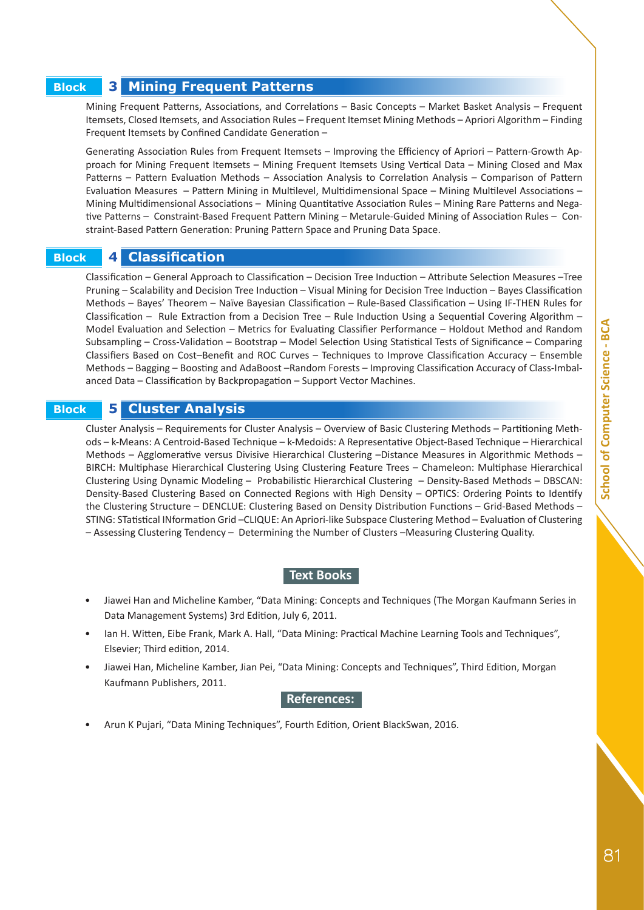#### **Block 3 Mining Frequent Patterns**

Mining Frequent Patterns, Associations, and Correlations – Basic Concepts – Market Basket Analysis – Frequent Itemsets, Closed Itemsets, and Association Rules – Frequent Itemset Mining Methods – Apriori Algorithm – Finding Frequent Itemsets by Confined Candidate Generation –

Generating Association Rules from Frequent Itemsets – Improving the Efficiency of Apriori – Pattern-Growth Approach for Mining Frequent Itemsets – Mining Frequent Itemsets Using Vertical Data – Mining Closed and Max Patterns – Pattern Evaluation Methods – Association Analysis to Correlation Analysis – Comparison of Pattern Evaluation Measures – Pattern Mining in Multilevel, Multidimensional Space – Mining Multilevel Associations – Mining Multidimensional Associations – Mining Quantitative Association Rules – Mining Rare Patterns and Negative Patterns – Constraint-Based Frequent Pattern Mining – Metarule-Guided Mining of Association Rules – Constraint-Based Pattern Generation: Pruning Pattern Space and Pruning Data Space.

#### **Block 4 Classification**

Classification – General Approach to Classification – Decision Tree Induction – Attribute Selection Measures –Tree Pruning – Scalability and Decision Tree Induction – Visual Mining for Decision Tree Induction – Bayes Classification Methods – Bayes' Theorem – Naïve Bayesian Classification – Rule-Based Classification – Using IF-THEN Rules for Classification – Rule Extraction from a Decision Tree – Rule Induction Using a Sequential Covering Algorithm – Model Evaluation and Selection – Metrics for Evaluating Classifier Performance – Holdout Method and Random Subsampling – Cross-Validation – Bootstrap – Model Selection Using Statistical Tests of Significance – Comparing Classifiers Based on Cost–Benefit and ROC Curves – Techniques to Improve Classification Accuracy – Ensemble Methods – Bagging – Boosting and AdaBoost –Random Forests – Improving Classification Accuracy of Class-Imbalanced Data – Classification by Backpropagation – Support Vector Machines.

#### **Block 5 Cluster Analysis**

Cluster Analysis – Requirements for Cluster Analysis – Overview of Basic Clustering Methods – Partitioning Methods – k-Means: A Centroid-Based Technique – k-Medoids: A Representative Object-Based Technique – Hierarchical Methods – Agglomerative versus Divisive Hierarchical Clustering –Distance Measures in Algorithmic Methods – BIRCH: Multiphase Hierarchical Clustering Using Clustering Feature Trees – Chameleon: Multiphase Hierarchical Clustering Using Dynamic Modeling – Probabilistic Hierarchical Clustering – Density-Based Methods – DBSCAN: Density-Based Clustering Based on Connected Regions with High Density – OPTICS: Ordering Points to Identify the Clustering Structure – DENCLUE: Clustering Based on Density Distribution Functions – Grid-Based Methods – STING: STatistical INformation Grid –CLIQUE: An Apriori-like Subspace Clustering Method – Evaluation of Clustering – Assessing Clustering Tendency – Determining the Number of Clusters –Measuring Clustering Quality.

#### **Text Books**

- Jiawei Han and Micheline Kamber, "Data Mining: Concepts and Techniques (The Morgan Kaufmann Series in Data Management Systems) 3rd Edition, July 6, 2011.
- Ian H. Witten, Eibe Frank, Mark A. Hall, "Data Mining: Practical Machine Learning Tools and Techniques", Elsevier; Third edition, 2014.
- Jiawei Han, Micheline Kamber, Jian Pei, "Data Mining: Concepts and Techniques", Third Edition, Morgan Kaufmann Publishers, 2011.

#### **References:**

• Arun K Pujari, "Data Mining Techniques", Fourth Edition, Orient BlackSwan, 2016.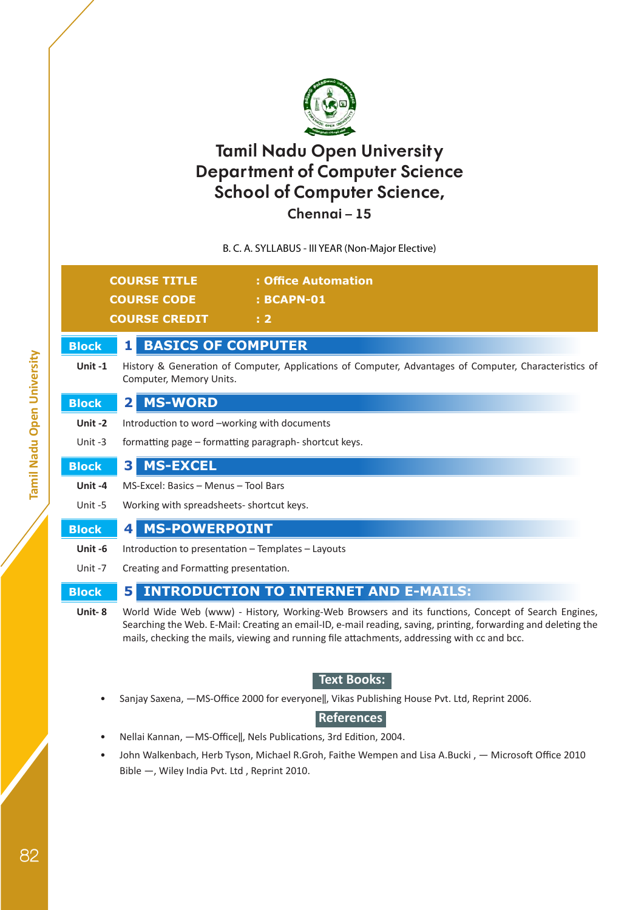

# **Chennai – 15**

B. C. A. SYLLABUS - III YEAR (Non-Major Elective)

|              | <b>COURSE TITLE</b><br>: Office Automation                                                                                                                                                                                                                                                                           |  |  |  |  |  |  |
|--------------|----------------------------------------------------------------------------------------------------------------------------------------------------------------------------------------------------------------------------------------------------------------------------------------------------------------------|--|--|--|--|--|--|
|              | <b>COURSE CODE</b><br><b>: BCAPN-01</b>                                                                                                                                                                                                                                                                              |  |  |  |  |  |  |
|              | <b>COURSE CREDIT</b><br>: 2                                                                                                                                                                                                                                                                                          |  |  |  |  |  |  |
| <b>Block</b> | <b>BASICS OF COMPUTER</b><br>11                                                                                                                                                                                                                                                                                      |  |  |  |  |  |  |
| Unit $-1$    | History & Generation of Computer, Applications of Computer, Advantages of Computer, Characteristics of<br>Computer, Memory Units.                                                                                                                                                                                    |  |  |  |  |  |  |
| <b>Block</b> | <b>MS-WORD</b><br>$\mathbf{2}$                                                                                                                                                                                                                                                                                       |  |  |  |  |  |  |
| Unit-2       | Introduction to word -working with documents                                                                                                                                                                                                                                                                         |  |  |  |  |  |  |
| Unit -3      | formatting page – formatting paragraph-shortcut keys.                                                                                                                                                                                                                                                                |  |  |  |  |  |  |
| <b>Block</b> | <b>MS-EXCEL</b><br>3                                                                                                                                                                                                                                                                                                 |  |  |  |  |  |  |
| Unit-4       | MS-Excel: Basics - Menus - Tool Bars                                                                                                                                                                                                                                                                                 |  |  |  |  |  |  |
| Unit -5      | Working with spreadsheets- shortcut keys.                                                                                                                                                                                                                                                                            |  |  |  |  |  |  |
| <b>Block</b> | <b>MS-POWERPOINT</b><br>4                                                                                                                                                                                                                                                                                            |  |  |  |  |  |  |
| Unit-6       | Introduction to presentation - Templates - Layouts                                                                                                                                                                                                                                                                   |  |  |  |  |  |  |
| Unit -7      | Creating and Formatting presentation.                                                                                                                                                                                                                                                                                |  |  |  |  |  |  |
| <b>Block</b> | <b>INTRODUCTION TO INTERNET AND E-MAILS:</b><br>5                                                                                                                                                                                                                                                                    |  |  |  |  |  |  |
| Unit-8       | World Wide Web (www) - History, Working-Web Browsers and its functions, Concept of Search Engines,<br>Searching the Web. E-Mail: Creating an email-ID, e-mail reading, saving, printing, forwarding and deleting the<br>mails, checking the mails, viewing and running file attachments, addressing with cc and bcc. |  |  |  |  |  |  |
|              | <b>TAMA DA ALGA</b>                                                                                                                                                                                                                                                                                                  |  |  |  |  |  |  |

# **• Text Books:**

Sanjay Saxena, -MS-Office 2000 for everyone||, Vikas Publishing House Pvt. Ltd, Reprint 2006.

## **• References**

- Nellai Kannan, ―MS-Office‖, Nels Publications, 3rd Edition, 2004.
- John Walkenbach, Herb Tyson, Michael R.Groh, Faithe Wempen and Lisa A.Bucki, Microsoft Office 2010 Bible ―, Wiley India Pvt. Ltd , Reprint 2010.

**Tamil Nadu Open University**